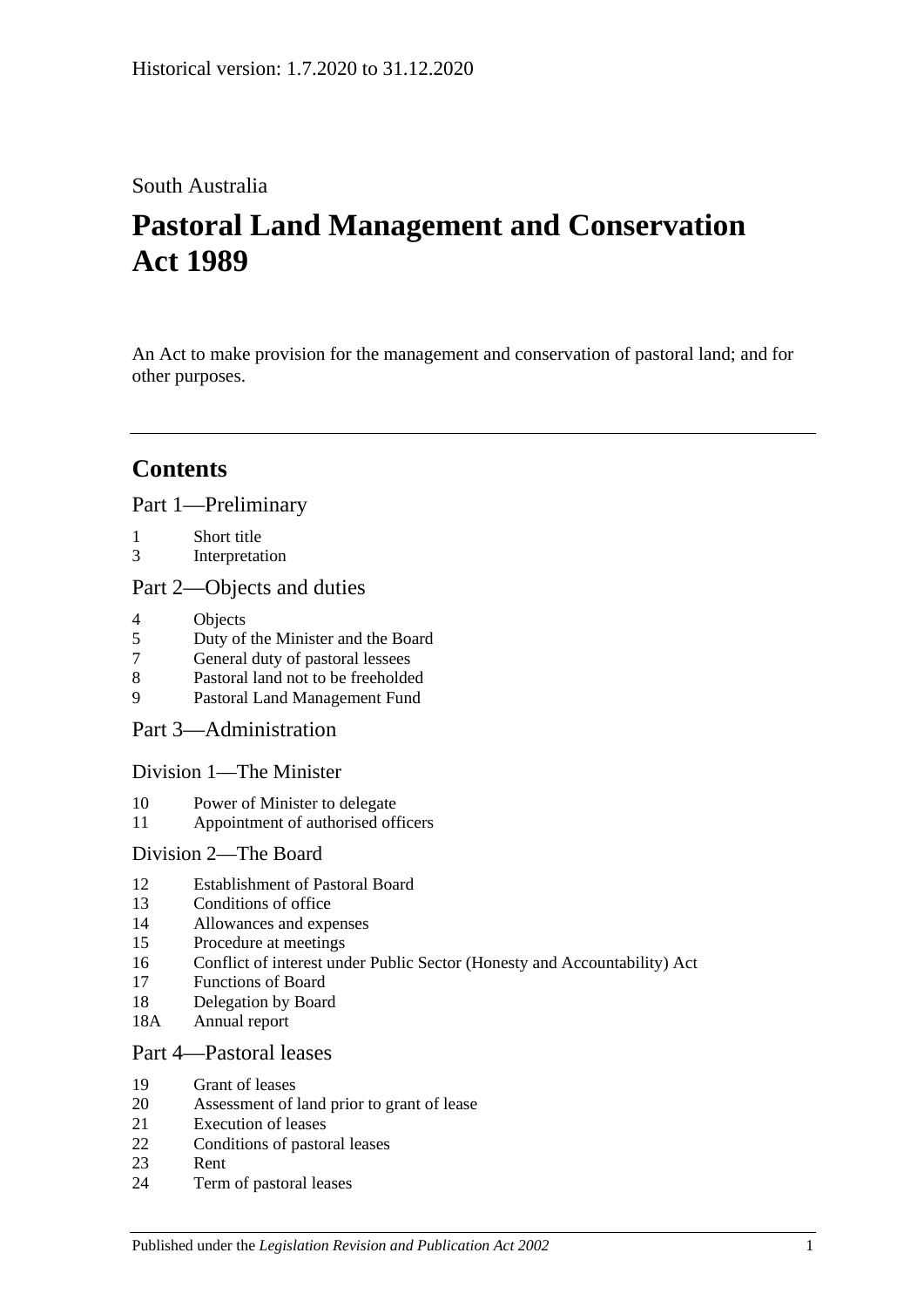# South Australia

# **Pastoral Land Management and Conservation Act 1989**

An Act to make provision for the management and conservation of pastoral land; and for other purposes.

# **Contents**

[Part 1—Preliminary](#page-2-0)

- 1 [Short title](#page-2-1)
- 3 [Interpretation](#page-3-0)

### [Part 2—Objects and duties](#page-4-0)

- 4 [Objects](#page-4-1)<br>5 Duty of
- 5 [Duty of the Minister and the Board](#page-5-0)
- 7 [General duty of pastoral lessees](#page-5-1)
- 8 [Pastoral land not to be freeholded](#page-5-2)
- 9 [Pastoral Land Management Fund](#page-5-3)

[Part 3—Administration](#page-6-0)

[Division 1—The Minister](#page-6-1)

- 10 [Power of Minister to delegate](#page-6-2)
- 11 [Appointment of authorised officers](#page-7-0)

### [Division 2—The Board](#page-7-1)

- 12 [Establishment of Pastoral Board](#page-7-2)
- 13 [Conditions of office](#page-8-0)
- 14 [Allowances and expenses](#page-8-1)
- 15 [Procedure at meetings](#page-8-2)
- 16 [Conflict of interest under Public Sector \(Honesty and Accountability\) Act](#page-9-0)
- 17 [Functions of Board](#page-9-1)
- 18 [Delegation by Board](#page-9-2)
- 18A [Annual report](#page-10-0)

### [Part 4—Pastoral leases](#page-10-1)

- 19 [Grant of leases](#page-10-2)
- 20 [Assessment of land prior to grant of lease](#page-10-3)
- 21 [Execution of leases](#page-11-0)
- 22 [Conditions of pastoral leases](#page-11-1)
- 23 [Rent](#page-13-0)
- 24 [Term of pastoral leases](#page-14-0)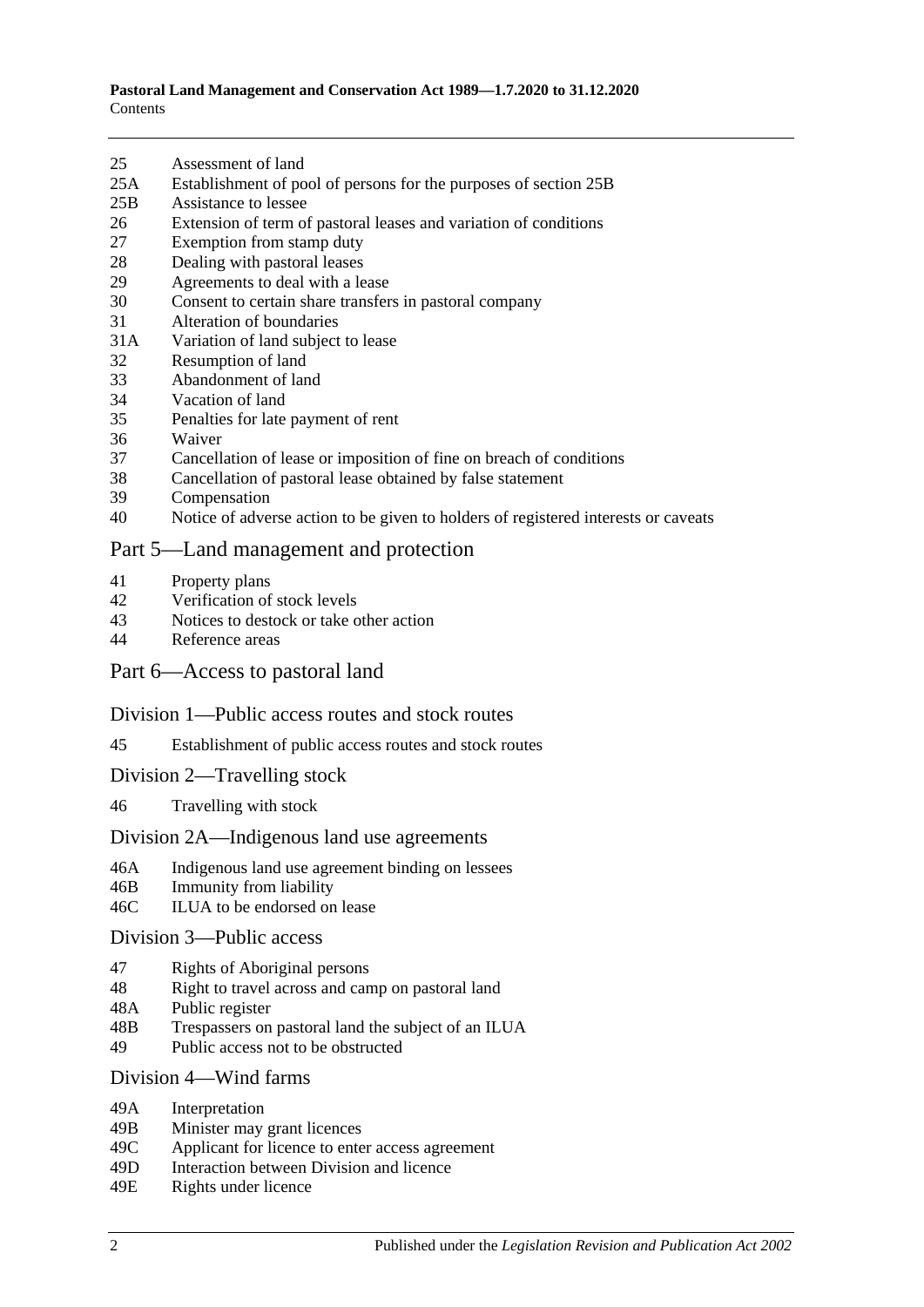- 25 [Assessment of land](#page-15-0)
- 25A [Establishment of pool of persons for the purposes of section](#page-15-1) 25B
- 25B [Assistance to lessee](#page-16-0)
- 26 [Extension of term of pastoral leases and variation of conditions](#page-17-0)
- 27 [Exemption from stamp duty](#page-17-1)
- 28 [Dealing with pastoral leases](#page-18-0)
- 29 [Agreements to deal with a lease](#page-18-1)
- 30 [Consent to certain share transfers in pastoral company](#page-18-2)<br>31 Alteration of boundaries
- [Alteration of boundaries](#page-19-0)
- 31A [Variation of land subject to lease](#page-19-1)
- 32 [Resumption of land](#page-20-0)
- 33 [Abandonment of land](#page-20-1)
- 34 [Vacation of land](#page-20-2)
- 35 [Penalties for late payment of rent](#page-21-0)
- 36 [Waiver](#page-21-1)
- 37 [Cancellation of lease or imposition of fine on breach of conditions](#page-21-2)
- 38 [Cancellation of pastoral lease obtained by false statement](#page-21-3)
- 39 [Compensation](#page-22-0)
- 40 [Notice of adverse action to be given to holders of registered interests or caveats](#page-22-1)

#### [Part 5—Land management and protection](#page-22-2)

- 41 [Property plans](#page-22-3)
- 42 [Verification of stock levels](#page-23-0)
- 43 [Notices to destock or take other action](#page-24-0)
- 44 [Reference areas](#page-25-0)

#### [Part 6—Access to pastoral land](#page-25-1)

#### [Division 1—Public access routes and stock routes](#page-25-2)

- 45 [Establishment of public access routes and stock routes](#page-25-3)
- [Division 2—Travelling stock](#page-27-0)
- 46 [Travelling with stock](#page-27-1)

#### [Division 2A—Indigenous land use agreements](#page-27-2)

- 46A [Indigenous land use agreement binding on lessees](#page-27-3)
- 46B [Immunity from liability](#page-28-0)
- 46C [ILUA to be endorsed on lease](#page-28-1)

#### [Division 3—Public access](#page-29-0)

- 47 [Rights of Aboriginal persons](#page-29-1)
- 48 [Right to travel across and camp on pastoral land](#page-29-2)
- 48A [Public register](#page-30-0)
- 48B [Trespassers on pastoral land the subject of an ILUA](#page-31-0)
- 49 [Public access not to be obstructed](#page-32-0)

#### Division [4—Wind farms](#page-32-1)

- 49A [Interpretation](#page-32-2)
- 49B [Minister may grant licences](#page-33-0)
- 49C [Applicant for licence to enter access agreement](#page-33-1)
- 49D [Interaction between Division and licence](#page-34-0)
- 49E [Rights under licence](#page-34-1)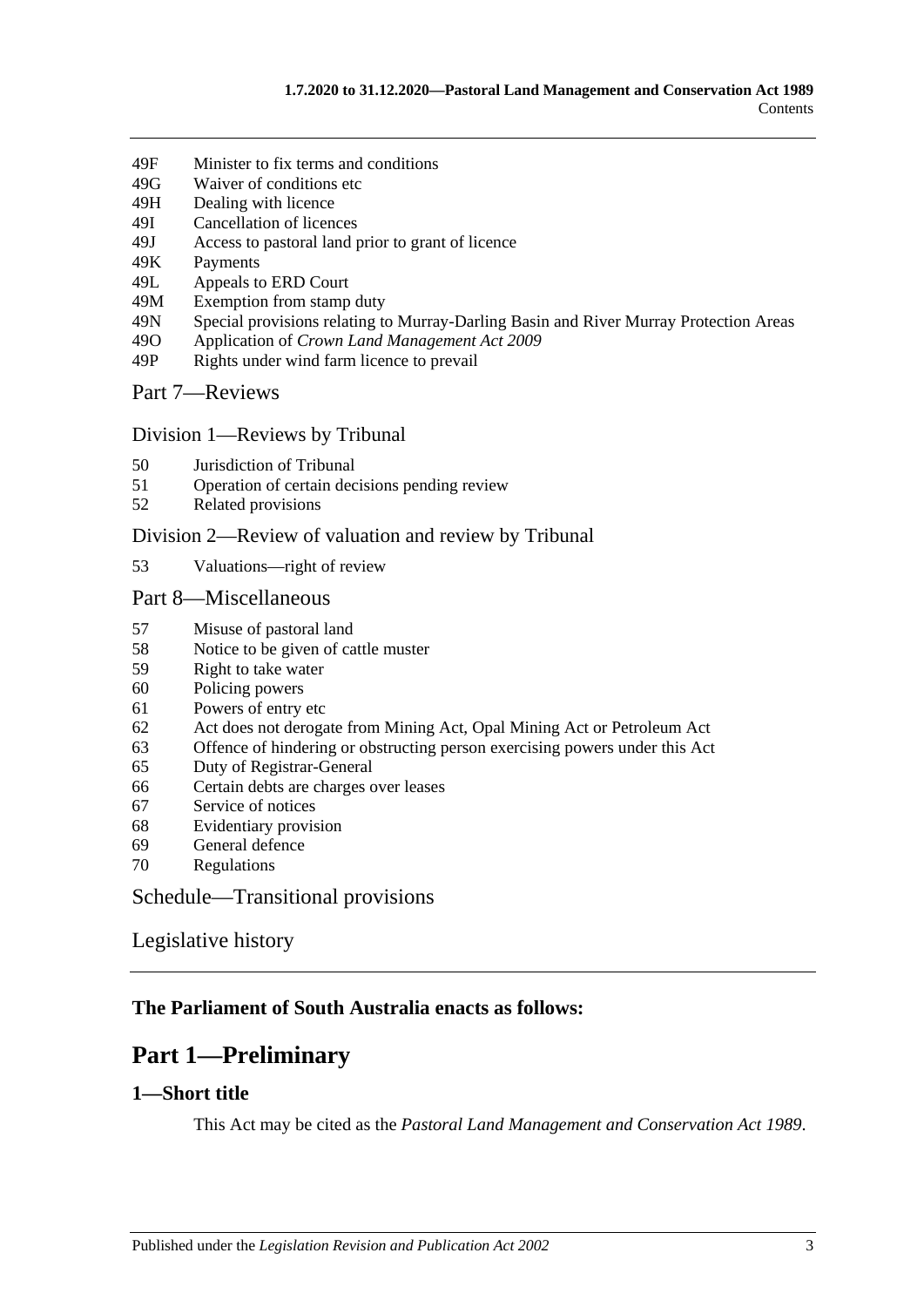- 49F [Minister to fix terms and conditions](#page-34-2)
- 49G [Waiver of conditions etc](#page-35-0)
- 49H [Dealing with licence](#page-35-1)
- 49I [Cancellation of licences](#page-36-0)
- 49J [Access to pastoral land prior to grant of licence](#page-36-1)
- 49K [Payments](#page-37-0)
- 49L [Appeals to ERD Court](#page-37-1)
- 49M [Exemption from stamp duty](#page-39-0)
- 49N [Special provisions relating to Murray-Darling Basin and River](#page-39-1) Murray Protection Areas
- 49O Application of *[Crown Land Management Act](#page-39-2) 2009*
- 49P [Rights under wind farm licence to prevail](#page-39-3)

[Part 7—Reviews](#page-39-4)

#### Division [1—Reviews by Tribunal](#page-39-5)

- 50 [Jurisdiction of Tribunal](#page-39-6)
- 51 [Operation of certain decisions pending review](#page-40-0)
- 52 [Related provisions](#page-40-1)

#### Division [2—Review of valuation and review by Tribunal](#page-41-0)

53 [Valuations—right of review](#page-41-1)

#### [Part 8—Miscellaneous](#page-41-2)

- 57 [Misuse of pastoral land](#page-41-3)
- 58 [Notice to be given of cattle muster](#page-42-0)
- 59 [Right to take water](#page-42-1)
- 60 [Policing powers](#page-42-2)
- 61 [Powers of entry etc](#page-43-0)
- 62 [Act does not derogate from Mining Act, Opal Mining Act or Petroleum Act](#page-43-1)
- 63 [Offence of hindering or obstructing person exercising powers under this Act](#page-43-2)
- 65 [Duty of Registrar-General](#page-44-0)
- 66 [Certain debts are charges over leases](#page-44-1)
- 67 [Service of notices](#page-44-2)<br>68 Evidentiary provis
- [Evidentiary provision](#page-44-3)
- 69 [General defence](#page-45-0)
- 70 [Regulations](#page-45-1)

[Schedule—Transitional provisions](#page-45-2)

### [Legislative history](#page-47-0)

### <span id="page-2-0"></span>**The Parliament of South Australia enacts as follows:**

# **Part 1—Preliminary**

### <span id="page-2-1"></span>**1—Short title**

This Act may be cited as the *Pastoral Land Management and Conservation Act 1989*.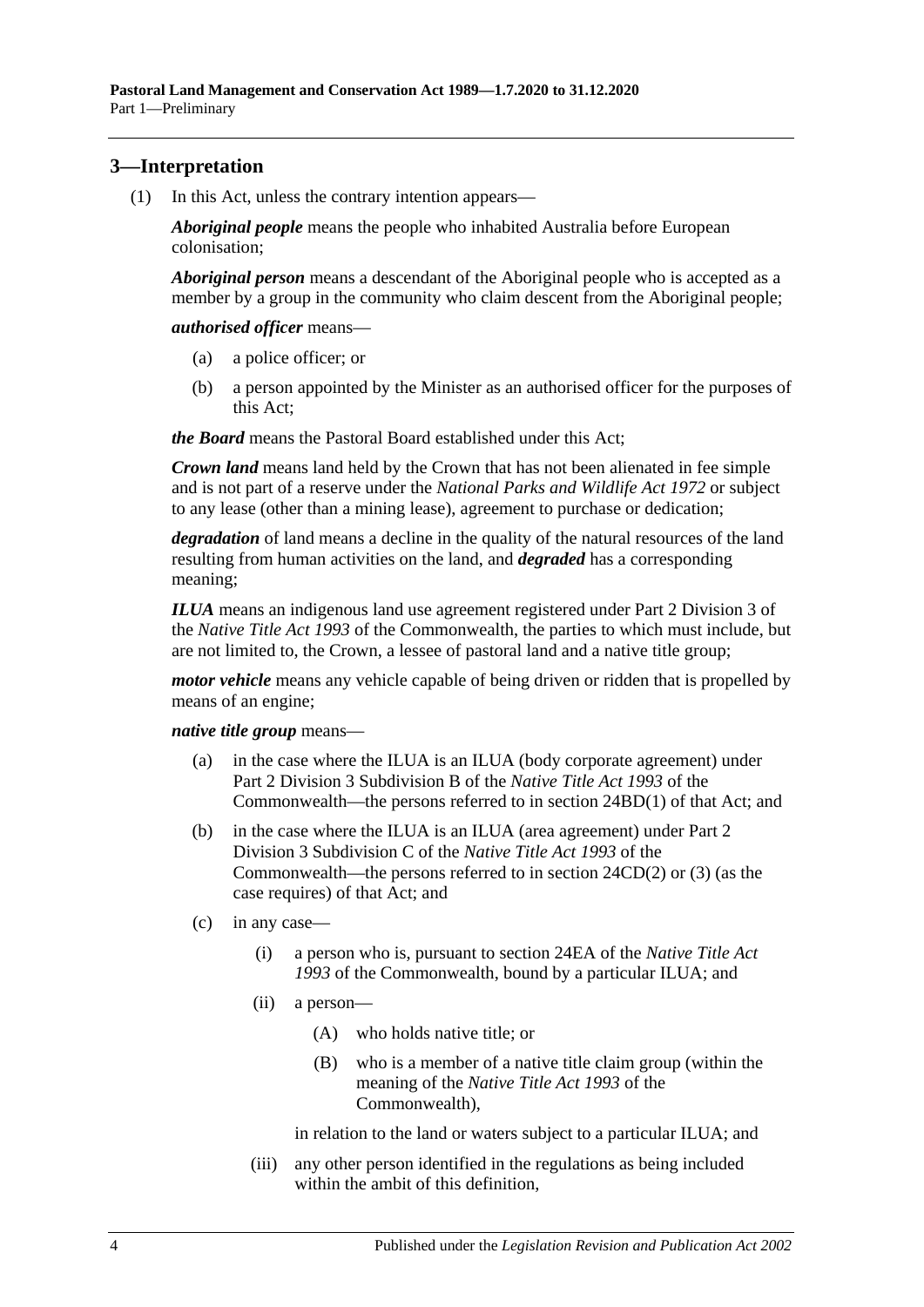## <span id="page-3-2"></span><span id="page-3-0"></span>**3—Interpretation**

(1) In this Act, unless the contrary intention appears—

*Aboriginal people* means the people who inhabited Australia before European colonisation;

*Aboriginal person* means a descendant of the Aboriginal people who is accepted as a member by a group in the community who claim descent from the Aboriginal people;

*authorised officer* means—

- (a) a police officer; or
- (b) a person appointed by the Minister as an authorised officer for the purposes of this Act;

*the Board* means the Pastoral Board established under this Act;

*Crown land* means land held by the Crown that has not been alienated in fee simple and is not part of a reserve under the *[National Parks and Wildlife Act](http://www.legislation.sa.gov.au/index.aspx?action=legref&type=act&legtitle=National%20Parks%20and%20Wildlife%20Act%201972) 1972* or subject to any lease (other than a mining lease), agreement to purchase or dedication;

*degradation* of land means a decline in the quality of the natural resources of the land resulting from human activities on the land, and *degraded* has a corresponding meaning;

*ILUA* means an indigenous land use agreement registered under Part 2 Division 3 of the *Native Title Act 1993* of the Commonwealth, the parties to which must include, but are not limited to, the Crown, a lessee of pastoral land and a native title group;

*motor vehicle* means any vehicle capable of being driven or ridden that is propelled by means of an engine;

*native title group* means—

- (a) in the case where the ILUA is an ILUA (body corporate agreement) under Part 2 Division 3 Subdivision B of the *Native Title Act 1993* of the Commonwealth—the persons referred to in section 24BD(1) of that Act; and
- (b) in the case where the ILUA is an ILUA (area agreement) under Part 2 Division 3 Subdivision C of the *Native Title Act 1993* of the Commonwealth—the persons referred to in section 24CD(2) or (3) (as the case requires) of that Act; and
- <span id="page-3-1"></span>(c) in any case—
	- (i) a person who is, pursuant to section 24EA of the *Native Title Act 1993* of the Commonwealth, bound by a particular ILUA; and
	- (ii) a person—
		- (A) who holds native title; or
		- (B) who is a member of a native title claim group (within the meaning of the *Native Title Act 1993* of the Commonwealth),

in relation to the land or waters subject to a particular ILUA; and

(iii) any other person identified in the regulations as being included within the ambit of this definition.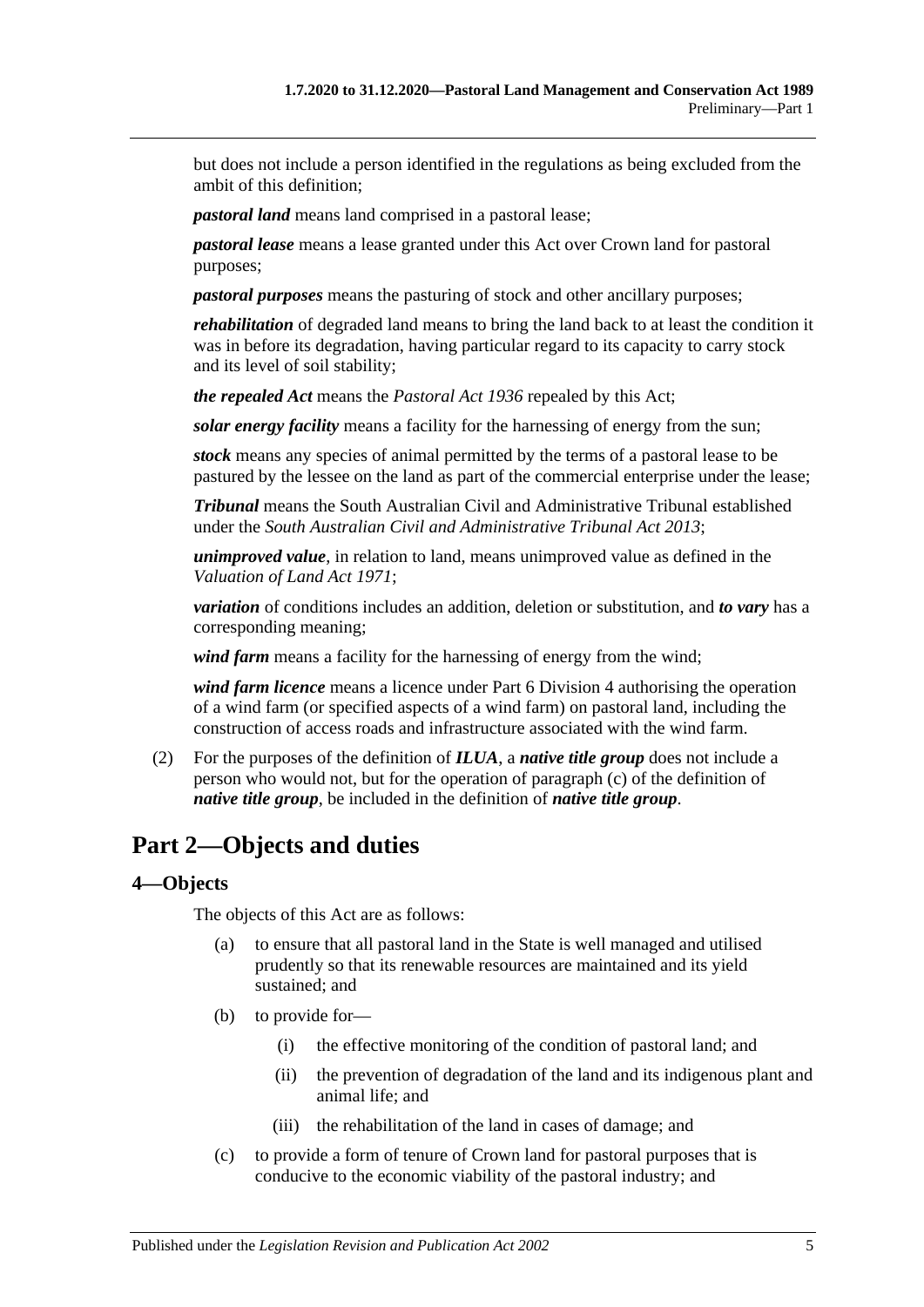but does not include a person identified in the regulations as being excluded from the ambit of this definition;

*pastoral land* means land comprised in a pastoral lease;

*pastoral lease* means a lease granted under this Act over Crown land for pastoral purposes;

*pastoral purposes* means the pasturing of stock and other ancillary purposes;

*rehabilitation* of degraded land means to bring the land back to at least the condition it was in before its degradation, having particular regard to its capacity to carry stock and its level of soil stability;

*the repealed Act* means the *[Pastoral Act](http://www.legislation.sa.gov.au/index.aspx?action=legref&type=act&legtitle=Pastoral%20Act%201936) 1936* repealed by this Act;

*solar energy facility* means a facility for the harnessing of energy from the sun;

*stock* means any species of animal permitted by the terms of a pastoral lease to be pastured by the lessee on the land as part of the commercial enterprise under the lease;

*Tribunal* means the South Australian Civil and Administrative Tribunal established under the *[South Australian Civil and Administrative Tribunal Act](http://www.legislation.sa.gov.au/index.aspx?action=legref&type=act&legtitle=South%20Australian%20Civil%20and%20Administrative%20Tribunal%20Act%202013) 2013*;

*unimproved value*, in relation to land, means unimproved value as defined in the *[Valuation of Land Act](http://www.legislation.sa.gov.au/index.aspx?action=legref&type=act&legtitle=Valuation%20of%20Land%20Act%201971) 1971*;

*variation* of conditions includes an addition, deletion or substitution, and *to vary* has a corresponding meaning;

*wind farm* means a facility for the harnessing of energy from the wind;

*wind farm licence* means a licence under [Part 6 Division](#page-32-1) 4 authorising the operation of a wind farm (or specified aspects of a wind farm) on pastoral land, including the construction of access roads and infrastructure associated with the wind farm.

(2) For the purposes of the definition of *ILUA*, a *native title group* does not include a person who would not, but for the operation of [paragraph](#page-3-1) (c) of the definition of *native title group*, be included in the definition of *native title group*.

# <span id="page-4-0"></span>**Part 2—Objects and duties**

### <span id="page-4-1"></span>**4—Objects**

The objects of this Act are as follows:

- (a) to ensure that all pastoral land in the State is well managed and utilised prudently so that its renewable resources are maintained and its yield sustained; and
- (b) to provide for—
	- (i) the effective monitoring of the condition of pastoral land; and
	- (ii) the prevention of degradation of the land and its indigenous plant and animal life; and
	- (iii) the rehabilitation of the land in cases of damage; and
- (c) to provide a form of tenure of Crown land for pastoral purposes that is conducive to the economic viability of the pastoral industry; and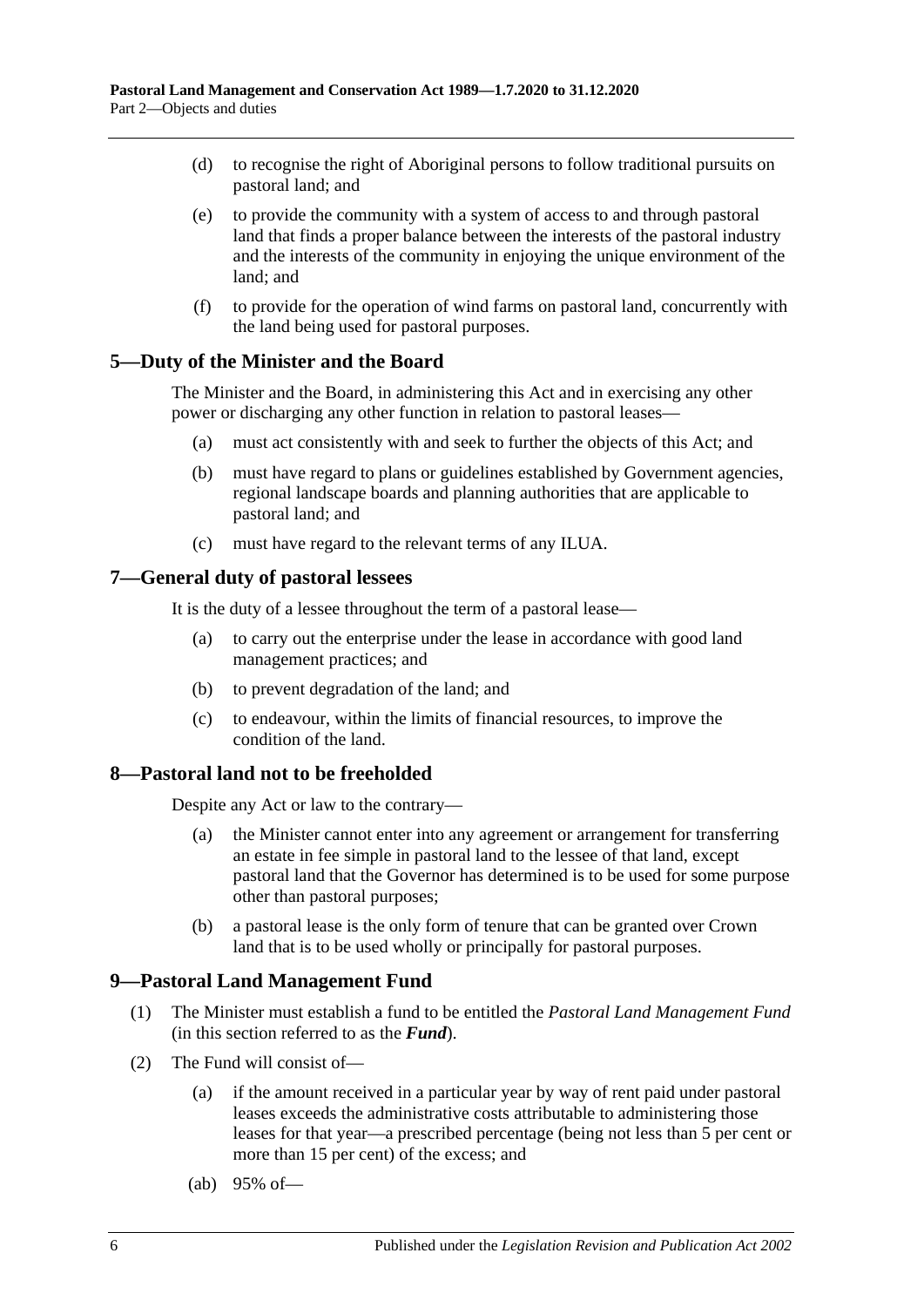- (d) to recognise the right of Aboriginal persons to follow traditional pursuits on pastoral land; and
- (e) to provide the community with a system of access to and through pastoral land that finds a proper balance between the interests of the pastoral industry and the interests of the community in enjoying the unique environment of the land; and
- (f) to provide for the operation of wind farms on pastoral land, concurrently with the land being used for pastoral purposes.

#### <span id="page-5-0"></span>**5—Duty of the Minister and the Board**

The Minister and the Board, in administering this Act and in exercising any other power or discharging any other function in relation to pastoral leases—

- (a) must act consistently with and seek to further the objects of this Act; and
- (b) must have regard to plans or guidelines established by Government agencies, regional landscape boards and planning authorities that are applicable to pastoral land; and
- (c) must have regard to the relevant terms of any ILUA.

#### <span id="page-5-1"></span>**7—General duty of pastoral lessees**

It is the duty of a lessee throughout the term of a pastoral lease—

- (a) to carry out the enterprise under the lease in accordance with good land management practices; and
- (b) to prevent degradation of the land; and
- (c) to endeavour, within the limits of financial resources, to improve the condition of the land.

#### <span id="page-5-2"></span>**8—Pastoral land not to be freeholded**

Despite any Act or law to the contrary—

- (a) the Minister cannot enter into any agreement or arrangement for transferring an estate in fee simple in pastoral land to the lessee of that land, except pastoral land that the Governor has determined is to be used for some purpose other than pastoral purposes;
- (b) a pastoral lease is the only form of tenure that can be granted over Crown land that is to be used wholly or principally for pastoral purposes.

#### <span id="page-5-3"></span>**9—Pastoral Land Management Fund**

- (1) The Minister must establish a fund to be entitled the *Pastoral Land Management Fund* (in this section referred to as the *Fund*).
- <span id="page-5-4"></span>(2) The Fund will consist of—
	- (a) if the amount received in a particular year by way of rent paid under pastoral leases exceeds the administrative costs attributable to administering those leases for that year—a prescribed percentage (being not less than 5 per cent or more than 15 per cent) of the excess; and
	- (ab) 95% of—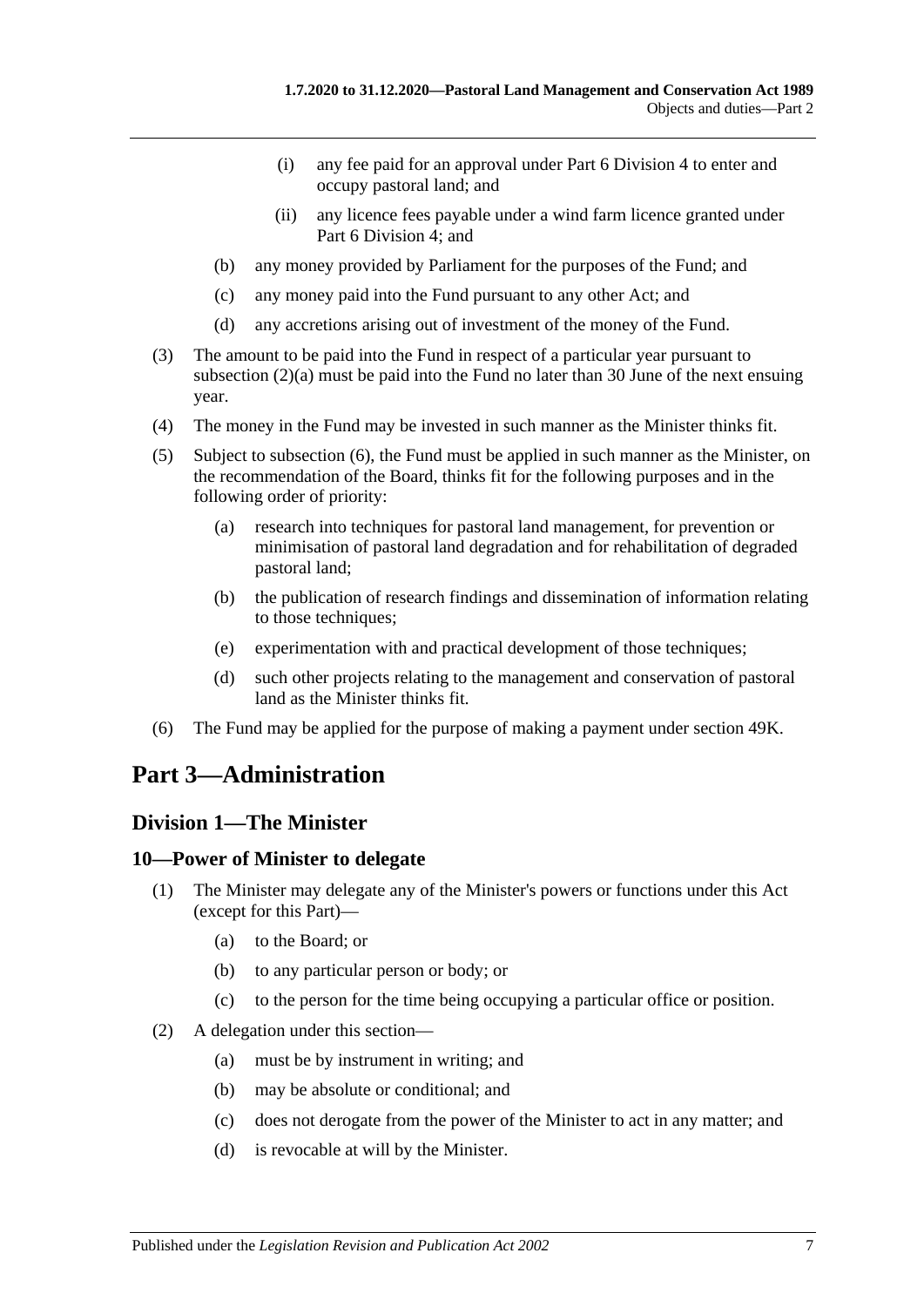- (i) any fee paid for an approval under [Part 6 Division](#page-32-1) 4 to enter and occupy pastoral land; and
- (ii) any licence fees payable under a wind farm licence granted under [Part 6 Division](#page-32-1) 4; and
- (b) any money provided by Parliament for the purposes of the Fund; and
- (c) any money paid into the Fund pursuant to any other Act; and
- (d) any accretions arising out of investment of the money of the Fund.
- (3) The amount to be paid into the Fund in respect of a particular year pursuant to [subsection](#page-5-4) (2)(a) must be paid into the Fund no later than 30 June of the next ensuing year.
- (4) The money in the Fund may be invested in such manner as the Minister thinks fit.
- (5) Subject to [subsection](#page-6-3) (6), the Fund must be applied in such manner as the Minister, on the recommendation of the Board, thinks fit for the following purposes and in the following order of priority:
	- (a) research into techniques for pastoral land management, for prevention or minimisation of pastoral land degradation and for rehabilitation of degraded pastoral land;
	- (b) the publication of research findings and dissemination of information relating to those techniques;
	- (e) experimentation with and practical development of those techniques;
	- (d) such other projects relating to the management and conservation of pastoral land as the Minister thinks fit.
- <span id="page-6-3"></span>(6) The Fund may be applied for the purpose of making a payment under [section](#page-37-0) 49K.

# <span id="page-6-0"></span>**Part 3—Administration**

### <span id="page-6-1"></span>**Division 1—The Minister**

### <span id="page-6-2"></span>**10—Power of Minister to delegate**

- (1) The Minister may delegate any of the Minister's powers or functions under this Act (except for this Part)—
	- (a) to the Board; or
	- (b) to any particular person or body; or
	- (c) to the person for the time being occupying a particular office or position.
- (2) A delegation under this section—
	- (a) must be by instrument in writing; and
	- (b) may be absolute or conditional; and
	- (c) does not derogate from the power of the Minister to act in any matter; and
	- (d) is revocable at will by the Minister.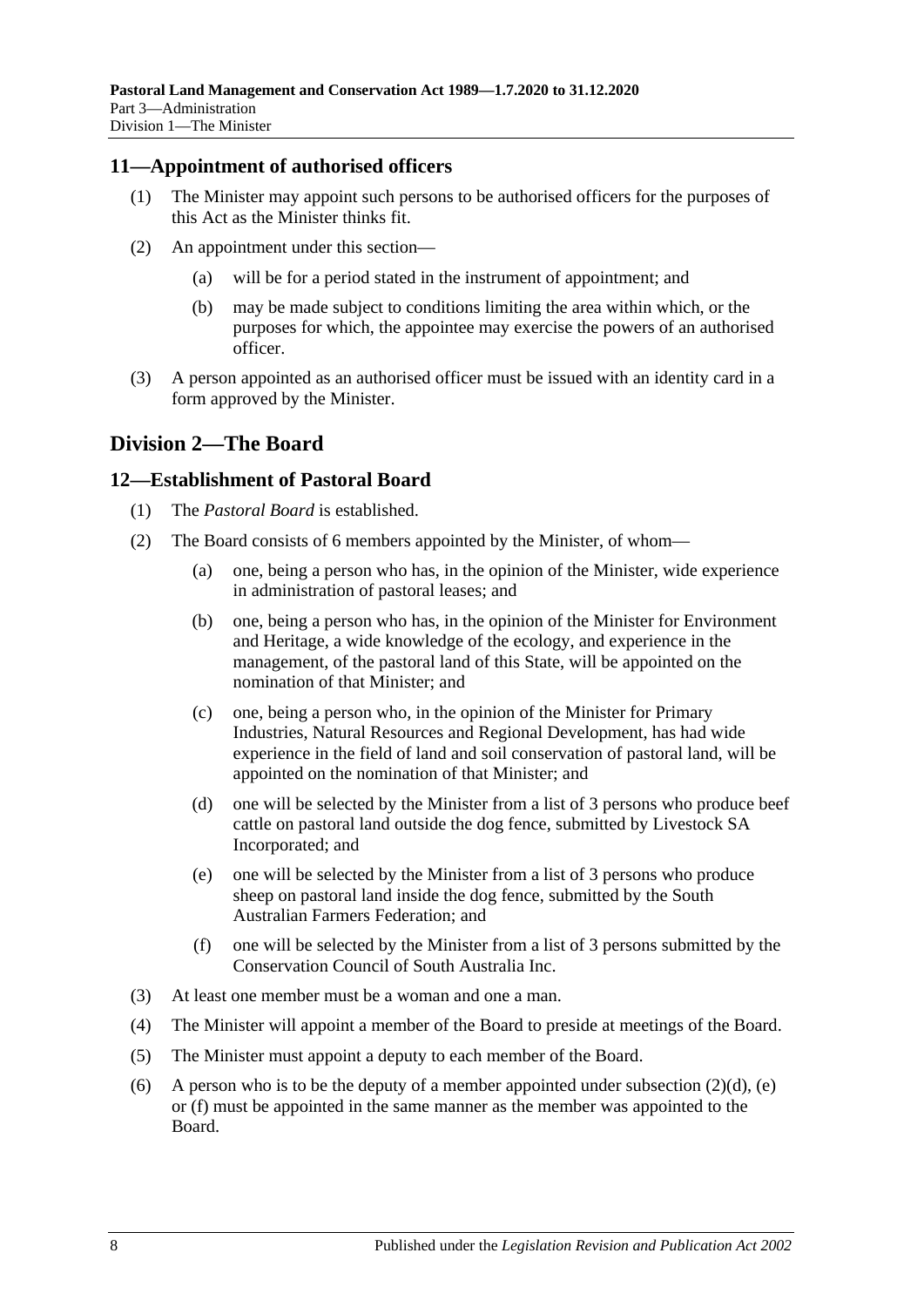#### <span id="page-7-0"></span>**11—Appointment of authorised officers**

- (1) The Minister may appoint such persons to be authorised officers for the purposes of this Act as the Minister thinks fit.
- (2) An appointment under this section—
	- (a) will be for a period stated in the instrument of appointment; and
	- (b) may be made subject to conditions limiting the area within which, or the purposes for which, the appointee may exercise the powers of an authorised officer.
- (3) A person appointed as an authorised officer must be issued with an identity card in a form approved by the Minister.

# <span id="page-7-1"></span>**Division 2—The Board**

### <span id="page-7-2"></span>**12—Establishment of Pastoral Board**

- (1) The *Pastoral Board* is established.
- (2) The Board consists of 6 members appointed by the Minister, of whom—
	- (a) one, being a person who has, in the opinion of the Minister, wide experience in administration of pastoral leases; and
	- (b) one, being a person who has, in the opinion of the Minister for Environment and Heritage, a wide knowledge of the ecology, and experience in the management, of the pastoral land of this State, will be appointed on the nomination of that Minister; and
	- (c) one, being a person who, in the opinion of the Minister for Primary Industries, Natural Resources and Regional Development, has had wide experience in the field of land and soil conservation of pastoral land, will be appointed on the nomination of that Minister; and
	- (d) one will be selected by the Minister from a list of 3 persons who produce beef cattle on pastoral land outside the dog fence, submitted by Livestock SA Incorporated; and
	- (e) one will be selected by the Minister from a list of 3 persons who produce sheep on pastoral land inside the dog fence, submitted by the South Australian Farmers Federation; and
	- (f) one will be selected by the Minister from a list of 3 persons submitted by the Conservation Council of South Australia Inc.
- <span id="page-7-5"></span><span id="page-7-4"></span><span id="page-7-3"></span>(3) At least one member must be a woman and one a man.
- (4) The Minister will appoint a member of the Board to preside at meetings of the Board.
- (5) The Minister must appoint a deputy to each member of the Board.
- (6) A person who is to be the deputy of a member appointed under [subsection](#page-7-3)  $(2)(d)$ , [\(e\)](#page-7-4) or [\(f\)](#page-7-5) must be appointed in the same manner as the member was appointed to the Board.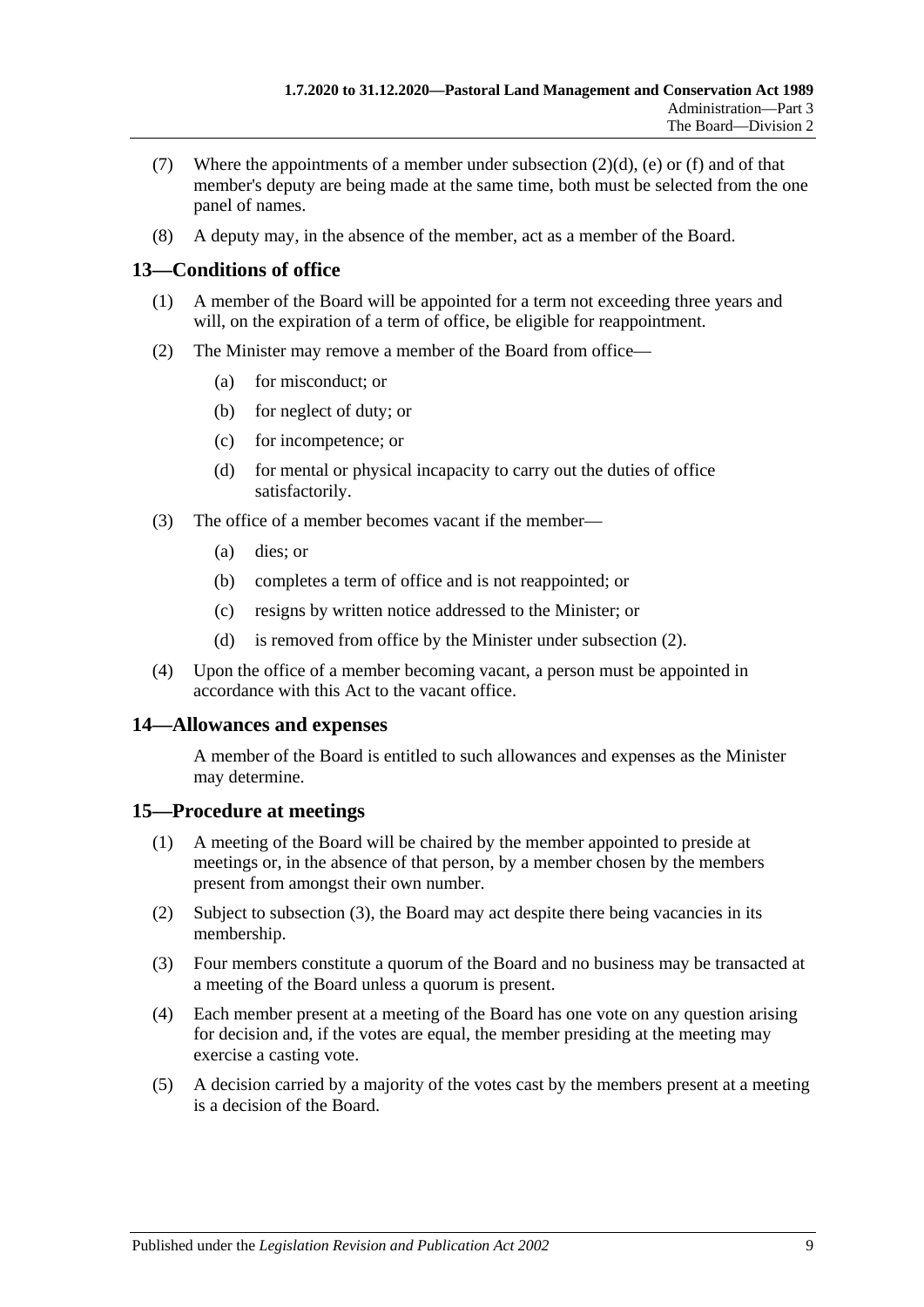- (7) Where the appointments of a member under [subsection](#page-7-3)  $(2)(d)$ , [\(e\)](#page-7-4) or [\(f\)](#page-7-5) and of that member's deputy are being made at the same time, both must be selected from the one panel of names.
- (8) A deputy may, in the absence of the member, act as a member of the Board.

# <span id="page-8-0"></span>**13—Conditions of office**

- (1) A member of the Board will be appointed for a term not exceeding three years and will, on the expiration of a term of office, be eligible for reappointment.
- <span id="page-8-3"></span>(2) The Minister may remove a member of the Board from office—
	- (a) for misconduct; or
	- (b) for neglect of duty; or
	- (c) for incompetence; or
	- (d) for mental or physical incapacity to carry out the duties of office satisfactorily.
- (3) The office of a member becomes vacant if the member—
	- (a) dies; or
	- (b) completes a term of office and is not reappointed; or
	- (c) resigns by written notice addressed to the Minister; or
	- (d) is removed from office by the Minister under [subsection](#page-8-3) (2).
- (4) Upon the office of a member becoming vacant, a person must be appointed in accordance with this Act to the vacant office.

### <span id="page-8-1"></span>**14—Allowances and expenses**

A member of the Board is entitled to such allowances and expenses as the Minister may determine.

### <span id="page-8-2"></span>**15—Procedure at meetings**

- (1) A meeting of the Board will be chaired by the member appointed to preside at meetings or, in the absence of that person, by a member chosen by the members present from amongst their own number.
- (2) Subject to [subsection](#page-8-4) (3), the Board may act despite there being vacancies in its membership.
- <span id="page-8-4"></span>(3) Four members constitute a quorum of the Board and no business may be transacted at a meeting of the Board unless a quorum is present.
- (4) Each member present at a meeting of the Board has one vote on any question arising for decision and, if the votes are equal, the member presiding at the meeting may exercise a casting vote.
- (5) A decision carried by a majority of the votes cast by the members present at a meeting is a decision of the Board.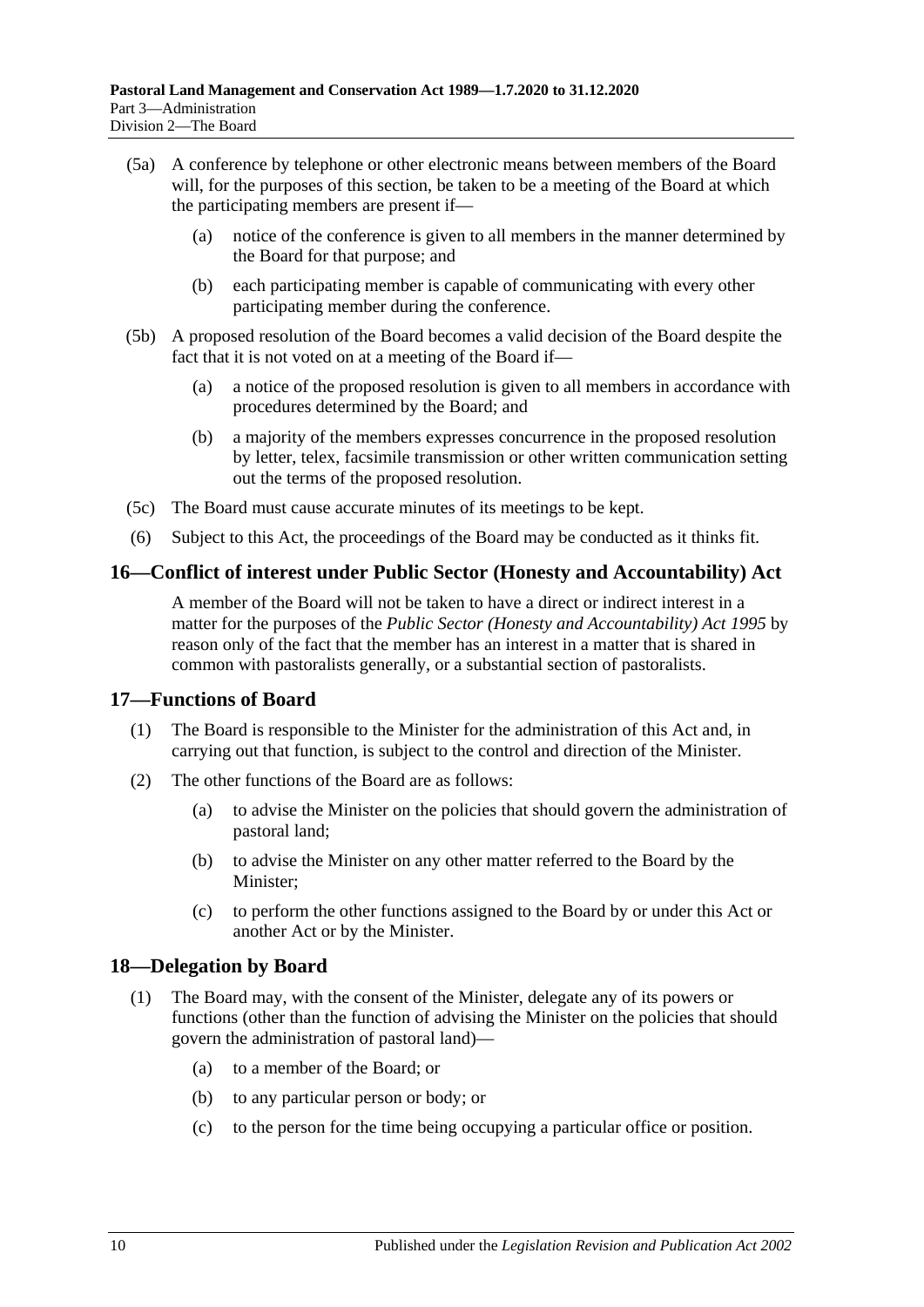- (5a) A conference by telephone or other electronic means between members of the Board will, for the purposes of this section, be taken to be a meeting of the Board at which the participating members are present if—
	- (a) notice of the conference is given to all members in the manner determined by the Board for that purpose; and
	- (b) each participating member is capable of communicating with every other participating member during the conference.
- (5b) A proposed resolution of the Board becomes a valid decision of the Board despite the fact that it is not voted on at a meeting of the Board if—
	- (a) a notice of the proposed resolution is given to all members in accordance with procedures determined by the Board; and
	- (b) a majority of the members expresses concurrence in the proposed resolution by letter, telex, facsimile transmission or other written communication setting out the terms of the proposed resolution.
- (5c) The Board must cause accurate minutes of its meetings to be kept.
- (6) Subject to this Act, the proceedings of the Board may be conducted as it thinks fit.

### <span id="page-9-0"></span>**16—Conflict of interest under Public Sector (Honesty and Accountability) Act**

A member of the Board will not be taken to have a direct or indirect interest in a matter for the purposes of the *[Public Sector \(Honesty and Accountability\) Act](http://www.legislation.sa.gov.au/index.aspx?action=legref&type=act&legtitle=Public%20Sector%20(Honesty%20and%20Accountability)%20Act%201995) 1995* by reason only of the fact that the member has an interest in a matter that is shared in common with pastoralists generally, or a substantial section of pastoralists.

#### <span id="page-9-1"></span>**17—Functions of Board**

- (1) The Board is responsible to the Minister for the administration of this Act and, in carrying out that function, is subject to the control and direction of the Minister.
- (2) The other functions of the Board are as follows:
	- (a) to advise the Minister on the policies that should govern the administration of pastoral land;
	- (b) to advise the Minister on any other matter referred to the Board by the Minister;
	- (c) to perform the other functions assigned to the Board by or under this Act or another Act or by the Minister.

### <span id="page-9-2"></span>**18—Delegation by Board**

- (1) The Board may, with the consent of the Minister, delegate any of its powers or functions (other than the function of advising the Minister on the policies that should govern the administration of pastoral land)—
	- (a) to a member of the Board; or
	- (b) to any particular person or body; or
	- (c) to the person for the time being occupying a particular office or position.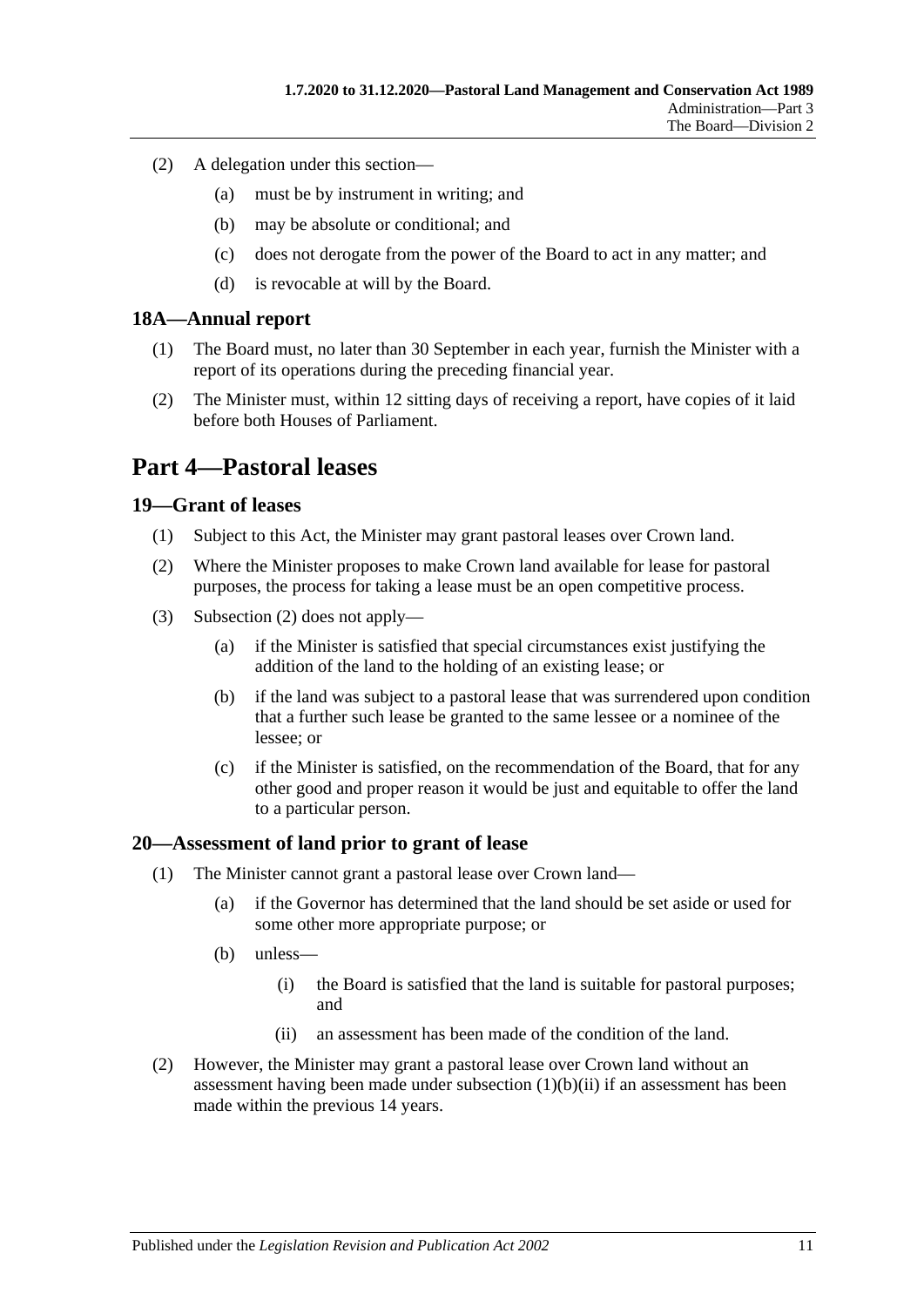- (2) A delegation under this section—
	- (a) must be by instrument in writing; and
	- (b) may be absolute or conditional; and
	- (c) does not derogate from the power of the Board to act in any matter; and
	- (d) is revocable at will by the Board.

#### <span id="page-10-0"></span>**18A—Annual report**

- (1) The Board must, no later than 30 September in each year, furnish the Minister with a report of its operations during the preceding financial year.
- (2) The Minister must, within 12 sitting days of receiving a report, have copies of it laid before both Houses of Parliament.

# <span id="page-10-1"></span>**Part 4—Pastoral leases**

#### <span id="page-10-2"></span>**19—Grant of leases**

- (1) Subject to this Act, the Minister may grant pastoral leases over Crown land.
- <span id="page-10-4"></span>(2) Where the Minister proposes to make Crown land available for lease for pastoral purposes, the process for taking a lease must be an open competitive process.
- (3) [Subsection](#page-10-4) (2) does not apply—
	- (a) if the Minister is satisfied that special circumstances exist justifying the addition of the land to the holding of an existing lease; or
	- (b) if the land was subject to a pastoral lease that was surrendered upon condition that a further such lease be granted to the same lessee or a nominee of the lessee; or
	- (c) if the Minister is satisfied, on the recommendation of the Board, that for any other good and proper reason it would be just and equitable to offer the land to a particular person.

#### <span id="page-10-3"></span>**20—Assessment of land prior to grant of lease**

- (1) The Minister cannot grant a pastoral lease over Crown land—
	- (a) if the Governor has determined that the land should be set aside or used for some other more appropriate purpose; or
	- (b) unless—
		- (i) the Board is satisfied that the land is suitable for pastoral purposes; and
		- (ii) an assessment has been made of the condition of the land.
- <span id="page-10-5"></span>(2) However, the Minister may grant a pastoral lease over Crown land without an assessment having been made under [subsection](#page-10-5) (1)(b)(ii) if an assessment has been made within the previous 14 years.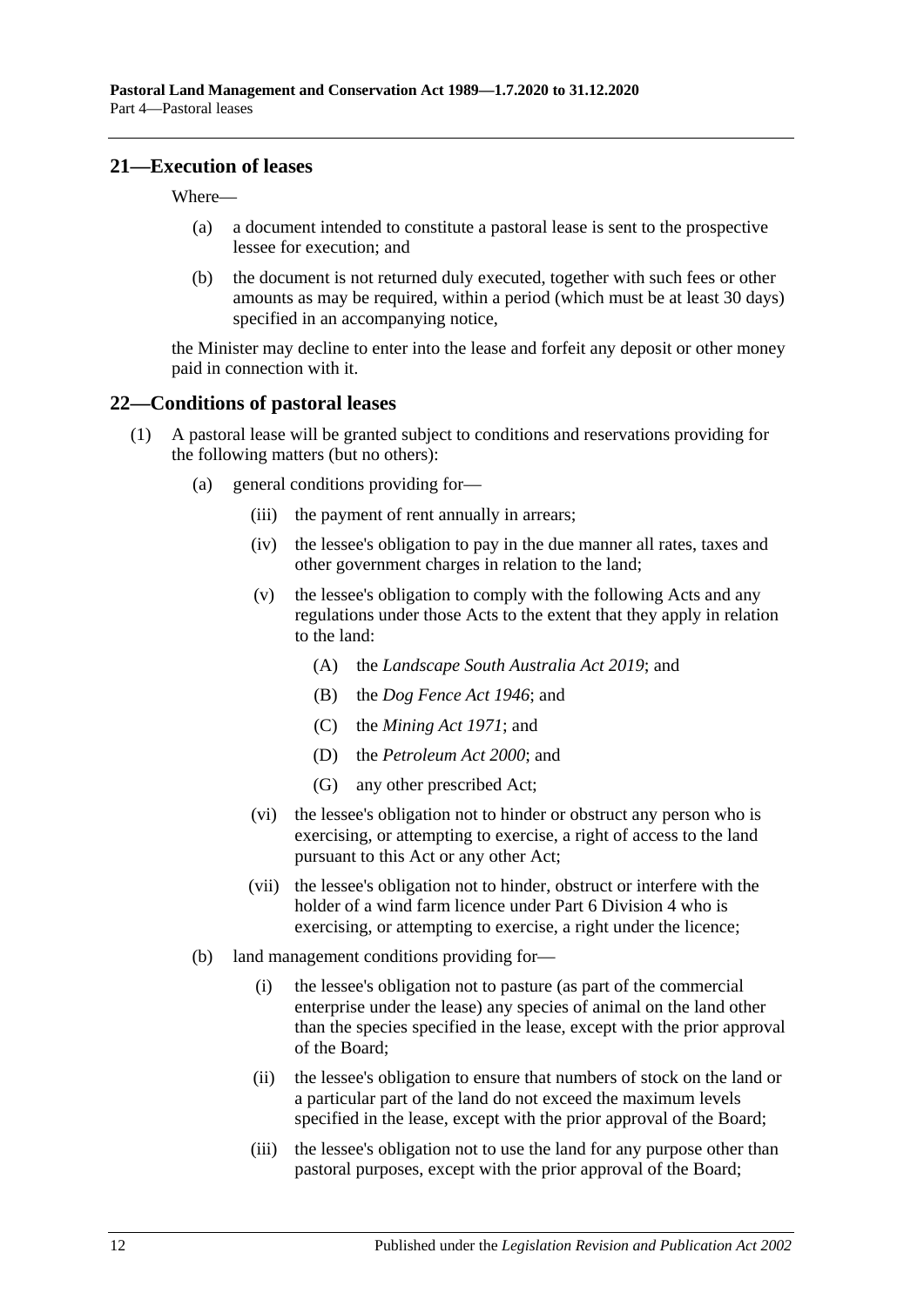#### <span id="page-11-0"></span>**21—Execution of leases**

Where—

- (a) a document intended to constitute a pastoral lease is sent to the prospective lessee for execution; and
- (b) the document is not returned duly executed, together with such fees or other amounts as may be required, within a period (which must be at least 30 days) specified in an accompanying notice,

the Minister may decline to enter into the lease and forfeit any deposit or other money paid in connection with it.

#### <span id="page-11-1"></span>**22—Conditions of pastoral leases**

- <span id="page-11-4"></span><span id="page-11-3"></span><span id="page-11-2"></span>(1) A pastoral lease will be granted subject to conditions and reservations providing for the following matters (but no others):
	- (a) general conditions providing for—
		- (iii) the payment of rent annually in arrears;
		- (iv) the lessee's obligation to pay in the due manner all rates, taxes and other government charges in relation to the land;
		- (v) the lessee's obligation to comply with the following Acts and any regulations under those Acts to the extent that they apply in relation to the land:
			- (A) the *[Landscape South Australia Act](http://www.legislation.sa.gov.au/index.aspx?action=legref&type=act&legtitle=Landscape%20South%20Australia%20Act%202019) 2019*; and
			- (B) the *[Dog Fence Act](http://www.legislation.sa.gov.au/index.aspx?action=legref&type=act&legtitle=Dog%20Fence%20Act%201946) 1946*; and
			- (C) the *[Mining Act](http://www.legislation.sa.gov.au/index.aspx?action=legref&type=act&legtitle=Mining%20Act%201971) 1971*; and
			- (D) the *[Petroleum Act](http://www.legislation.sa.gov.au/index.aspx?action=legref&type=act&legtitle=Petroleum%20Act%202000) 2000*; and
			- (G) any other prescribed Act;
		- (vi) the lessee's obligation not to hinder or obstruct any person who is exercising, or attempting to exercise, a right of access to the land pursuant to this Act or any other Act;
		- (vii) the lessee's obligation not to hinder, obstruct or interfere with the holder of a wind farm licence under [Part 6 Division](#page-32-1) 4 who is exercising, or attempting to exercise, a right under the licence;
	- (b) land management conditions providing for—
		- (i) the lessee's obligation not to pasture (as part of the commercial enterprise under the lease) any species of animal on the land other than the species specified in the lease, except with the prior approval of the Board;
		- (ii) the lessee's obligation to ensure that numbers of stock on the land or a particular part of the land do not exceed the maximum levels specified in the lease, except with the prior approval of the Board;
		- (iii) the lessee's obligation not to use the land for any purpose other than pastoral purposes, except with the prior approval of the Board;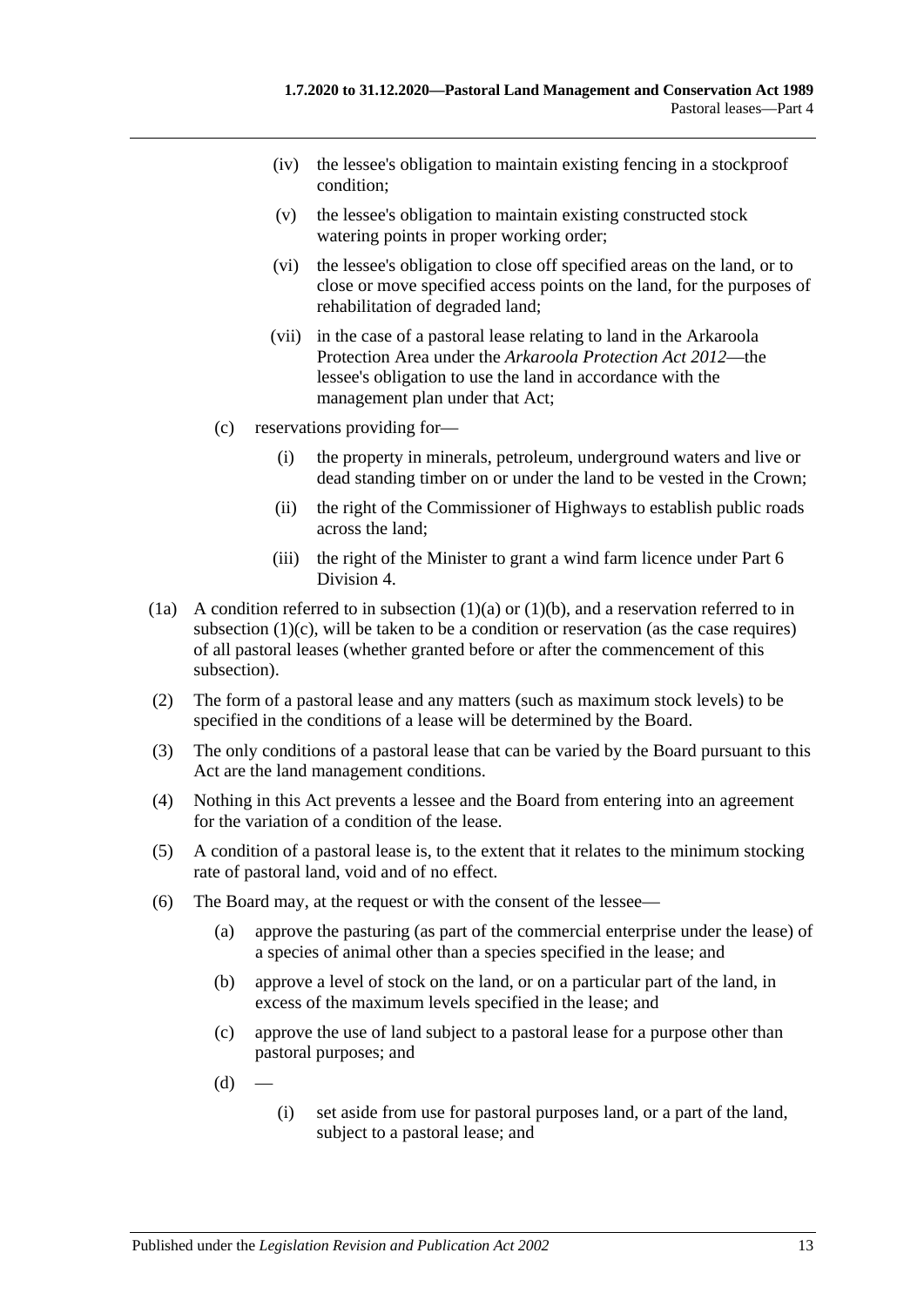- (iv) the lessee's obligation to maintain existing fencing in a stockproof condition;
- (v) the lessee's obligation to maintain existing constructed stock watering points in proper working order;
- (vi) the lessee's obligation to close off specified areas on the land, or to close or move specified access points on the land, for the purposes of rehabilitation of degraded land;
- (vii) in the case of a pastoral lease relating to land in the Arkaroola Protection Area under the *[Arkaroola Protection Act](http://www.legislation.sa.gov.au/index.aspx?action=legref&type=act&legtitle=Arkaroola%20Protection%20Act%202012) 2012*—the lessee's obligation to use the land in accordance with the management plan under that Act;
- <span id="page-12-0"></span>(c) reservations providing for—
	- (i) the property in minerals, petroleum, underground waters and live or dead standing timber on or under the land to be vested in the Crown;
	- (ii) the right of the Commissioner of Highways to establish public roads across the land;
	- (iii) the right of the Minister to grant a wind farm licence under [Part 6](#page-32-1)  [Division](#page-32-1) 4.
- (1a) A condition referred to in [subsection](#page-11-2)  $(1)(a)$  or  $(1)(b)$ , and a reservation referred to in [subsection](#page-12-0) (1)(c), will be taken to be a condition or reservation (as the case requires) of all pastoral leases (whether granted before or after the commencement of this subsection).
- (2) The form of a pastoral lease and any matters (such as maximum stock levels) to be specified in the conditions of a lease will be determined by the Board.
- (3) The only conditions of a pastoral lease that can be varied by the Board pursuant to this Act are the land management conditions.
- (4) Nothing in this Act prevents a lessee and the Board from entering into an agreement for the variation of a condition of the lease.
- (5) A condition of a pastoral lease is, to the extent that it relates to the minimum stocking rate of pastoral land, void and of no effect.
- <span id="page-12-1"></span>(6) The Board may, at the request or with the consent of the lessee—
	- (a) approve the pasturing (as part of the commercial enterprise under the lease) of a species of animal other than a species specified in the lease; and
	- (b) approve a level of stock on the land, or on a particular part of the land, in excess of the maximum levels specified in the lease; and
	- (c) approve the use of land subject to a pastoral lease for a purpose other than pastoral purposes; and
	- $(d)$
- (i) set aside from use for pastoral purposes land, or a part of the land, subject to a pastoral lease; and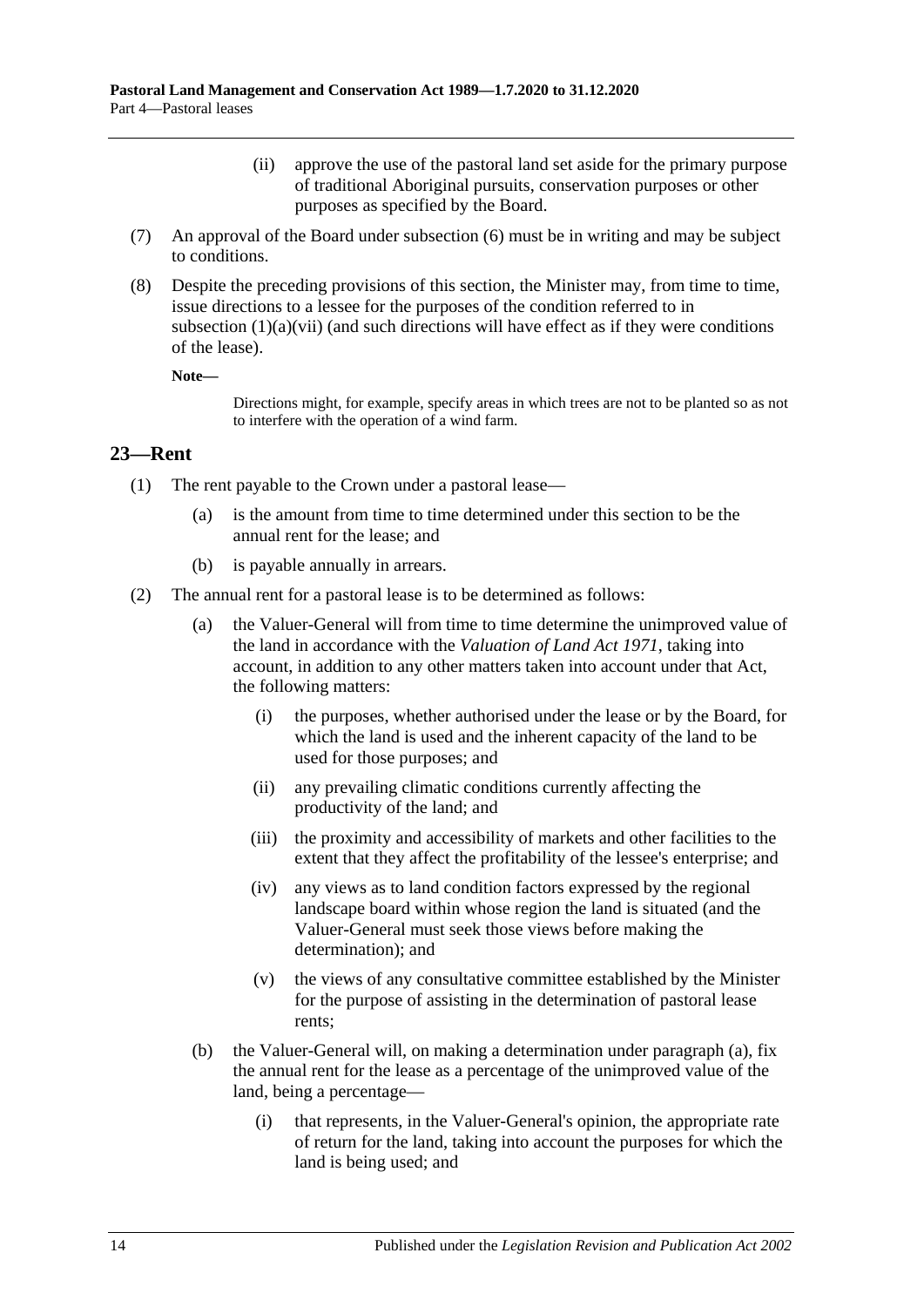- (ii) approve the use of the pastoral land set aside for the primary purpose of traditional Aboriginal pursuits, conservation purposes or other purposes as specified by the Board.
- (7) An approval of the Board under [subsection](#page-12-1) (6) must be in writing and may be subject to conditions.
- (8) Despite the preceding provisions of this section, the Minister may, from time to time, issue directions to a lessee for the purposes of the condition referred to in [subsection](#page-11-4)  $(1)(a)(vi)$  (and such directions will have effect as if they were conditions of the lease).

**Note—**

Directions might, for example, specify areas in which trees are not to be planted so as not to interfere with the operation of a wind farm.

#### <span id="page-13-0"></span>**23—Rent**

- (1) The rent payable to the Crown under a pastoral lease—
	- (a) is the amount from time to time determined under this section to be the annual rent for the lease; and
	- (b) is payable annually in arrears.
- <span id="page-13-1"></span>(2) The annual rent for a pastoral lease is to be determined as follows:
	- (a) the Valuer-General will from time to time determine the unimproved value of the land in accordance with the *[Valuation of Land Act](http://www.legislation.sa.gov.au/index.aspx?action=legref&type=act&legtitle=Valuation%20of%20Land%20Act%201971) 1971*, taking into account, in addition to any other matters taken into account under that Act, the following matters:
		- (i) the purposes, whether authorised under the lease or by the Board, for which the land is used and the inherent capacity of the land to be used for those purposes; and
		- (ii) any prevailing climatic conditions currently affecting the productivity of the land; and
		- (iii) the proximity and accessibility of markets and other facilities to the extent that they affect the profitability of the lessee's enterprise; and
		- (iv) any views as to land condition factors expressed by the regional landscape board within whose region the land is situated (and the Valuer-General must seek those views before making the determination); and
		- (v) the views of any consultative committee established by the Minister for the purpose of assisting in the determination of pastoral lease rents;
	- (b) the Valuer-General will, on making a determination under [paragraph](#page-13-1) (a), fix the annual rent for the lease as a percentage of the unimproved value of the land, being a percentage—
		- (i) that represents, in the Valuer-General's opinion, the appropriate rate of return for the land, taking into account the purposes for which the land is being used; and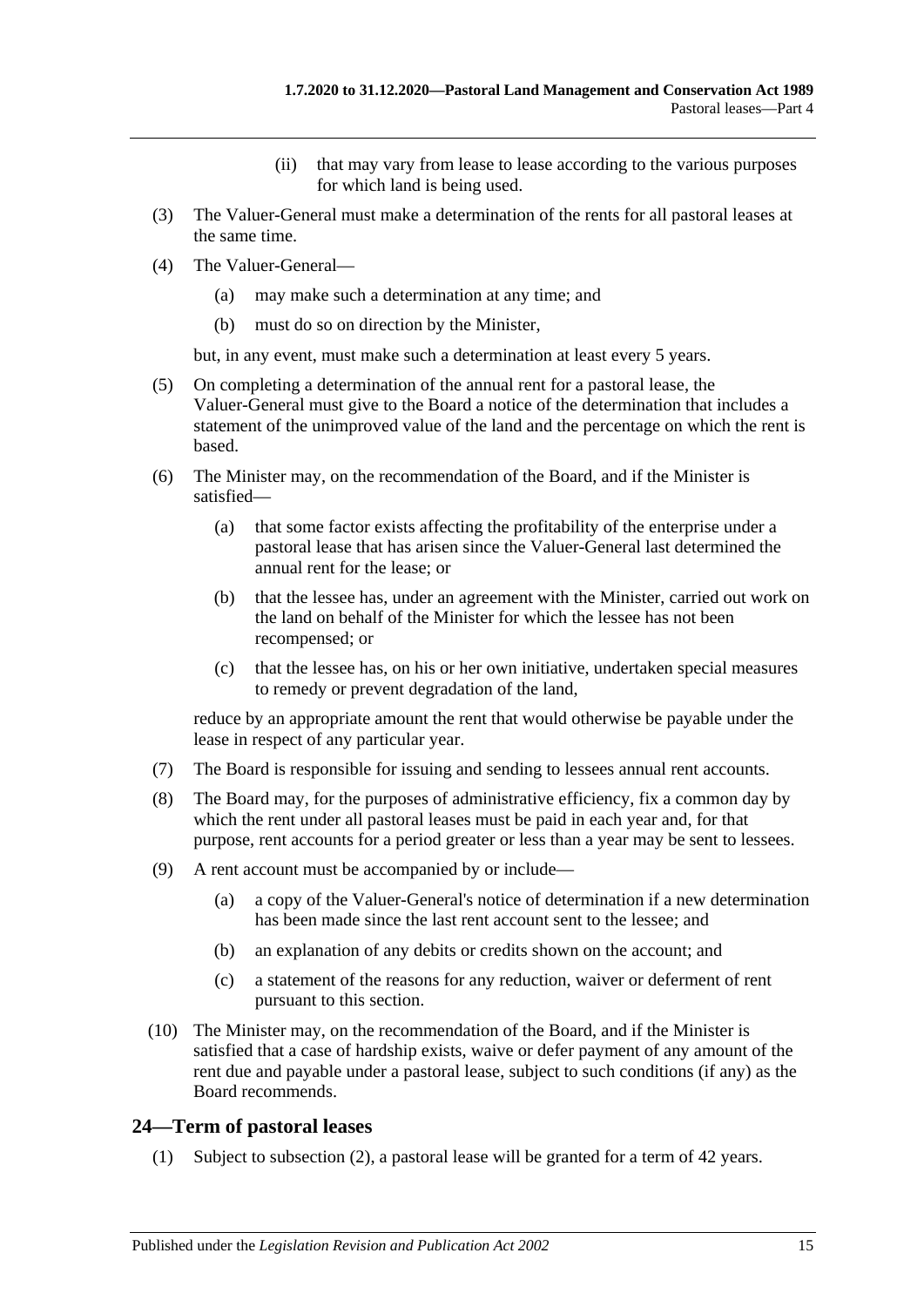- (ii) that may vary from lease to lease according to the various purposes for which land is being used.
- (3) The Valuer-General must make a determination of the rents for all pastoral leases at the same time.
- (4) The Valuer-General—
	- (a) may make such a determination at any time; and
	- (b) must do so on direction by the Minister,

but, in any event, must make such a determination at least every 5 years.

- (5) On completing a determination of the annual rent for a pastoral lease, the Valuer-General must give to the Board a notice of the determination that includes a statement of the unimproved value of the land and the percentage on which the rent is based.
- (6) The Minister may, on the recommendation of the Board, and if the Minister is satisfied—
	- (a) that some factor exists affecting the profitability of the enterprise under a pastoral lease that has arisen since the Valuer-General last determined the annual rent for the lease; or
	- (b) that the lessee has, under an agreement with the Minister, carried out work on the land on behalf of the Minister for which the lessee has not been recompensed; or
	- (c) that the lessee has, on his or her own initiative, undertaken special measures to remedy or prevent degradation of the land,

reduce by an appropriate amount the rent that would otherwise be payable under the lease in respect of any particular year.

- (7) The Board is responsible for issuing and sending to lessees annual rent accounts.
- (8) The Board may, for the purposes of administrative efficiency, fix a common day by which the rent under all pastoral leases must be paid in each year and, for that purpose, rent accounts for a period greater or less than a year may be sent to lessees.
- (9) A rent account must be accompanied by or include—
	- (a) a copy of the Valuer-General's notice of determination if a new determination has been made since the last rent account sent to the lessee; and
	- (b) an explanation of any debits or credits shown on the account; and
	- (c) a statement of the reasons for any reduction, waiver or deferment of rent pursuant to this section.
- (10) The Minister may, on the recommendation of the Board, and if the Minister is satisfied that a case of hardship exists, waive or defer payment of any amount of the rent due and payable under a pastoral lease, subject to such conditions (if any) as the Board recommends.

### <span id="page-14-0"></span>**24—Term of pastoral leases**

(1) Subject to [subsection](#page-15-2) (2), a pastoral lease will be granted for a term of 42 years.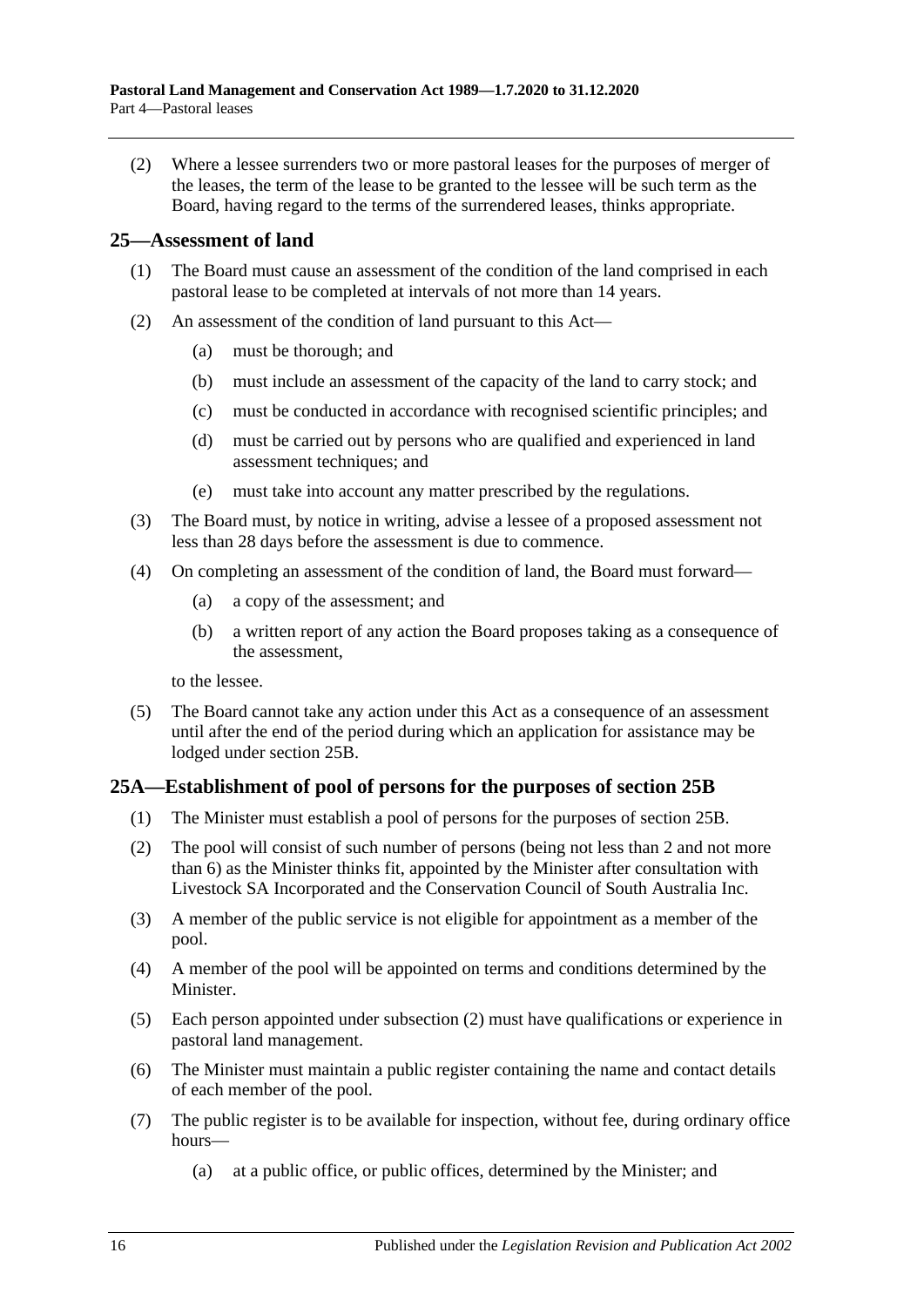<span id="page-15-2"></span>(2) Where a lessee surrenders two or more pastoral leases for the purposes of merger of the leases, the term of the lease to be granted to the lessee will be such term as the Board, having regard to the terms of the surrendered leases, thinks appropriate.

#### <span id="page-15-0"></span>**25—Assessment of land**

- (1) The Board must cause an assessment of the condition of the land comprised in each pastoral lease to be completed at intervals of not more than 14 years.
- (2) An assessment of the condition of land pursuant to this Act—
	- (a) must be thorough; and
	- (b) must include an assessment of the capacity of the land to carry stock; and
	- (c) must be conducted in accordance with recognised scientific principles; and
	- (d) must be carried out by persons who are qualified and experienced in land assessment techniques; and
	- (e) must take into account any matter prescribed by the regulations.
- (3) The Board must, by notice in writing, advise a lessee of a proposed assessment not less than 28 days before the assessment is due to commence.
- <span id="page-15-4"></span>(4) On completing an assessment of the condition of land, the Board must forward—
	- (a) a copy of the assessment; and
	- (b) a written report of any action the Board proposes taking as a consequence of the assessment,

to the lessee.

(5) The Board cannot take any action under this Act as a consequence of an assessment until after the end of the period during which an application for assistance may be lodged under [section](#page-16-0) 25B.

### <span id="page-15-1"></span>**25A—Establishment of pool of persons for the purposes of [section](#page-16-0) 25B**

- (1) The Minister must establish a pool of persons for the purposes of [section](#page-16-0) 25B.
- <span id="page-15-3"></span>(2) The pool will consist of such number of persons (being not less than 2 and not more than 6) as the Minister thinks fit, appointed by the Minister after consultation with Livestock SA Incorporated and the Conservation Council of South Australia Inc.
- (3) A member of the public service is not eligible for appointment as a member of the pool.
- (4) A member of the pool will be appointed on terms and conditions determined by the Minister.
- (5) Each person appointed under [subsection](#page-15-3) (2) must have qualifications or experience in pastoral land management.
- (6) The Minister must maintain a public register containing the name and contact details of each member of the pool.
- (7) The public register is to be available for inspection, without fee, during ordinary office hours—
	- (a) at a public office, or public offices, determined by the Minister; and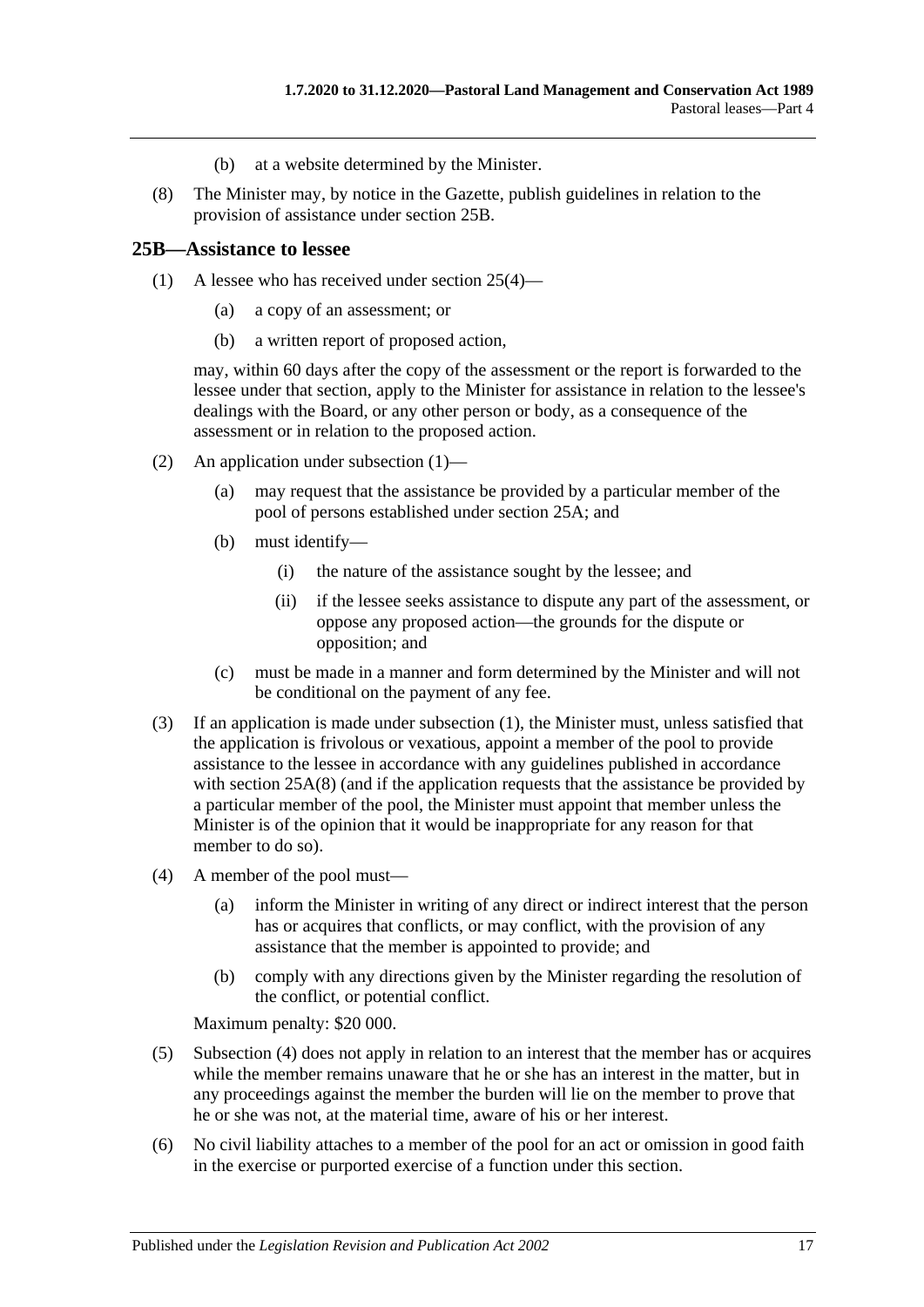- (b) at a website determined by the Minister.
- <span id="page-16-2"></span>(8) The Minister may, by notice in the Gazette, publish guidelines in relation to the provision of assistance under [section](#page-16-0) 25B.

#### <span id="page-16-1"></span><span id="page-16-0"></span>**25B—Assistance to lessee**

- (1) A lessee who has received under [section](#page-15-4) 25(4)—
	- (a) a copy of an assessment; or
	- (b) a written report of proposed action,

may, within 60 days after the copy of the assessment or the report is forwarded to the lessee under that section, apply to the Minister for assistance in relation to the lessee's dealings with the Board, or any other person or body, as a consequence of the assessment or in relation to the proposed action.

- (2) An application under [subsection](#page-16-1) (1)—
	- (a) may request that the assistance be provided by a particular member of the pool of persons established under [section](#page-15-1) 25A; and
	- (b) must identify—
		- (i) the nature of the assistance sought by the lessee; and
		- (ii) if the lessee seeks assistance to dispute any part of the assessment, or oppose any proposed action—the grounds for the dispute or opposition; and
	- (c) must be made in a manner and form determined by the Minister and will not be conditional on the payment of any fee.
- (3) If an application is made under [subsection](#page-16-1) (1), the Minister must, unless satisfied that the application is frivolous or vexatious, appoint a member of the pool to provide assistance to the lessee in accordance with any guidelines published in accordance with [section](#page-16-2) 25A(8) (and if the application requests that the assistance be provided by a particular member of the pool, the Minister must appoint that member unless the Minister is of the opinion that it would be inappropriate for any reason for that member to do so).
- <span id="page-16-3"></span>(4) A member of the pool must—
	- (a) inform the Minister in writing of any direct or indirect interest that the person has or acquires that conflicts, or may conflict, with the provision of any assistance that the member is appointed to provide; and
	- (b) comply with any directions given by the Minister regarding the resolution of the conflict, or potential conflict.

Maximum penalty: \$20 000.

- (5) [Subsection](#page-16-3) (4) does not apply in relation to an interest that the member has or acquires while the member remains unaware that he or she has an interest in the matter, but in any proceedings against the member the burden will lie on the member to prove that he or she was not, at the material time, aware of his or her interest.
- (6) No civil liability attaches to a member of the pool for an act or omission in good faith in the exercise or purported exercise of a function under this section.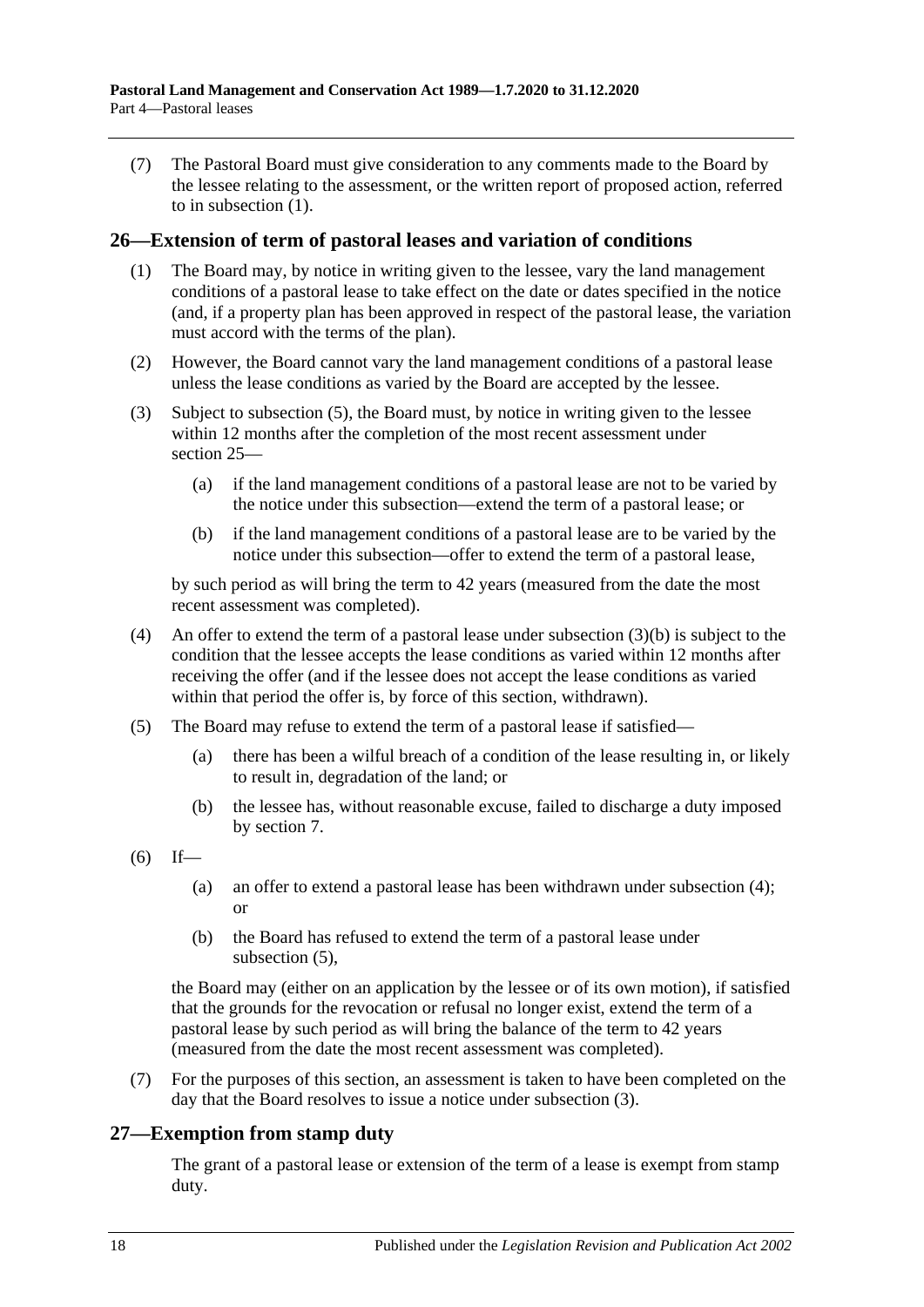(7) The Pastoral Board must give consideration to any comments made to the Board by the lessee relating to the assessment, or the written report of proposed action, referred to in [subsection](#page-16-1) (1).

#### <span id="page-17-0"></span>**26—Extension of term of pastoral leases and variation of conditions**

- (1) The Board may, by notice in writing given to the lessee, vary the land management conditions of a pastoral lease to take effect on the date or dates specified in the notice (and, if a property plan has been approved in respect of the pastoral lease, the variation must accord with the terms of the plan).
- (2) However, the Board cannot vary the land management conditions of a pastoral lease unless the lease conditions as varied by the Board are accepted by the lessee.
- <span id="page-17-5"></span>(3) Subject to [subsection](#page-17-2) (5), the Board must, by notice in writing given to the lessee within 12 months after the completion of the most recent assessment under [section](#page-15-0) 25—
	- (a) if the land management conditions of a pastoral lease are not to be varied by the notice under this subsection—extend the term of a pastoral lease; or
	- (b) if the land management conditions of a pastoral lease are to be varied by the notice under this subsection—offer to extend the term of a pastoral lease,

<span id="page-17-3"></span>by such period as will bring the term to 42 years (measured from the date the most recent assessment was completed).

- <span id="page-17-4"></span>(4) An offer to extend the term of a pastoral lease under [subsection](#page-17-3)  $(3)(b)$  is subject to the condition that the lessee accepts the lease conditions as varied within 12 months after receiving the offer (and if the lessee does not accept the lease conditions as varied within that period the offer is, by force of this section, withdrawn).
- <span id="page-17-2"></span>(5) The Board may refuse to extend the term of a pastoral lease if satisfied—
	- (a) there has been a wilful breach of a condition of the lease resulting in, or likely to result in, degradation of the land; or
	- (b) the lessee has, without reasonable excuse, failed to discharge a duty imposed by [section](#page-5-1) 7.
- $(6)$  If—
	- (a) an offer to extend a pastoral lease has been withdrawn under [subsection](#page-17-4) (4); or
	- (b) the Board has refused to extend the term of a pastoral lease under [subsection](#page-17-2) (5),

the Board may (either on an application by the lessee or of its own motion), if satisfied that the grounds for the revocation or refusal no longer exist, extend the term of a pastoral lease by such period as will bring the balance of the term to 42 years (measured from the date the most recent assessment was completed).

(7) For the purposes of this section, an assessment is taken to have been completed on the day that the Board resolves to issue a notice under [subsection](#page-17-5) (3).

### <span id="page-17-1"></span>**27—Exemption from stamp duty**

The grant of a pastoral lease or extension of the term of a lease is exempt from stamp duty.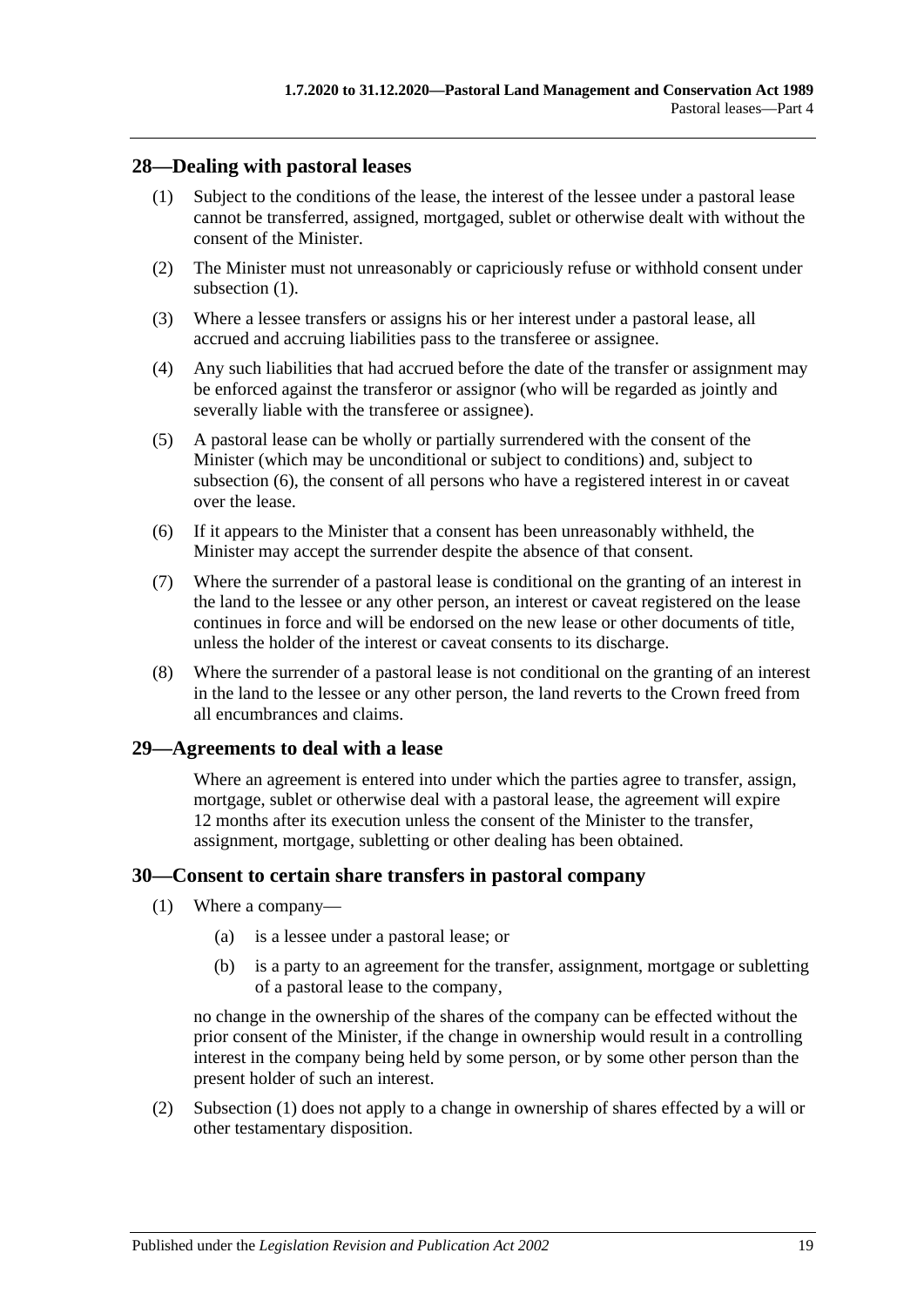### <span id="page-18-3"></span><span id="page-18-0"></span>**28—Dealing with pastoral leases**

- (1) Subject to the conditions of the lease, the interest of the lessee under a pastoral lease cannot be transferred, assigned, mortgaged, sublet or otherwise dealt with without the consent of the Minister.
- (2) The Minister must not unreasonably or capriciously refuse or withhold consent under [subsection](#page-18-3) (1).
- (3) Where a lessee transfers or assigns his or her interest under a pastoral lease, all accrued and accruing liabilities pass to the transferee or assignee.
- (4) Any such liabilities that had accrued before the date of the transfer or assignment may be enforced against the transferor or assignor (who will be regarded as jointly and severally liable with the transferee or assignee).
- (5) A pastoral lease can be wholly or partially surrendered with the consent of the Minister (which may be unconditional or subject to conditions) and, subject to [subsection](#page-18-4) (6), the consent of all persons who have a registered interest in or caveat over the lease.
- <span id="page-18-4"></span>(6) If it appears to the Minister that a consent has been unreasonably withheld, the Minister may accept the surrender despite the absence of that consent.
- (7) Where the surrender of a pastoral lease is conditional on the granting of an interest in the land to the lessee or any other person, an interest or caveat registered on the lease continues in force and will be endorsed on the new lease or other documents of title, unless the holder of the interest or caveat consents to its discharge.
- (8) Where the surrender of a pastoral lease is not conditional on the granting of an interest in the land to the lessee or any other person, the land reverts to the Crown freed from all encumbrances and claims.

### <span id="page-18-1"></span>**29—Agreements to deal with a lease**

Where an agreement is entered into under which the parties agree to transfer, assign, mortgage, sublet or otherwise deal with a pastoral lease, the agreement will expire 12 months after its execution unless the consent of the Minister to the transfer, assignment, mortgage, subletting or other dealing has been obtained.

#### <span id="page-18-5"></span><span id="page-18-2"></span>**30—Consent to certain share transfers in pastoral company**

- (1) Where a company—
	- (a) is a lessee under a pastoral lease; or
	- (b) is a party to an agreement for the transfer, assignment, mortgage or subletting of a pastoral lease to the company,

no change in the ownership of the shares of the company can be effected without the prior consent of the Minister, if the change in ownership would result in a controlling interest in the company being held by some person, or by some other person than the present holder of such an interest.

(2) [Subsection](#page-18-5) (1) does not apply to a change in ownership of shares effected by a will or other testamentary disposition.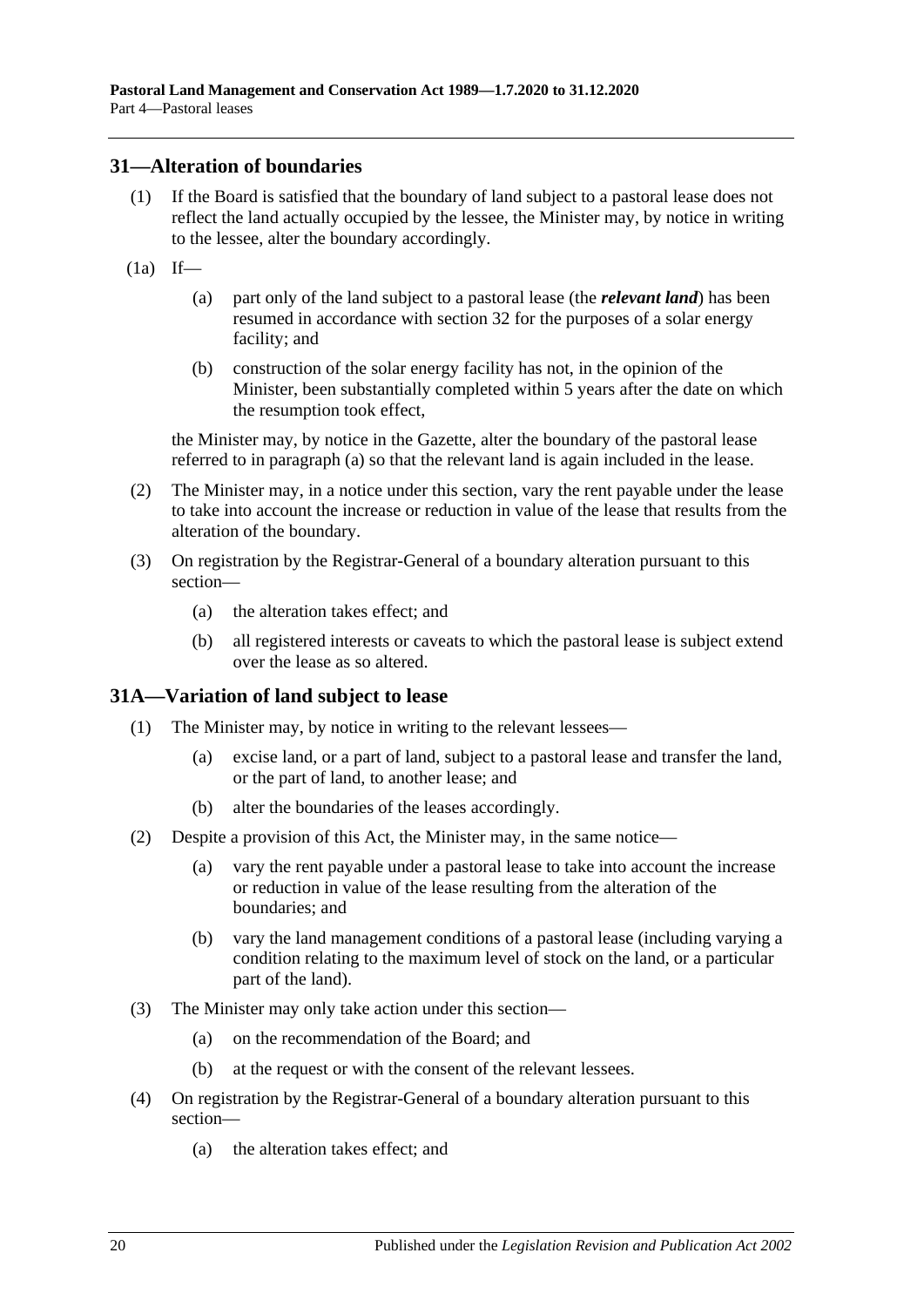#### <span id="page-19-0"></span>**31—Alteration of boundaries**

- (1) If the Board is satisfied that the boundary of land subject to a pastoral lease does not reflect the land actually occupied by the lessee, the Minister may, by notice in writing to the lessee, alter the boundary accordingly.
- <span id="page-19-2"></span> $(1a)$  If—
	- (a) part only of the land subject to a pastoral lease (the *relevant land*) has been resumed in accordance with [section](#page-20-0) 32 for the purposes of a solar energy facility; and
	- (b) construction of the solar energy facility has not, in the opinion of the Minister, been substantially completed within 5 years after the date on which the resumption took effect,

the Minister may, by notice in the Gazette, alter the boundary of the pastoral lease referred to in [paragraph](#page-19-2) (a) so that the relevant land is again included in the lease.

- (2) The Minister may, in a notice under this section, vary the rent payable under the lease to take into account the increase or reduction in value of the lease that results from the alteration of the boundary.
- (3) On registration by the Registrar-General of a boundary alteration pursuant to this section—
	- (a) the alteration takes effect; and
	- (b) all registered interests or caveats to which the pastoral lease is subject extend over the lease as so altered.

### <span id="page-19-1"></span>**31A—Variation of land subject to lease**

- (1) The Minister may, by notice in writing to the relevant lessees—
	- (a) excise land, or a part of land, subject to a pastoral lease and transfer the land, or the part of land, to another lease; and
	- (b) alter the boundaries of the leases accordingly.
- (2) Despite a provision of this Act, the Minister may, in the same notice—
	- (a) vary the rent payable under a pastoral lease to take into account the increase or reduction in value of the lease resulting from the alteration of the boundaries; and
	- (b) vary the land management conditions of a pastoral lease (including varying a condition relating to the maximum level of stock on the land, or a particular part of the land).
- (3) The Minister may only take action under this section—
	- (a) on the recommendation of the Board; and
	- (b) at the request or with the consent of the relevant lessees.
- (4) On registration by the Registrar-General of a boundary alteration pursuant to this section—
	- (a) the alteration takes effect; and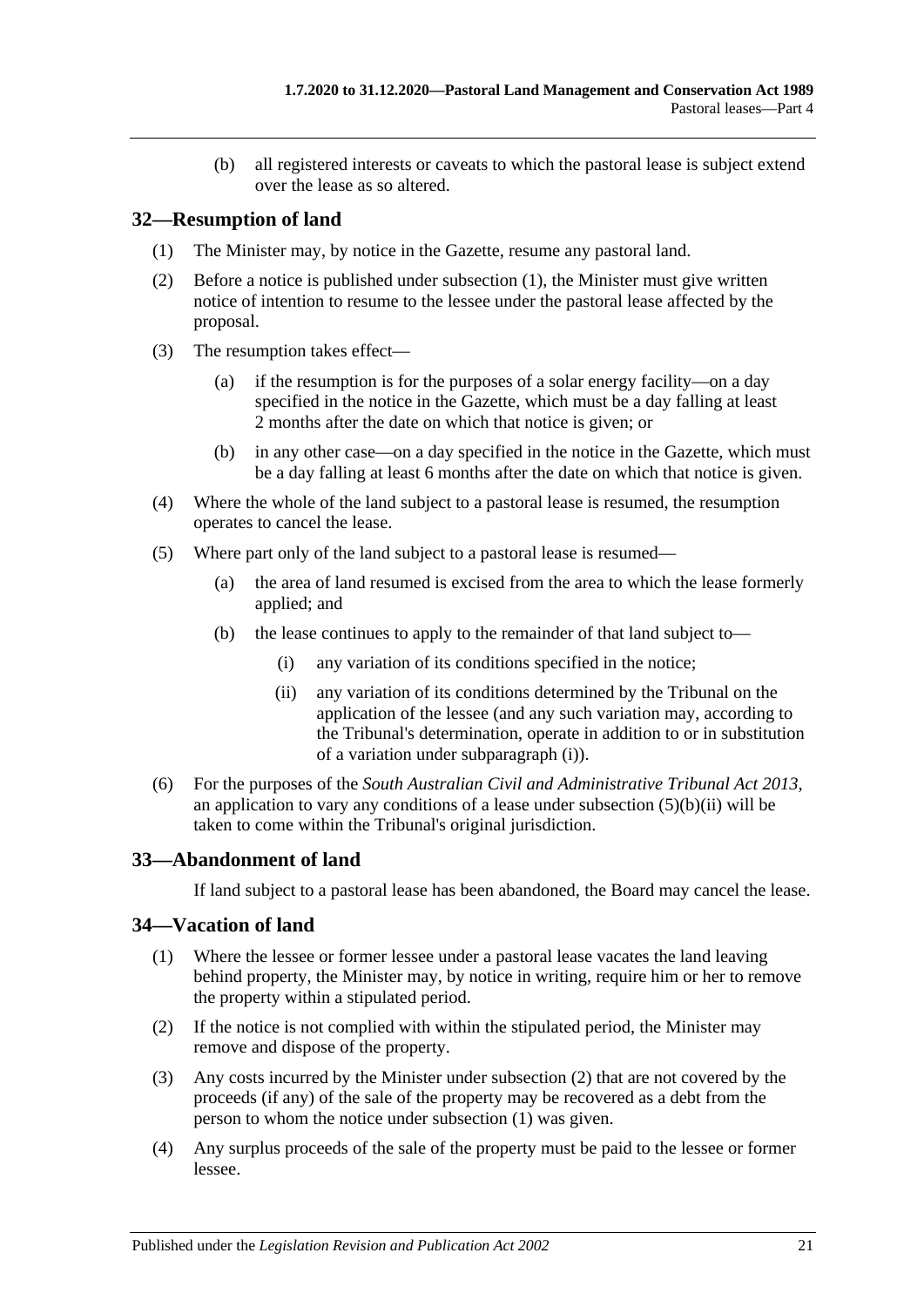(b) all registered interests or caveats to which the pastoral lease is subject extend over the lease as so altered.

## <span id="page-20-3"></span><span id="page-20-0"></span>**32—Resumption of land**

- (1) The Minister may, by notice in the Gazette, resume any pastoral land.
- (2) Before a notice is published under [subsection](#page-20-3) (1), the Minister must give written notice of intention to resume to the lessee under the pastoral lease affected by the proposal.
- (3) The resumption takes effect—
	- (a) if the resumption is for the purposes of a solar energy facility—on a day specified in the notice in the Gazette, which must be a day falling at least 2 months after the date on which that notice is given; or
	- (b) in any other case—on a day specified in the notice in the Gazette, which must be a day falling at least 6 months after the date on which that notice is given.
- (4) Where the whole of the land subject to a pastoral lease is resumed, the resumption operates to cancel the lease.
- <span id="page-20-4"></span>(5) Where part only of the land subject to a pastoral lease is resumed—
	- (a) the area of land resumed is excised from the area to which the lease formerly applied; and
	- (b) the lease continues to apply to the remainder of that land subject to—
		- (i) any variation of its conditions specified in the notice;
		- (ii) any variation of its conditions determined by the Tribunal on the application of the lessee (and any such variation may, according to the Tribunal's determination, operate in addition to or in substitution of a variation under [subparagraph](#page-20-4) (i)).
- <span id="page-20-5"></span>(6) For the purposes of the *[South Australian Civil and Administrative Tribunal Act](http://www.legislation.sa.gov.au/index.aspx?action=legref&type=act&legtitle=South%20Australian%20Civil%20and%20Administrative%20Tribunal%20Act%202013) 2013*, an application to vary any conditions of a lease under [subsection](#page-20-5)  $(5)(b)(ii)$  will be taken to come within the Tribunal's original jurisdiction.

# <span id="page-20-1"></span>**33—Abandonment of land**

If land subject to a pastoral lease has been abandoned, the Board may cancel the lease.

### <span id="page-20-7"></span><span id="page-20-2"></span>**34—Vacation of land**

- (1) Where the lessee or former lessee under a pastoral lease vacates the land leaving behind property, the Minister may, by notice in writing, require him or her to remove the property within a stipulated period.
- <span id="page-20-6"></span>(2) If the notice is not complied with within the stipulated period, the Minister may remove and dispose of the property.
- (3) Any costs incurred by the Minister under [subsection](#page-20-6) (2) that are not covered by the proceeds (if any) of the sale of the property may be recovered as a debt from the person to whom the notice under [subsection](#page-20-7) (1) was given.
- (4) Any surplus proceeds of the sale of the property must be paid to the lessee or former lessee.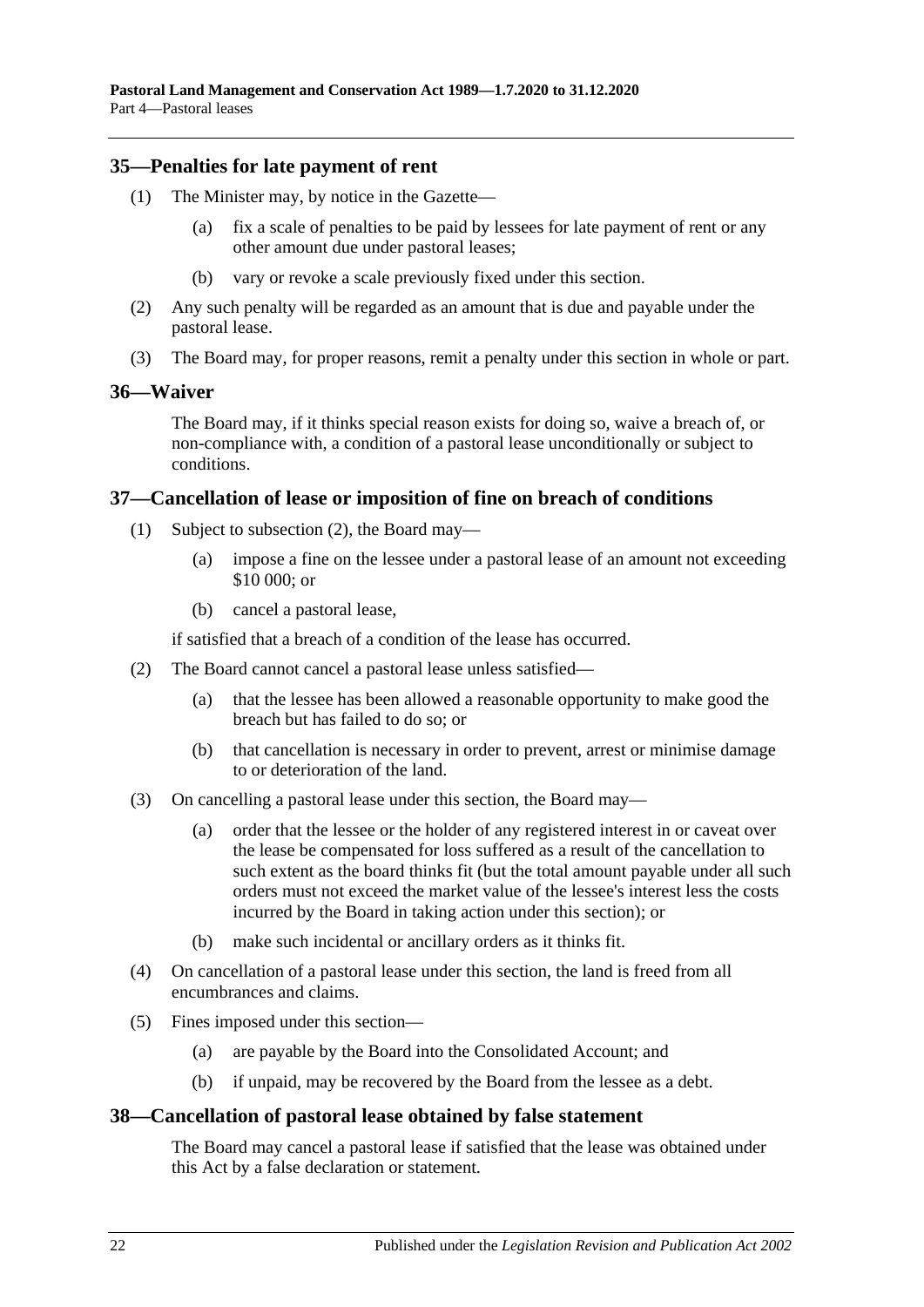#### <span id="page-21-0"></span>**35—Penalties for late payment of rent**

- (1) The Minister may, by notice in the Gazette—
	- (a) fix a scale of penalties to be paid by lessees for late payment of rent or any other amount due under pastoral leases;
	- (b) vary or revoke a scale previously fixed under this section.
- (2) Any such penalty will be regarded as an amount that is due and payable under the pastoral lease.
- (3) The Board may, for proper reasons, remit a penalty under this section in whole or part.

#### <span id="page-21-1"></span>**36—Waiver**

The Board may, if it thinks special reason exists for doing so, waive a breach of, or non-compliance with, a condition of a pastoral lease unconditionally or subject to conditions.

#### <span id="page-21-2"></span>**37—Cancellation of lease or imposition of fine on breach of conditions**

- (1) Subject to [subsection](#page-21-4) (2), the Board may—
	- (a) impose a fine on the lessee under a pastoral lease of an amount not exceeding \$10 000; or
	- (b) cancel a pastoral lease,

if satisfied that a breach of a condition of the lease has occurred.

- <span id="page-21-4"></span>(2) The Board cannot cancel a pastoral lease unless satisfied—
	- (a) that the lessee has been allowed a reasonable opportunity to make good the breach but has failed to do so; or
	- (b) that cancellation is necessary in order to prevent, arrest or minimise damage to or deterioration of the land.
- (3) On cancelling a pastoral lease under this section, the Board may—
	- (a) order that the lessee or the holder of any registered interest in or caveat over the lease be compensated for loss suffered as a result of the cancellation to such extent as the board thinks fit (but the total amount payable under all such orders must not exceed the market value of the lessee's interest less the costs incurred by the Board in taking action under this section); or
	- (b) make such incidental or ancillary orders as it thinks fit.
- (4) On cancellation of a pastoral lease under this section, the land is freed from all encumbrances and claims.
- (5) Fines imposed under this section—
	- (a) are payable by the Board into the Consolidated Account; and
	- (b) if unpaid, may be recovered by the Board from the lessee as a debt.

#### <span id="page-21-3"></span>**38—Cancellation of pastoral lease obtained by false statement**

The Board may cancel a pastoral lease if satisfied that the lease was obtained under this Act by a false declaration or statement.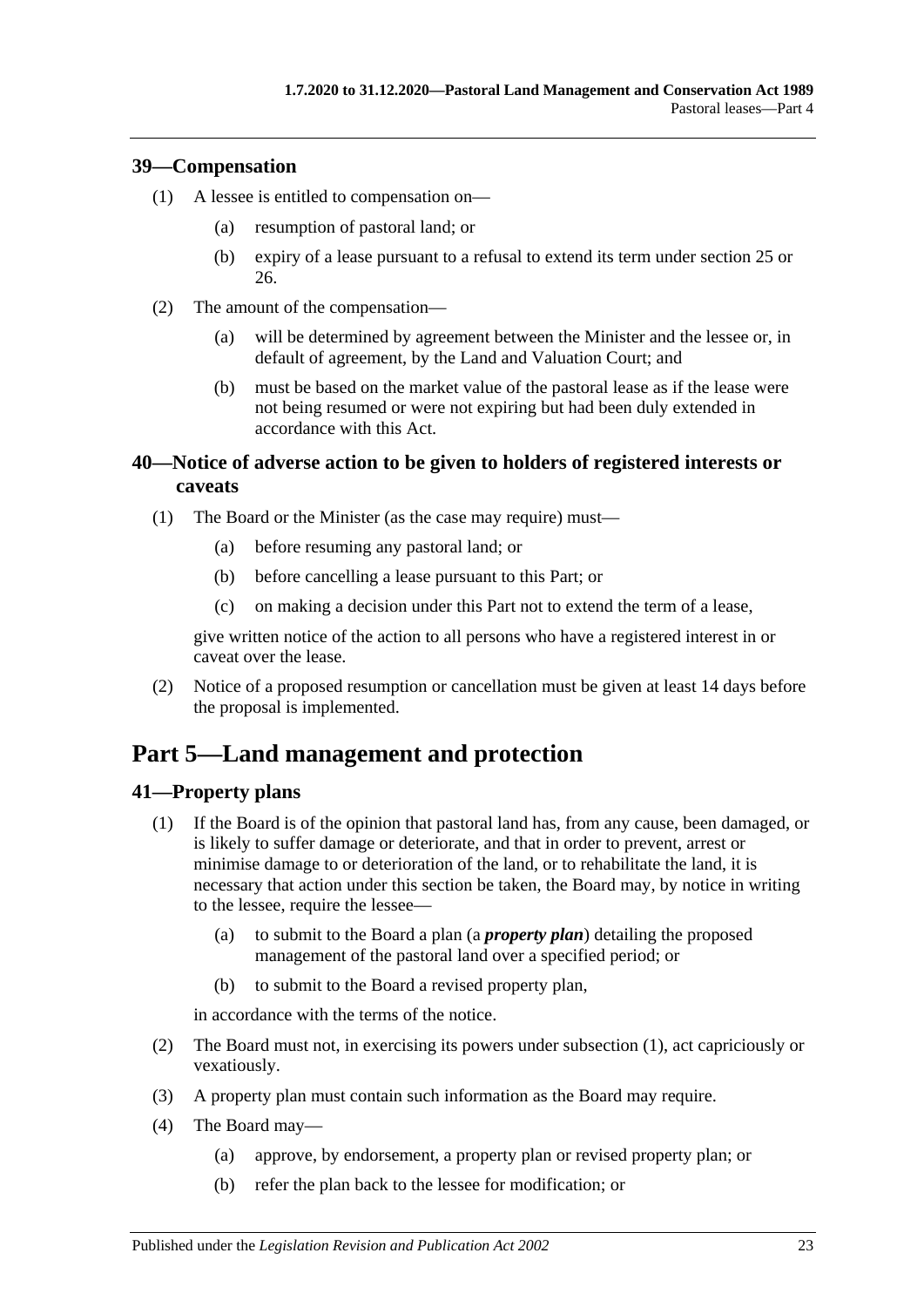### <span id="page-22-0"></span>**39—Compensation**

- (1) A lessee is entitled to compensation on—
	- (a) resumption of pastoral land; or
	- (b) expiry of a lease pursuant to a refusal to extend its term under [section](#page-15-0) 25 or [26.](#page-17-0)
- (2) The amount of the compensation—
	- (a) will be determined by agreement between the Minister and the lessee or, in default of agreement, by the Land and Valuation Court; and
	- (b) must be based on the market value of the pastoral lease as if the lease were not being resumed or were not expiring but had been duly extended in accordance with this Act.

## <span id="page-22-1"></span>**40—Notice of adverse action to be given to holders of registered interests or caveats**

- (1) The Board or the Minister (as the case may require) must—
	- (a) before resuming any pastoral land; or
	- (b) before cancelling a lease pursuant to this Part; or
	- (c) on making a decision under this Part not to extend the term of a lease,

give written notice of the action to all persons who have a registered interest in or caveat over the lease.

(2) Notice of a proposed resumption or cancellation must be given at least 14 days before the proposal is implemented.

# <span id="page-22-2"></span>**Part 5—Land management and protection**

# <span id="page-22-4"></span><span id="page-22-3"></span>**41—Property plans**

- (1) If the Board is of the opinion that pastoral land has, from any cause, been damaged, or is likely to suffer damage or deteriorate, and that in order to prevent, arrest or minimise damage to or deterioration of the land, or to rehabilitate the land, it is necessary that action under this section be taken, the Board may, by notice in writing to the lessee, require the lessee—
	- (a) to submit to the Board a plan (a *property plan*) detailing the proposed management of the pastoral land over a specified period; or
	- (b) to submit to the Board a revised property plan,

in accordance with the terms of the notice.

- (2) The Board must not, in exercising its powers under [subsection](#page-22-4) (1), act capriciously or vexatiously.
- (3) A property plan must contain such information as the Board may require.
- <span id="page-22-5"></span>(4) The Board may—
	- (a) approve, by endorsement, a property plan or revised property plan; or
	- (b) refer the plan back to the lessee for modification; or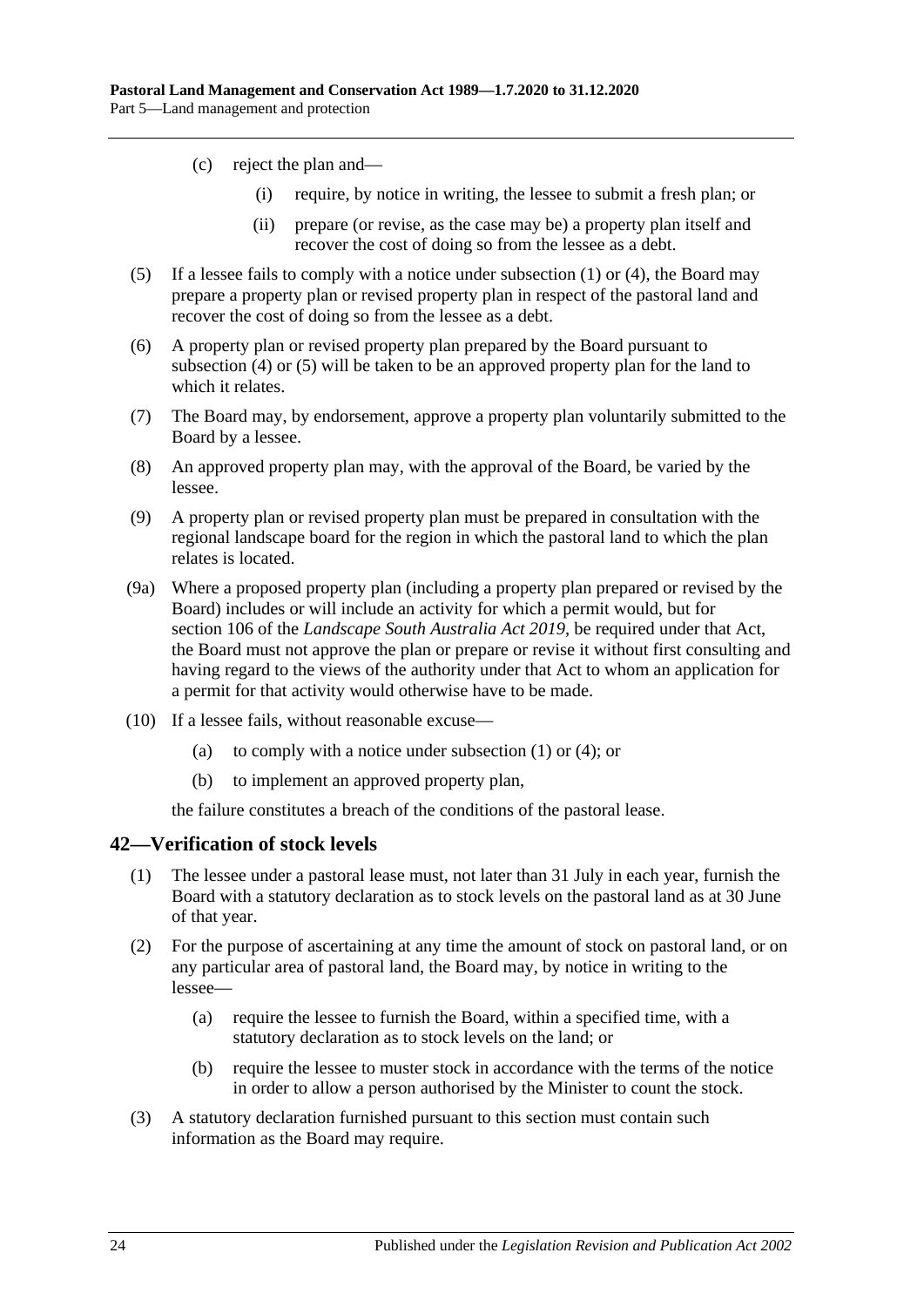- (c) reject the plan and—
	- (i) require, by notice in writing, the lessee to submit a fresh plan; or
	- (ii) prepare (or revise, as the case may be) a property plan itself and recover the cost of doing so from the lessee as a debt.
- <span id="page-23-1"></span>(5) If a lessee fails to comply with a notice under [subsection](#page-22-4) (1) or [\(4\),](#page-22-5) the Board may prepare a property plan or revised property plan in respect of the pastoral land and recover the cost of doing so from the lessee as a debt.
- (6) A property plan or revised property plan prepared by the Board pursuant to [subsection](#page-22-5) (4) or [\(5\)](#page-23-1) will be taken to be an approved property plan for the land to which it relates.
- (7) The Board may, by endorsement, approve a property plan voluntarily submitted to the Board by a lessee.
- (8) An approved property plan may, with the approval of the Board, be varied by the lessee.
- (9) A property plan or revised property plan must be prepared in consultation with the regional landscape board for the region in which the pastoral land to which the plan relates is located.
- (9a) Where a proposed property plan (including a property plan prepared or revised by the Board) includes or will include an activity for which a permit would, but for section 106 of the *[Landscape South Australia Act](http://www.legislation.sa.gov.au/index.aspx?action=legref&type=act&legtitle=Landscape%20South%20Australia%20Act%202019) 2019*, be required under that Act, the Board must not approve the plan or prepare or revise it without first consulting and having regard to the views of the authority under that Act to whom an application for a permit for that activity would otherwise have to be made.
- (10) If a lessee fails, without reasonable excuse
	- (a) to comply with a notice under [subsection](#page-22-4)  $(1)$  or  $(4)$ ; or
	- (b) to implement an approved property plan,

the failure constitutes a breach of the conditions of the pastoral lease.

#### <span id="page-23-0"></span>**42—Verification of stock levels**

- (1) The lessee under a pastoral lease must, not later than 31 July in each year, furnish the Board with a statutory declaration as to stock levels on the pastoral land as at 30 June of that year.
- (2) For the purpose of ascertaining at any time the amount of stock on pastoral land, or on any particular area of pastoral land, the Board may, by notice in writing to the lessee—
	- (a) require the lessee to furnish the Board, within a specified time, with a statutory declaration as to stock levels on the land; or
	- (b) require the lessee to muster stock in accordance with the terms of the notice in order to allow a person authorised by the Minister to count the stock.
- <span id="page-23-2"></span>(3) A statutory declaration furnished pursuant to this section must contain such information as the Board may require.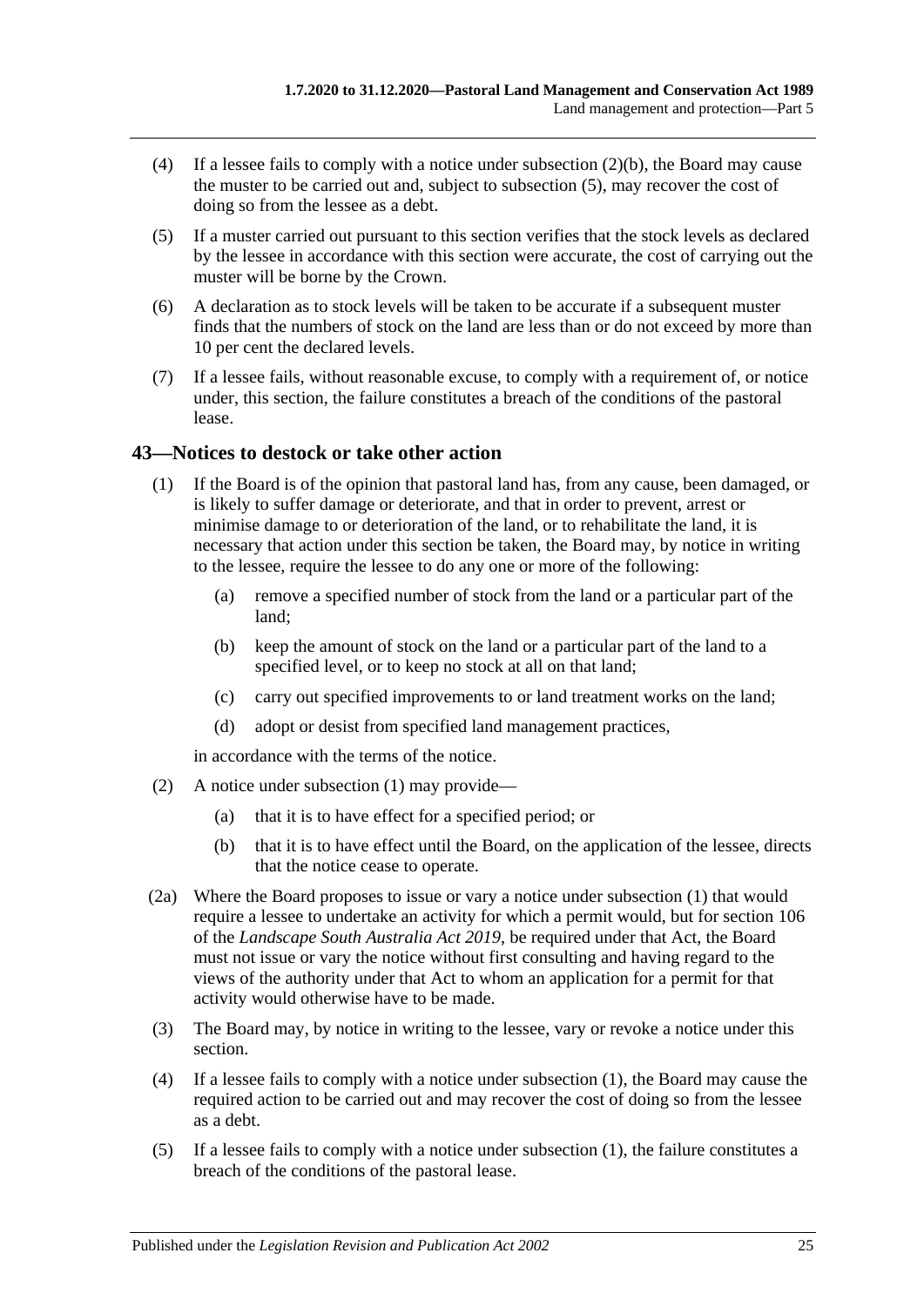- (4) If a lessee fails to comply with a notice under [subsection](#page-23-2) (2)(b), the Board may cause the muster to be carried out and, subject to [subsection](#page-24-1) (5), may recover the cost of doing so from the lessee as a debt.
- <span id="page-24-1"></span>(5) If a muster carried out pursuant to this section verifies that the stock levels as declared by the lessee in accordance with this section were accurate, the cost of carrying out the muster will be borne by the Crown.
- (6) A declaration as to stock levels will be taken to be accurate if a subsequent muster finds that the numbers of stock on the land are less than or do not exceed by more than 10 per cent the declared levels.
- (7) If a lessee fails, without reasonable excuse, to comply with a requirement of, or notice under, this section, the failure constitutes a breach of the conditions of the pastoral lease.

### <span id="page-24-2"></span><span id="page-24-0"></span>**43—Notices to destock or take other action**

- (1) If the Board is of the opinion that pastoral land has, from any cause, been damaged, or is likely to suffer damage or deteriorate, and that in order to prevent, arrest or minimise damage to or deterioration of the land, or to rehabilitate the land, it is necessary that action under this section be taken, the Board may, by notice in writing to the lessee, require the lessee to do any one or more of the following:
	- (a) remove a specified number of stock from the land or a particular part of the land;
	- (b) keep the amount of stock on the land or a particular part of the land to a specified level, or to keep no stock at all on that land;
	- (c) carry out specified improvements to or land treatment works on the land;
	- (d) adopt or desist from specified land management practices,

in accordance with the terms of the notice.

- (2) A notice under [subsection](#page-24-2) (1) may provide—
	- (a) that it is to have effect for a specified period; or
	- (b) that it is to have effect until the Board, on the application of the lessee, directs that the notice cease to operate.
- (2a) Where the Board proposes to issue or vary a notice under [subsection](#page-24-2) (1) that would require a lessee to undertake an activity for which a permit would, but for section 106 of the *[Landscape South Australia Act](http://www.legislation.sa.gov.au/index.aspx?action=legref&type=act&legtitle=Landscape%20South%20Australia%20Act%202019) 2019*, be required under that Act, the Board must not issue or vary the notice without first consulting and having regard to the views of the authority under that Act to whom an application for a permit for that activity would otherwise have to be made.
- (3) The Board may, by notice in writing to the lessee, vary or revoke a notice under this section.
- (4) If a lessee fails to comply with a notice under [subsection](#page-24-2) (1), the Board may cause the required action to be carried out and may recover the cost of doing so from the lessee as a debt.
- (5) If a lessee fails to comply with a notice under [subsection](#page-24-2) (1), the failure constitutes a breach of the conditions of the pastoral lease.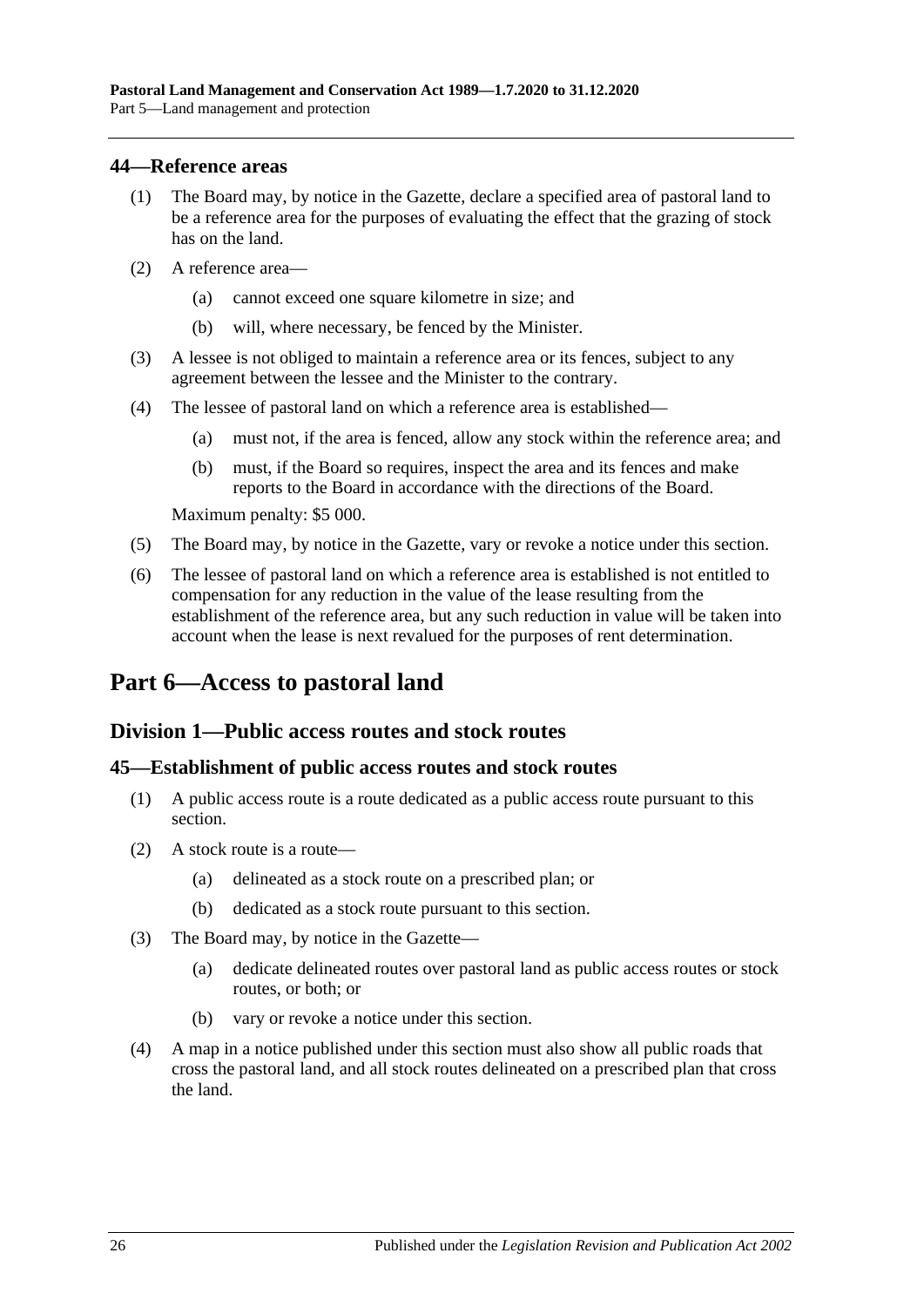#### <span id="page-25-0"></span>**44—Reference areas**

- (1) The Board may, by notice in the Gazette, declare a specified area of pastoral land to be a reference area for the purposes of evaluating the effect that the grazing of stock has on the land.
- (2) A reference area—
	- (a) cannot exceed one square kilometre in size; and
	- (b) will, where necessary, be fenced by the Minister.
- (3) A lessee is not obliged to maintain a reference area or its fences, subject to any agreement between the lessee and the Minister to the contrary.
- (4) The lessee of pastoral land on which a reference area is established—
	- (a) must not, if the area is fenced, allow any stock within the reference area; and
	- (b) must, if the Board so requires, inspect the area and its fences and make reports to the Board in accordance with the directions of the Board.

Maximum penalty: \$5 000.

- (5) The Board may, by notice in the Gazette, vary or revoke a notice under this section.
- (6) The lessee of pastoral land on which a reference area is established is not entitled to compensation for any reduction in the value of the lease resulting from the establishment of the reference area, but any such reduction in value will be taken into account when the lease is next revalued for the purposes of rent determination.

# <span id="page-25-1"></span>**Part 6—Access to pastoral land**

### <span id="page-25-2"></span>**Division 1—Public access routes and stock routes**

#### <span id="page-25-3"></span>**45—Establishment of public access routes and stock routes**

- (1) A public access route is a route dedicated as a public access route pursuant to this section.
- (2) A stock route is a route—
	- (a) delineated as a stock route on a prescribed plan; or
	- (b) dedicated as a stock route pursuant to this section.
- (3) The Board may, by notice in the Gazette—
	- (a) dedicate delineated routes over pastoral land as public access routes or stock routes, or both; or
	- (b) vary or revoke a notice under this section.
- (4) A map in a notice published under this section must also show all public roads that cross the pastoral land, and all stock routes delineated on a prescribed plan that cross the land.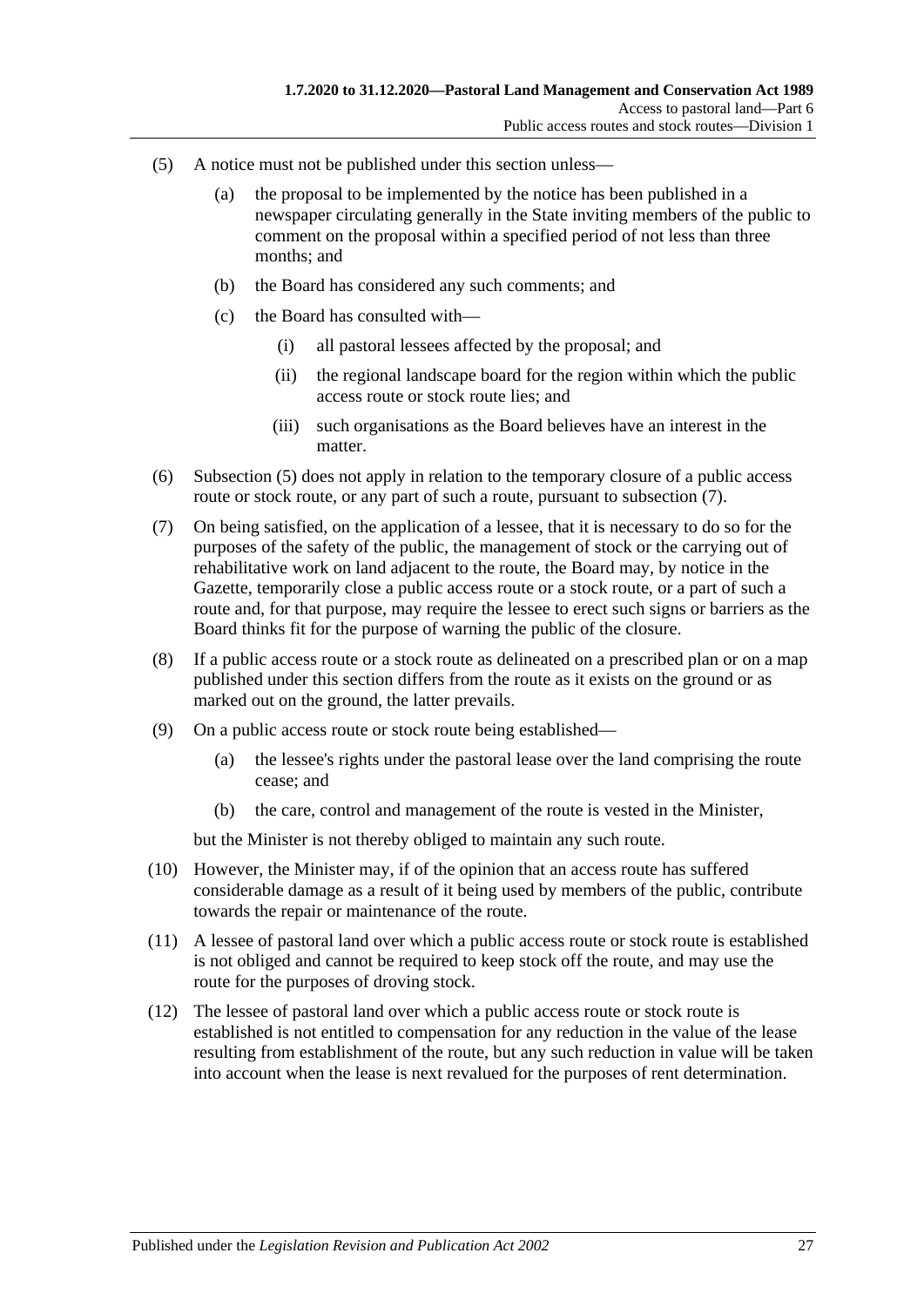- <span id="page-26-0"></span>(5) A notice must not be published under this section unless—
	- (a) the proposal to be implemented by the notice has been published in a newspaper circulating generally in the State inviting members of the public to comment on the proposal within a specified period of not less than three months; and
	- (b) the Board has considered any such comments; and
	- (c) the Board has consulted with—
		- (i) all pastoral lessees affected by the proposal; and
		- (ii) the regional landscape board for the region within which the public access route or stock route lies; and
		- (iii) such organisations as the Board believes have an interest in the matter.
- (6) [Subsection](#page-26-0) (5) does not apply in relation to the temporary closure of a public access route or stock route, or any part of such a route, pursuant to [subsection](#page-26-1)  $(7)$ .
- <span id="page-26-1"></span>(7) On being satisfied, on the application of a lessee, that it is necessary to do so for the purposes of the safety of the public, the management of stock or the carrying out of rehabilitative work on land adjacent to the route, the Board may, by notice in the Gazette, temporarily close a public access route or a stock route, or a part of such a route and, for that purpose, may require the lessee to erect such signs or barriers as the Board thinks fit for the purpose of warning the public of the closure.
- (8) If a public access route or a stock route as delineated on a prescribed plan or on a map published under this section differs from the route as it exists on the ground or as marked out on the ground, the latter prevails.
- (9) On a public access route or stock route being established—
	- (a) the lessee's rights under the pastoral lease over the land comprising the route cease; and
	- (b) the care, control and management of the route is vested in the Minister,

but the Minister is not thereby obliged to maintain any such route.

- (10) However, the Minister may, if of the opinion that an access route has suffered considerable damage as a result of it being used by members of the public, contribute towards the repair or maintenance of the route.
- (11) A lessee of pastoral land over which a public access route or stock route is established is not obliged and cannot be required to keep stock off the route, and may use the route for the purposes of droving stock.
- (12) The lessee of pastoral land over which a public access route or stock route is established is not entitled to compensation for any reduction in the value of the lease resulting from establishment of the route, but any such reduction in value will be taken into account when the lease is next revalued for the purposes of rent determination.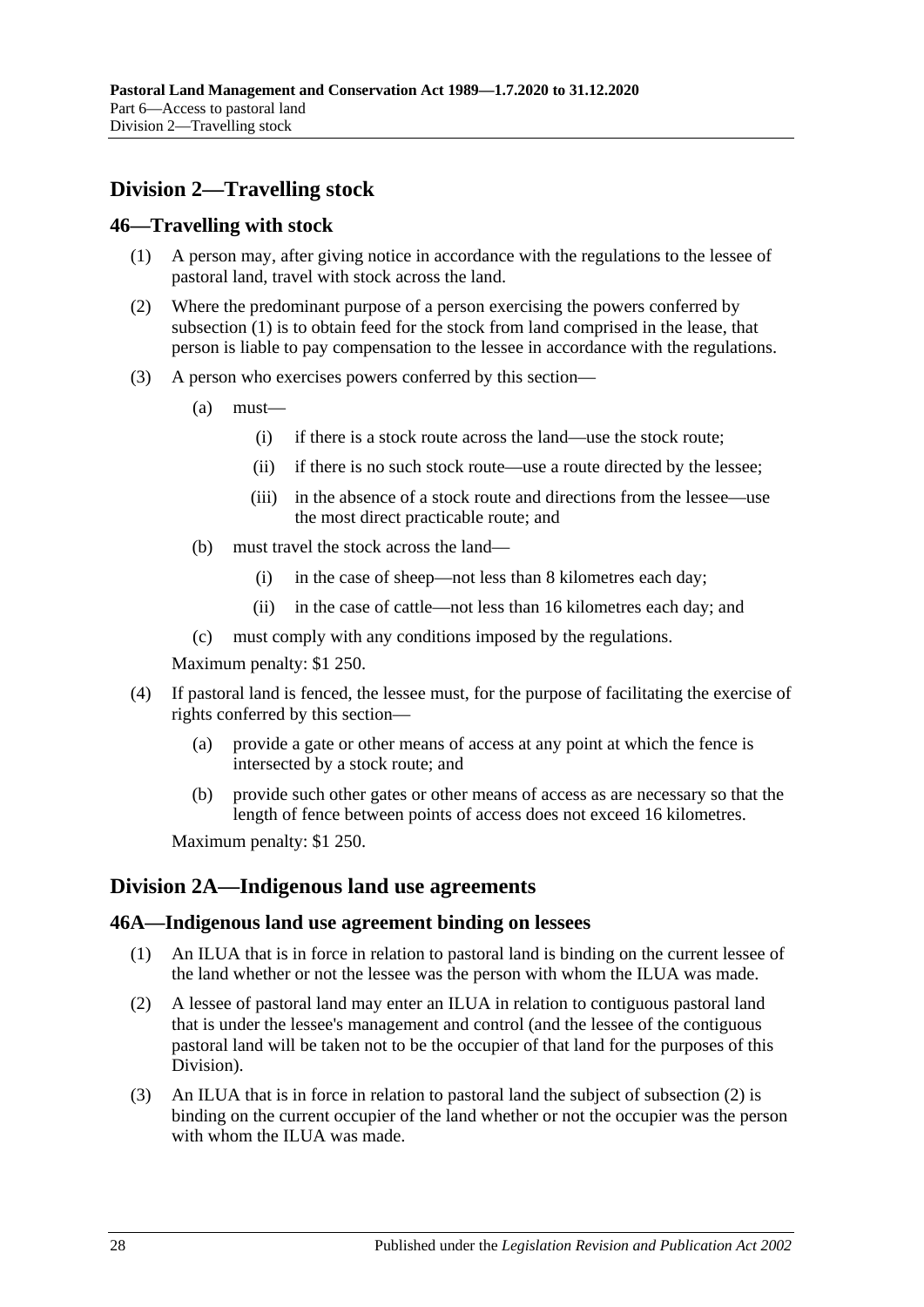# <span id="page-27-0"></span>**Division 2—Travelling stock**

#### <span id="page-27-4"></span><span id="page-27-1"></span>**46—Travelling with stock**

- (1) A person may, after giving notice in accordance with the regulations to the lessee of pastoral land, travel with stock across the land.
- (2) Where the predominant purpose of a person exercising the powers conferred by [subsection](#page-27-4) (1) is to obtain feed for the stock from land comprised in the lease, that person is liable to pay compensation to the lessee in accordance with the regulations.
- (3) A person who exercises powers conferred by this section—
	- (a) must—
		- (i) if there is a stock route across the land—use the stock route;
		- (ii) if there is no such stock route—use a route directed by the lessee;
		- (iii) in the absence of a stock route and directions from the lessee—use the most direct practicable route; and
	- (b) must travel the stock across the land—
		- (i) in the case of sheep—not less than 8 kilometres each day;
		- (ii) in the case of cattle—not less than 16 kilometres each day; and
	- (c) must comply with any conditions imposed by the regulations.

Maximum penalty: \$1 250.

- (4) If pastoral land is fenced, the lessee must, for the purpose of facilitating the exercise of rights conferred by this section—
	- (a) provide a gate or other means of access at any point at which the fence is intersected by a stock route; and
	- (b) provide such other gates or other means of access as are necessary so that the length of fence between points of access does not exceed 16 kilometres.

Maximum penalty: \$1 250.

### <span id="page-27-2"></span>**Division 2A—Indigenous land use agreements**

#### <span id="page-27-3"></span>**46A—Indigenous land use agreement binding on lessees**

- (1) An ILUA that is in force in relation to pastoral land is binding on the current lessee of the land whether or not the lessee was the person with whom the ILUA was made.
- <span id="page-27-5"></span>(2) A lessee of pastoral land may enter an ILUA in relation to contiguous pastoral land that is under the lessee's management and control (and the lessee of the contiguous pastoral land will be taken not to be the occupier of that land for the purposes of this Division).
- (3) An ILUA that is in force in relation to pastoral land the subject of [subsection](#page-27-5) (2) is binding on the current occupier of the land whether or not the occupier was the person with whom the ILUA was made.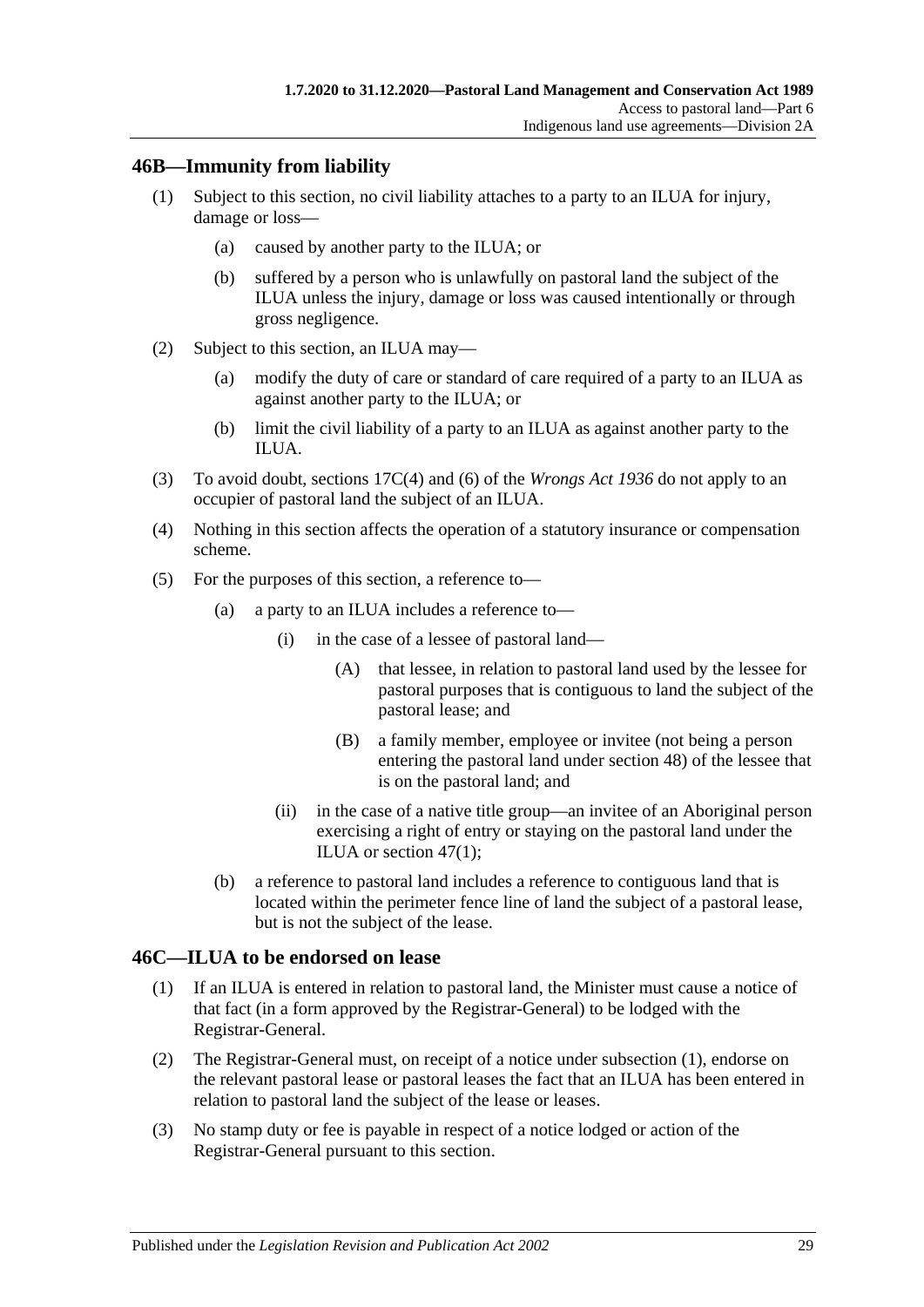## <span id="page-28-0"></span>**46B—Immunity from liability**

- (1) Subject to this section, no civil liability attaches to a party to an ILUA for injury, damage or loss—
	- (a) caused by another party to the ILUA; or
	- (b) suffered by a person who is unlawfully on pastoral land the subject of the ILUA unless the injury, damage or loss was caused intentionally or through gross negligence.
- (2) Subject to this section, an ILUA may—
	- (a) modify the duty of care or standard of care required of a party to an ILUA as against another party to the ILUA; or
	- (b) limit the civil liability of a party to an ILUA as against another party to the ILUA.
- (3) To avoid doubt, sections 17C(4) and (6) of the *[Wrongs Act](http://www.legislation.sa.gov.au/index.aspx?action=legref&type=act&legtitle=Wrongs%20Act%201936) 1936* do not apply to an occupier of pastoral land the subject of an ILUA.
- (4) Nothing in this section affects the operation of a statutory insurance or compensation scheme.
- (5) For the purposes of this section, a reference to—
	- (a) a party to an ILUA includes a reference to—
		- (i) in the case of a lessee of pastoral land—
			- (A) that lessee, in relation to pastoral land used by the lessee for pastoral purposes that is contiguous to land the subject of the pastoral lease; and
			- (B) a family member, employee or invitee (not being a person entering the pastoral land under [section](#page-29-2) 48) of the lessee that is on the pastoral land; and
		- (ii) in the case of a native title group—an invitee of an Aboriginal person exercising a right of entry or staying on the pastoral land under the ILUA or [section](#page-29-3) 47(1);
	- (b) a reference to pastoral land includes a reference to contiguous land that is located within the perimeter fence line of land the subject of a pastoral lease, but is not the subject of the lease.

### <span id="page-28-2"></span><span id="page-28-1"></span>**46C—ILUA to be endorsed on lease**

- (1) If an ILUA is entered in relation to pastoral land, the Minister must cause a notice of that fact (in a form approved by the Registrar-General) to be lodged with the Registrar-General.
- (2) The Registrar-General must, on receipt of a notice under [subsection](#page-28-2) (1), endorse on the relevant pastoral lease or pastoral leases the fact that an ILUA has been entered in relation to pastoral land the subject of the lease or leases.
- (3) No stamp duty or fee is payable in respect of a notice lodged or action of the Registrar-General pursuant to this section.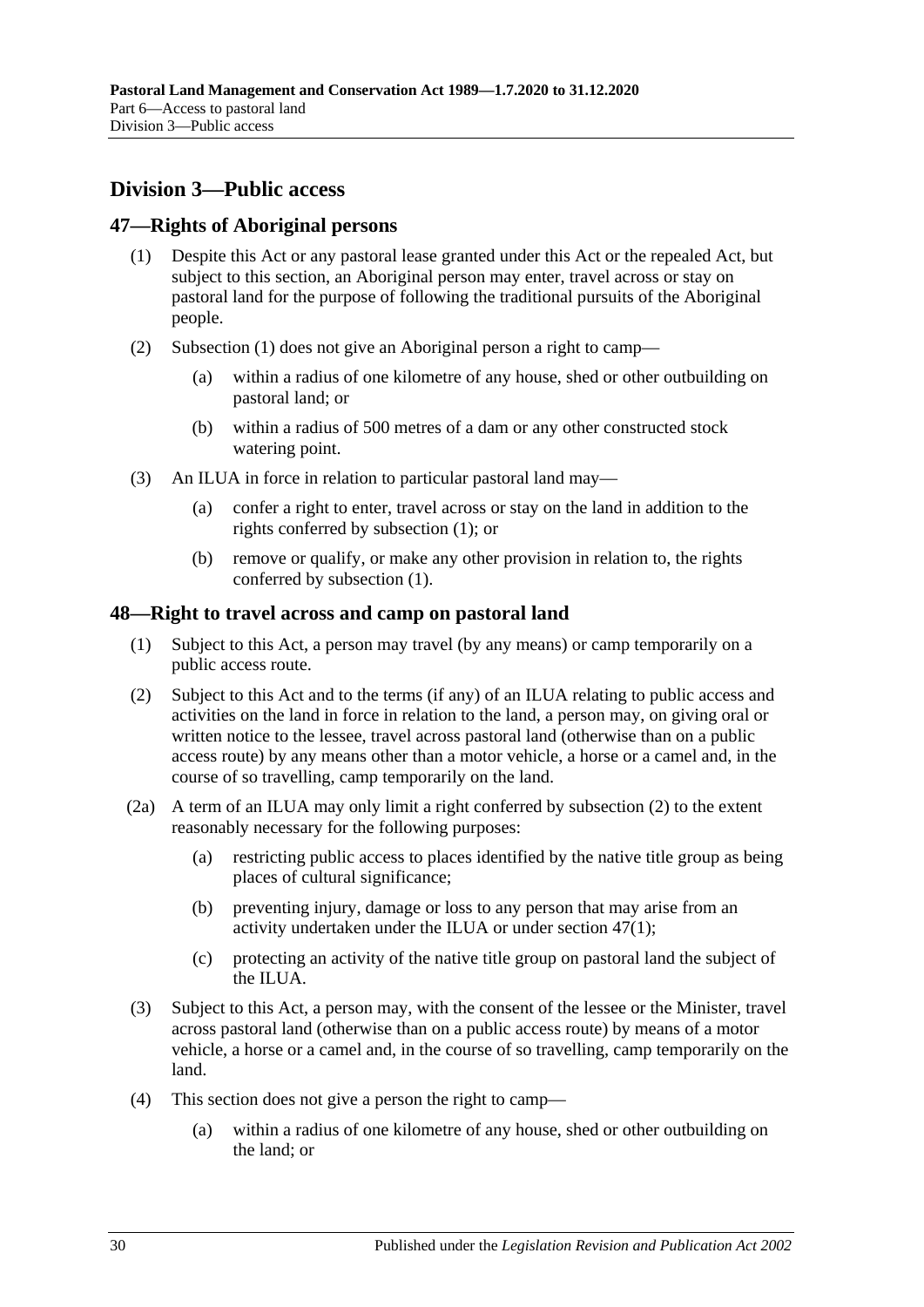# <span id="page-29-0"></span>**Division 3—Public access**

### <span id="page-29-3"></span><span id="page-29-1"></span>**47—Rights of Aboriginal persons**

- (1) Despite this Act or any pastoral lease granted under this Act or the repealed Act, but subject to this section, an Aboriginal person may enter, travel across or stay on pastoral land for the purpose of following the traditional pursuits of the Aboriginal people.
- (2) [Subsection](#page-29-3) (1) does not give an Aboriginal person a right to camp—
	- (a) within a radius of one kilometre of any house, shed or other outbuilding on pastoral land; or
	- (b) within a radius of 500 metres of a dam or any other constructed stock watering point.
- (3) An ILUA in force in relation to particular pastoral land may—
	- (a) confer a right to enter, travel across or stay on the land in addition to the rights conferred by [subsection](#page-29-3) (1); or
	- (b) remove or qualify, or make any other provision in relation to, the rights conferred by [subsection](#page-29-3) (1).

## <span id="page-29-2"></span>**48—Right to travel across and camp on pastoral land**

- (1) Subject to this Act, a person may travel (by any means) or camp temporarily on a public access route.
- <span id="page-29-4"></span>(2) Subject to this Act and to the terms (if any) of an ILUA relating to public access and activities on the land in force in relation to the land, a person may, on giving oral or written notice to the lessee, travel across pastoral land (otherwise than on a public access route) by any means other than a motor vehicle, a horse or a camel and, in the course of so travelling, camp temporarily on the land.
- <span id="page-29-6"></span>(2a) A term of an ILUA may only limit a right conferred by [subsection](#page-29-4) (2) to the extent reasonably necessary for the following purposes:
	- (a) restricting public access to places identified by the native title group as being places of cultural significance;
	- (b) preventing injury, damage or loss to any person that may arise from an activity undertaken under the ILUA or under [section](#page-29-3) 47(1);
	- (c) protecting an activity of the native title group on pastoral land the subject of the ILUA.
- <span id="page-29-5"></span>(3) Subject to this Act, a person may, with the consent of the lessee or the Minister, travel across pastoral land (otherwise than on a public access route) by means of a motor vehicle, a horse or a camel and, in the course of so travelling, camp temporarily on the land.
- (4) This section does not give a person the right to camp—
	- (a) within a radius of one kilometre of any house, shed or other outbuilding on the land; or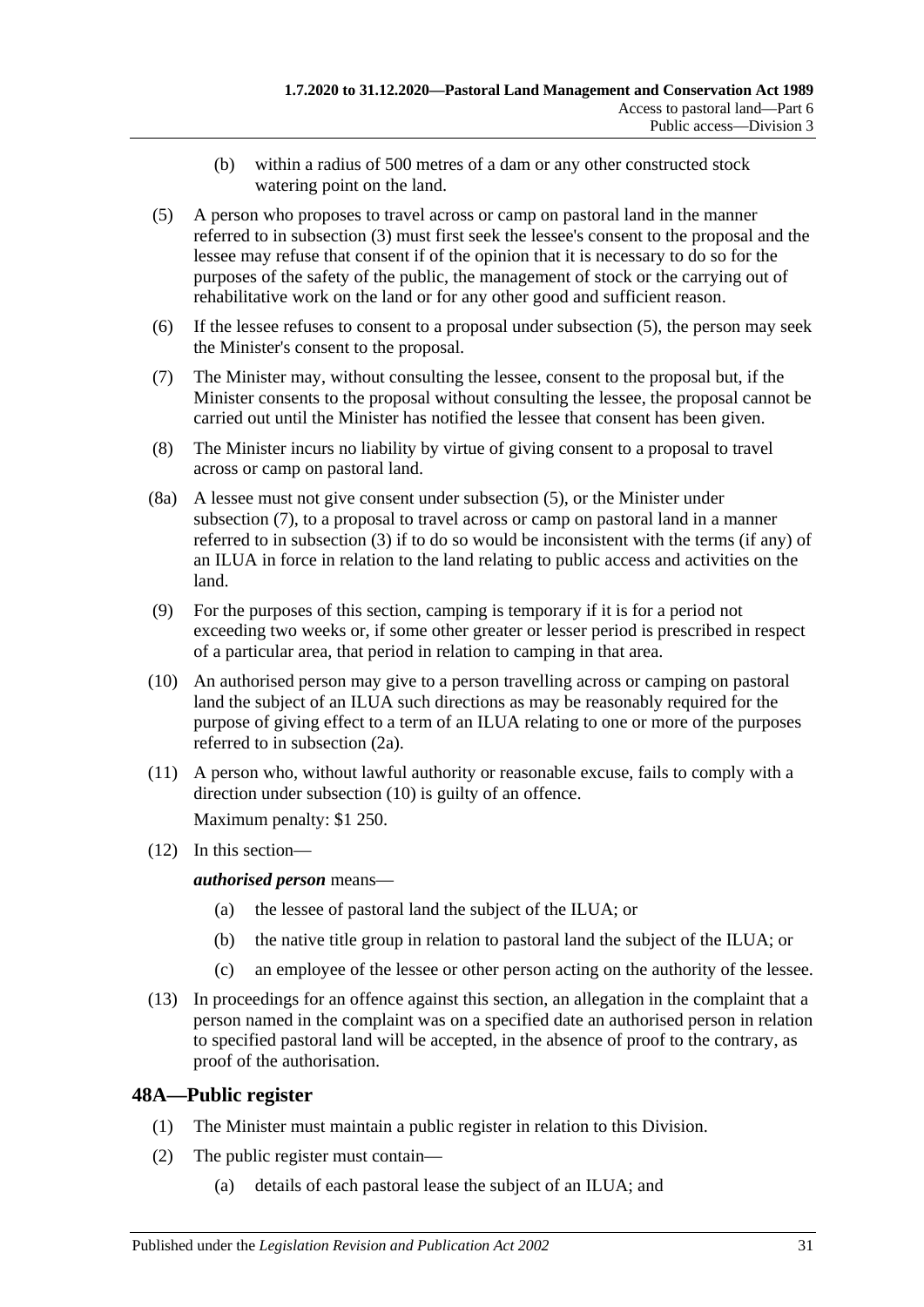- (b) within a radius of 500 metres of a dam or any other constructed stock watering point on the land.
- <span id="page-30-1"></span>(5) A person who proposes to travel across or camp on pastoral land in the manner referred to in [subsection](#page-29-5) (3) must first seek the lessee's consent to the proposal and the lessee may refuse that consent if of the opinion that it is necessary to do so for the purposes of the safety of the public, the management of stock or the carrying out of rehabilitative work on the land or for any other good and sufficient reason.
- (6) If the lessee refuses to consent to a proposal under [subsection](#page-30-1) (5), the person may seek the Minister's consent to the proposal.
- <span id="page-30-2"></span>(7) The Minister may, without consulting the lessee, consent to the proposal but, if the Minister consents to the proposal without consulting the lessee, the proposal cannot be carried out until the Minister has notified the lessee that consent has been given.
- (8) The Minister incurs no liability by virtue of giving consent to a proposal to travel across or camp on pastoral land.
- (8a) A lessee must not give consent under [subsection](#page-30-1) (5), or the Minister under [subsection](#page-30-2) (7), to a proposal to travel across or camp on pastoral land in a manner referred to in [subsection](#page-29-5) (3) if to do so would be inconsistent with the terms (if any) of an ILUA in force in relation to the land relating to public access and activities on the land.
- (9) For the purposes of this section, camping is temporary if it is for a period not exceeding two weeks or, if some other greater or lesser period is prescribed in respect of a particular area, that period in relation to camping in that area.
- <span id="page-30-3"></span>(10) An authorised person may give to a person travelling across or camping on pastoral land the subject of an ILUA such directions as may be reasonably required for the purpose of giving effect to a term of an ILUA relating to one or more of the purposes referred to in [subsection](#page-29-6) (2a).
- (11) A person who, without lawful authority or reasonable excuse, fails to comply with a direction under [subsection](#page-30-3) (10) is guilty of an offence.

Maximum penalty: \$1 250.

(12) In this section—

*authorised person* means—

- (a) the lessee of pastoral land the subject of the ILUA; or
- (b) the native title group in relation to pastoral land the subject of the ILUA; or
- (c) an employee of the lessee or other person acting on the authority of the lessee.
- (13) In proceedings for an offence against this section, an allegation in the complaint that a person named in the complaint was on a specified date an authorised person in relation to specified pastoral land will be accepted, in the absence of proof to the contrary, as proof of the authorisation.

# <span id="page-30-0"></span>**48A—Public register**

- (1) The Minister must maintain a public register in relation to this Division.
- (2) The public register must contain—
	- (a) details of each pastoral lease the subject of an ILUA; and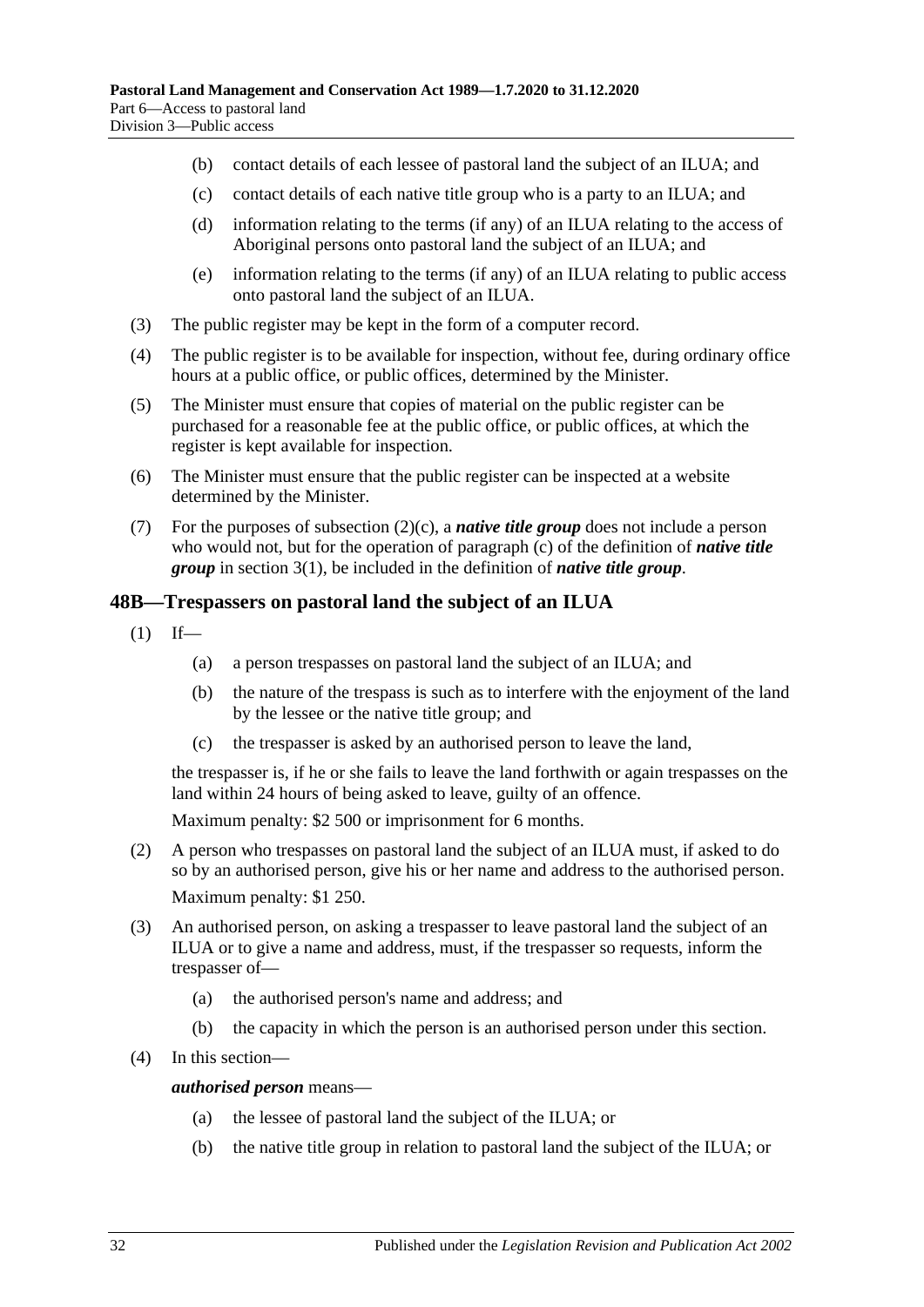- (b) contact details of each lessee of pastoral land the subject of an ILUA; and
- <span id="page-31-1"></span>(c) contact details of each native title group who is a party to an ILUA; and
- (d) information relating to the terms (if any) of an ILUA relating to the access of Aboriginal persons onto pastoral land the subject of an ILUA; and
- (e) information relating to the terms (if any) of an ILUA relating to public access onto pastoral land the subject of an ILUA.
- (3) The public register may be kept in the form of a computer record.
- (4) The public register is to be available for inspection, without fee, during ordinary office hours at a public office, or public offices, determined by the Minister.
- (5) The Minister must ensure that copies of material on the public register can be purchased for a reasonable fee at the public office, or public offices, at which the register is kept available for inspection.
- (6) The Minister must ensure that the public register can be inspected at a website determined by the Minister.
- (7) For the purposes of [subsection](#page-31-1)  $(2)(c)$ , a *native title group* does not include a person who would not, but for the operation of [paragraph](#page-3-1) (c) of the definition of *native title group* in [section](#page-3-2) 3(1), be included in the definition of *native title group*.

### <span id="page-31-0"></span>**48B—Trespassers on pastoral land the subject of an ILUA**

- $(1)$  If—
	- (a) a person trespasses on pastoral land the subject of an ILUA; and
	- (b) the nature of the trespass is such as to interfere with the enjoyment of the land by the lessee or the native title group; and
	- (c) the trespasser is asked by an authorised person to leave the land,

the trespasser is, if he or she fails to leave the land forthwith or again trespasses on the land within 24 hours of being asked to leave, guilty of an offence.

Maximum penalty: \$2 500 or imprisonment for 6 months.

- (2) A person who trespasses on pastoral land the subject of an ILUA must, if asked to do so by an authorised person, give his or her name and address to the authorised person. Maximum penalty: \$1 250.
- (3) An authorised person, on asking a trespasser to leave pastoral land the subject of an ILUA or to give a name and address, must, if the trespasser so requests, inform the trespasser of—
	- (a) the authorised person's name and address; and
	- (b) the capacity in which the person is an authorised person under this section.
- (4) In this section—

#### *authorised person* means—

- (a) the lessee of pastoral land the subject of the ILUA; or
- (b) the native title group in relation to pastoral land the subject of the ILUA; or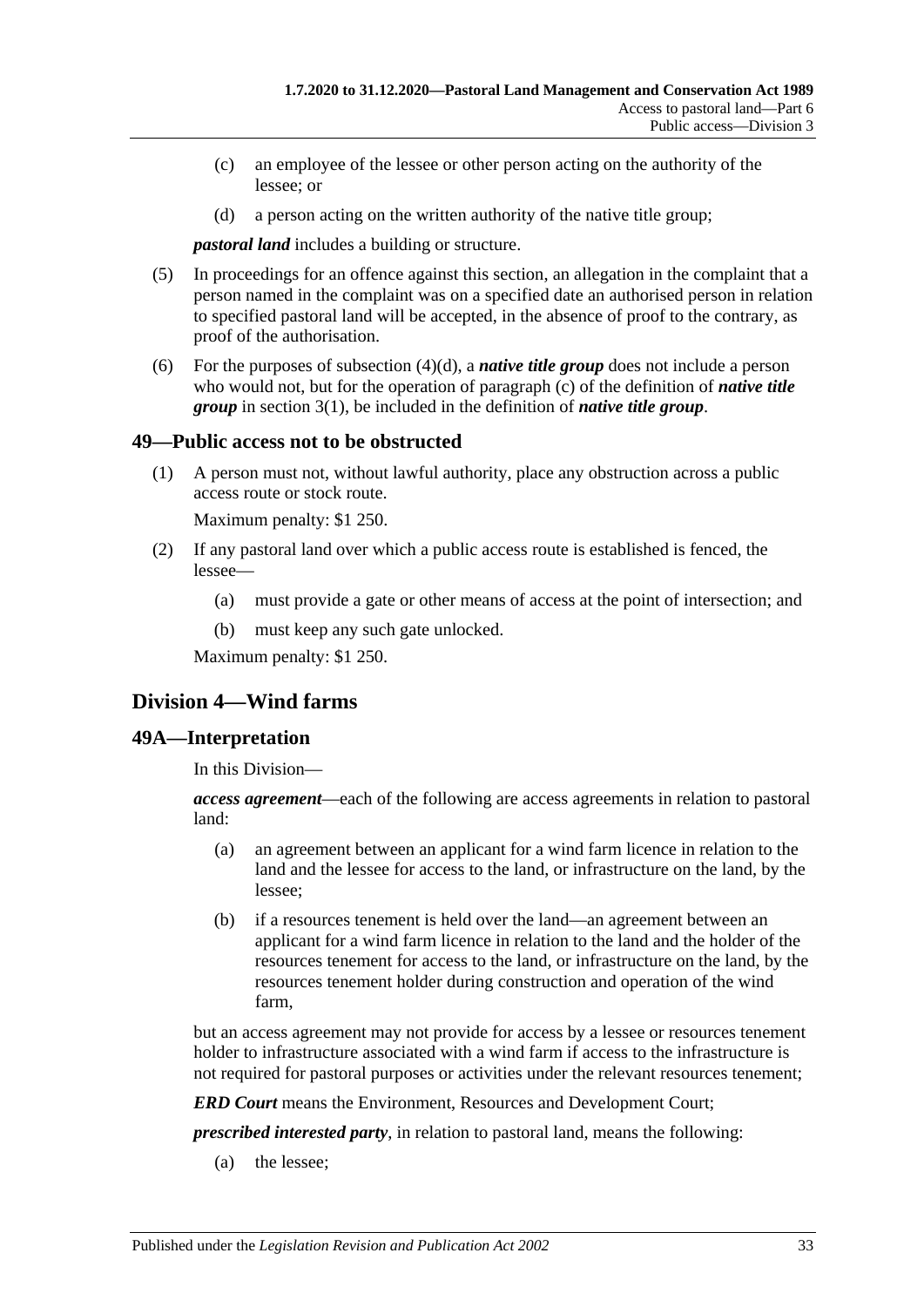- (c) an employee of the lessee or other person acting on the authority of the lessee; or
- (d) a person acting on the written authority of the native title group;

<span id="page-32-3"></span>*pastoral land* includes a building or structure.

- (5) In proceedings for an offence against this section, an allegation in the complaint that a person named in the complaint was on a specified date an authorised person in relation to specified pastoral land will be accepted, in the absence of proof to the contrary, as proof of the authorisation.
- (6) For the purposes of [subsection](#page-32-3)  $(4)(d)$ , a *native title group* does not include a person who would not, but for the operation of [paragraph](#page-3-1) (c) of the definition of *native title group* in [section](#page-3-2) 3(1), be included in the definition of *native title group*.

### <span id="page-32-0"></span>**49—Public access not to be obstructed**

(1) A person must not, without lawful authority, place any obstruction across a public access route or stock route.

Maximum penalty: \$1 250.

- (2) If any pastoral land over which a public access route is established is fenced, the lessee—
	- (a) must provide a gate or other means of access at the point of intersection; and
	- (b) must keep any such gate unlocked.

Maximum penalty: \$1 250.

# <span id="page-32-1"></span>**Division 4—Wind farms**

#### <span id="page-32-2"></span>**49A—Interpretation**

In this Division—

*access agreement*—each of the following are access agreements in relation to pastoral land:

- (a) an agreement between an applicant for a wind farm licence in relation to the land and the lessee for access to the land, or infrastructure on the land, by the lessee;
- (b) if a resources tenement is held over the land—an agreement between an applicant for a wind farm licence in relation to the land and the holder of the resources tenement for access to the land, or infrastructure on the land, by the resources tenement holder during construction and operation of the wind farm,

but an access agreement may not provide for access by a lessee or resources tenement holder to infrastructure associated with a wind farm if access to the infrastructure is not required for pastoral purposes or activities under the relevant resources tenement;

*ERD Court* means the Environment, Resources and Development Court;

*prescribed interested party*, in relation to pastoral land, means the following:

(a) the lessee;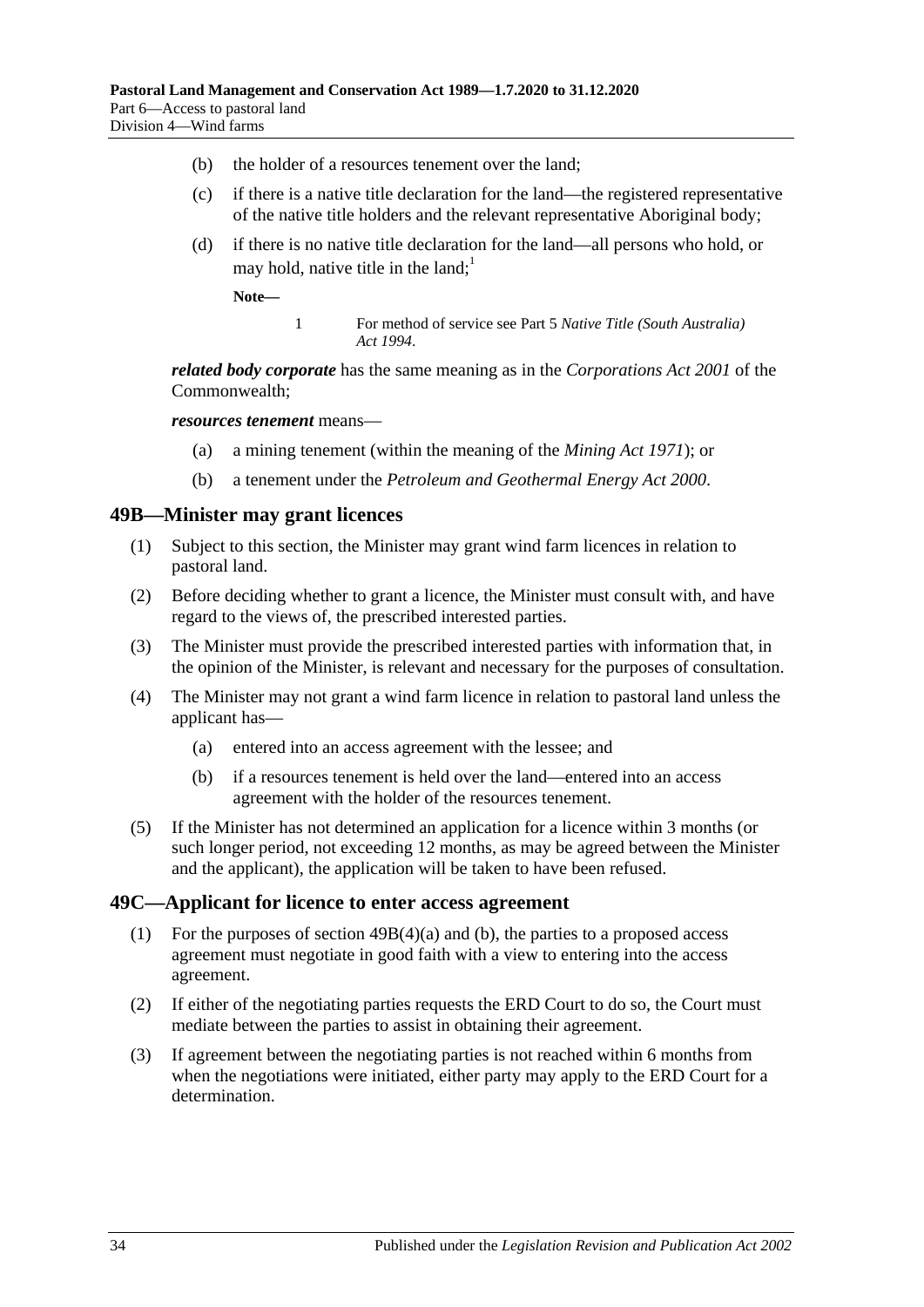- (b) the holder of a resources tenement over the land;
- (c) if there is a native title declaration for the land—the registered representative of the native title holders and the relevant representative Aboriginal body;
- <span id="page-33-4"></span>(d) if there is no native title declaration for the land—all persons who hold, or may hold, native title in the land;<sup>1</sup>

**Note—**

1 For method of service see Part 5 *[Native Title \(South Australia\)](http://www.legislation.sa.gov.au/index.aspx?action=legref&type=act&legtitle=Native%20Title%20(South%20Australia)%20Act%201994)  Act [1994](http://www.legislation.sa.gov.au/index.aspx?action=legref&type=act&legtitle=Native%20Title%20(South%20Australia)%20Act%201994)*.

*related body corporate* has the same meaning as in the *Corporations Act 2001* of the Commonwealth;

*resources tenement* means—

- (a) a mining tenement (within the meaning of the *[Mining Act](http://www.legislation.sa.gov.au/index.aspx?action=legref&type=act&legtitle=Mining%20Act%201971) 1971*); or
- (b) a tenement under the *[Petroleum and Geothermal Energy Act](http://www.legislation.sa.gov.au/index.aspx?action=legref&type=act&legtitle=Petroleum%20and%20Geothermal%20Energy%20Act%202000) 2000*.

#### <span id="page-33-0"></span>**49B—Minister may grant licences**

- (1) Subject to this section, the Minister may grant wind farm licences in relation to pastoral land.
- (2) Before deciding whether to grant a licence, the Minister must consult with, and have regard to the views of, the prescribed interested parties.
- (3) The Minister must provide the prescribed interested parties with information that, in the opinion of the Minister, is relevant and necessary for the purposes of consultation.
- <span id="page-33-2"></span>(4) The Minister may not grant a wind farm licence in relation to pastoral land unless the applicant has—
	- (a) entered into an access agreement with the lessee; and
	- (b) if a resources tenement is held over the land—entered into an access agreement with the holder of the resources tenement.
- <span id="page-33-3"></span>(5) If the Minister has not determined an application for a licence within 3 months (or such longer period, not exceeding 12 months, as may be agreed between the Minister and the applicant), the application will be taken to have been refused.

#### <span id="page-33-1"></span>**49C—Applicant for licence to enter access agreement**

- (1) For the purposes of section [49B\(4\)\(a\)](#page-33-2) and [\(b\),](#page-33-3) the parties to a proposed access agreement must negotiate in good faith with a view to entering into the access agreement.
- (2) If either of the negotiating parties requests the ERD Court to do so, the Court must mediate between the parties to assist in obtaining their agreement.
- (3) If agreement between the negotiating parties is not reached within 6 months from when the negotiations were initiated, either party may apply to the ERD Court for a determination.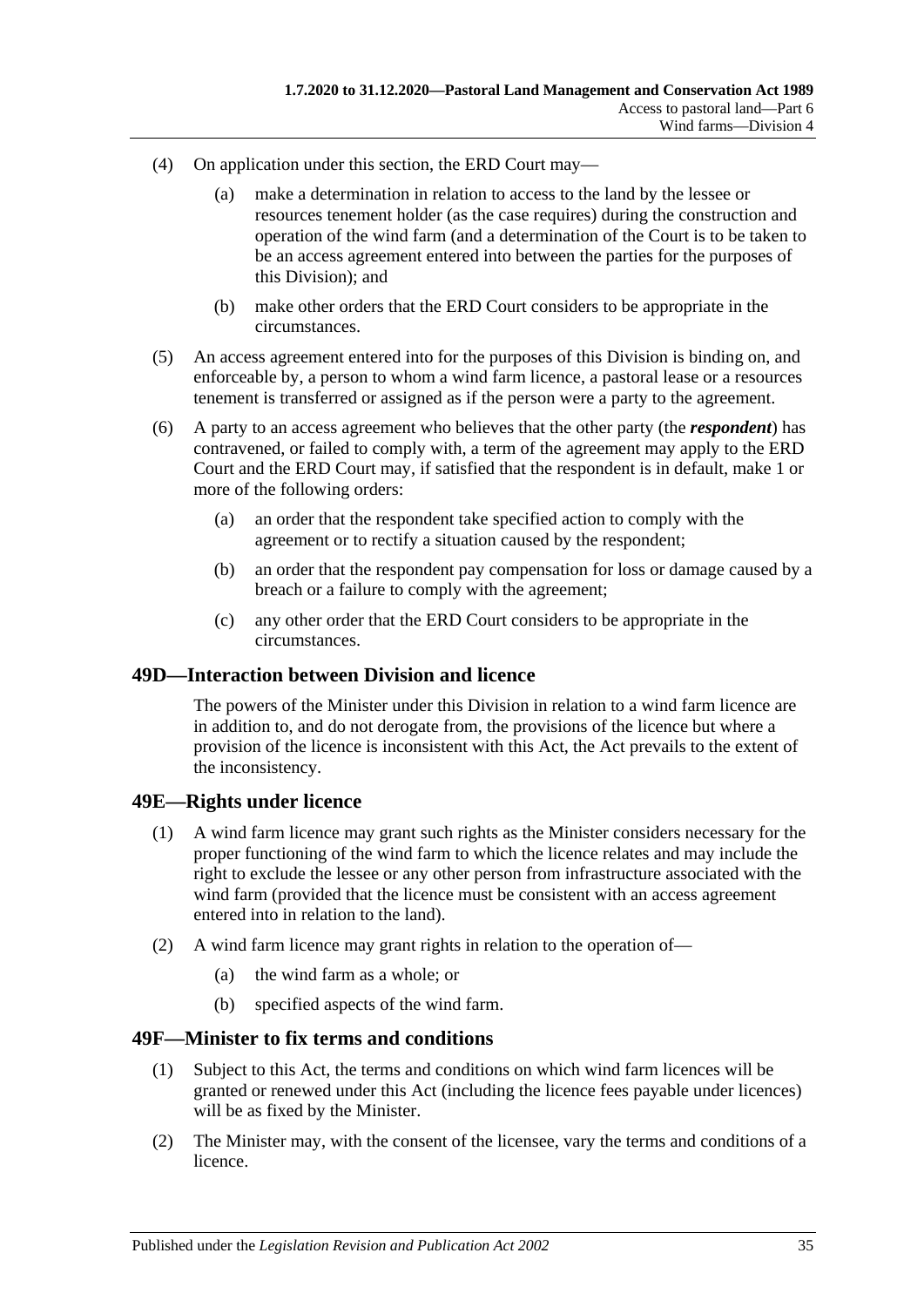- (4) On application under this section, the ERD Court may—
	- (a) make a determination in relation to access to the land by the lessee or resources tenement holder (as the case requires) during the construction and operation of the wind farm (and a determination of the Court is to be taken to be an access agreement entered into between the parties for the purposes of this Division); and
	- (b) make other orders that the ERD Court considers to be appropriate in the circumstances.
- (5) An access agreement entered into for the purposes of this Division is binding on, and enforceable by, a person to whom a wind farm licence, a pastoral lease or a resources tenement is transferred or assigned as if the person were a party to the agreement.
- (6) A party to an access agreement who believes that the other party (the *respondent*) has contravened, or failed to comply with, a term of the agreement may apply to the ERD Court and the ERD Court may, if satisfied that the respondent is in default, make 1 or more of the following orders:
	- (a) an order that the respondent take specified action to comply with the agreement or to rectify a situation caused by the respondent;
	- (b) an order that the respondent pay compensation for loss or damage caused by a breach or a failure to comply with the agreement;
	- (c) any other order that the ERD Court considers to be appropriate in the circumstances.

#### <span id="page-34-0"></span>**49D—Interaction between Division and licence**

The powers of the Minister under this Division in relation to a wind farm licence are in addition to, and do not derogate from, the provisions of the licence but where a provision of the licence is inconsistent with this Act, the Act prevails to the extent of the inconsistency.

### <span id="page-34-1"></span>**49E—Rights under licence**

- (1) A wind farm licence may grant such rights as the Minister considers necessary for the proper functioning of the wind farm to which the licence relates and may include the right to exclude the lessee or any other person from infrastructure associated with the wind farm (provided that the licence must be consistent with an access agreement entered into in relation to the land).
- (2) A wind farm licence may grant rights in relation to the operation of—
	- (a) the wind farm as a whole; or
	- (b) specified aspects of the wind farm.

### <span id="page-34-2"></span>**49F—Minister to fix terms and conditions**

- (1) Subject to this Act, the terms and conditions on which wind farm licences will be granted or renewed under this Act (including the licence fees payable under licences) will be as fixed by the Minister.
- (2) The Minister may, with the consent of the licensee, vary the terms and conditions of a licence.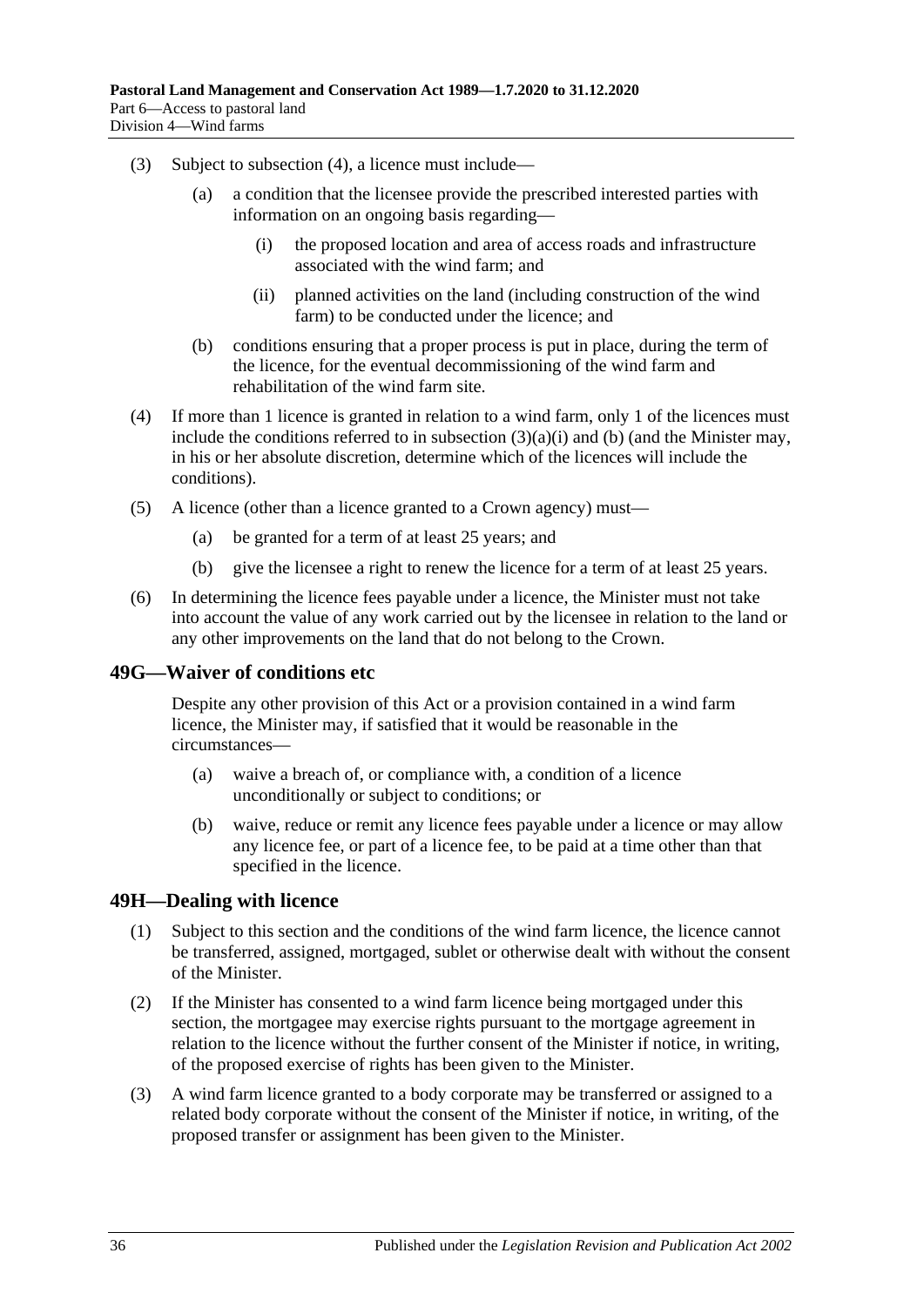- <span id="page-35-3"></span>(3) Subject to [subsection](#page-35-2) (4), a licence must include—
	- (a) a condition that the licensee provide the prescribed interested parties with information on an ongoing basis regarding—
		- (i) the proposed location and area of access roads and infrastructure associated with the wind farm; and
		- (ii) planned activities on the land (including construction of the wind farm) to be conducted under the licence; and
	- (b) conditions ensuring that a proper process is put in place, during the term of the licence, for the eventual decommissioning of the wind farm and rehabilitation of the wind farm site.
- <span id="page-35-4"></span><span id="page-35-2"></span>(4) If more than 1 licence is granted in relation to a wind farm, only 1 of the licences must include the conditions referred to in [subsection](#page-35-3)  $(3)(a)(i)$  and [\(b\)](#page-35-4) (and the Minister may, in his or her absolute discretion, determine which of the licences will include the conditions).
- (5) A licence (other than a licence granted to a Crown agency) must—
	- (a) be granted for a term of at least 25 years; and
	- (b) give the licensee a right to renew the licence for a term of at least 25 years.
- (6) In determining the licence fees payable under a licence, the Minister must not take into account the value of any work carried out by the licensee in relation to the land or any other improvements on the land that do not belong to the Crown.

### <span id="page-35-0"></span>**49G—Waiver of conditions etc**

Despite any other provision of this Act or a provision contained in a wind farm licence, the Minister may, if satisfied that it would be reasonable in the circumstances—

- (a) waive a breach of, or compliance with, a condition of a licence unconditionally or subject to conditions; or
- (b) waive, reduce or remit any licence fees payable under a licence or may allow any licence fee, or part of a licence fee, to be paid at a time other than that specified in the licence.

### <span id="page-35-1"></span>**49H—Dealing with licence**

- (1) Subject to this section and the conditions of the wind farm licence, the licence cannot be transferred, assigned, mortgaged, sublet or otherwise dealt with without the consent of the Minister.
- (2) If the Minister has consented to a wind farm licence being mortgaged under this section, the mortgagee may exercise rights pursuant to the mortgage agreement in relation to the licence without the further consent of the Minister if notice, in writing, of the proposed exercise of rights has been given to the Minister.
- (3) A wind farm licence granted to a body corporate may be transferred or assigned to a related body corporate without the consent of the Minister if notice, in writing, of the proposed transfer or assignment has been given to the Minister.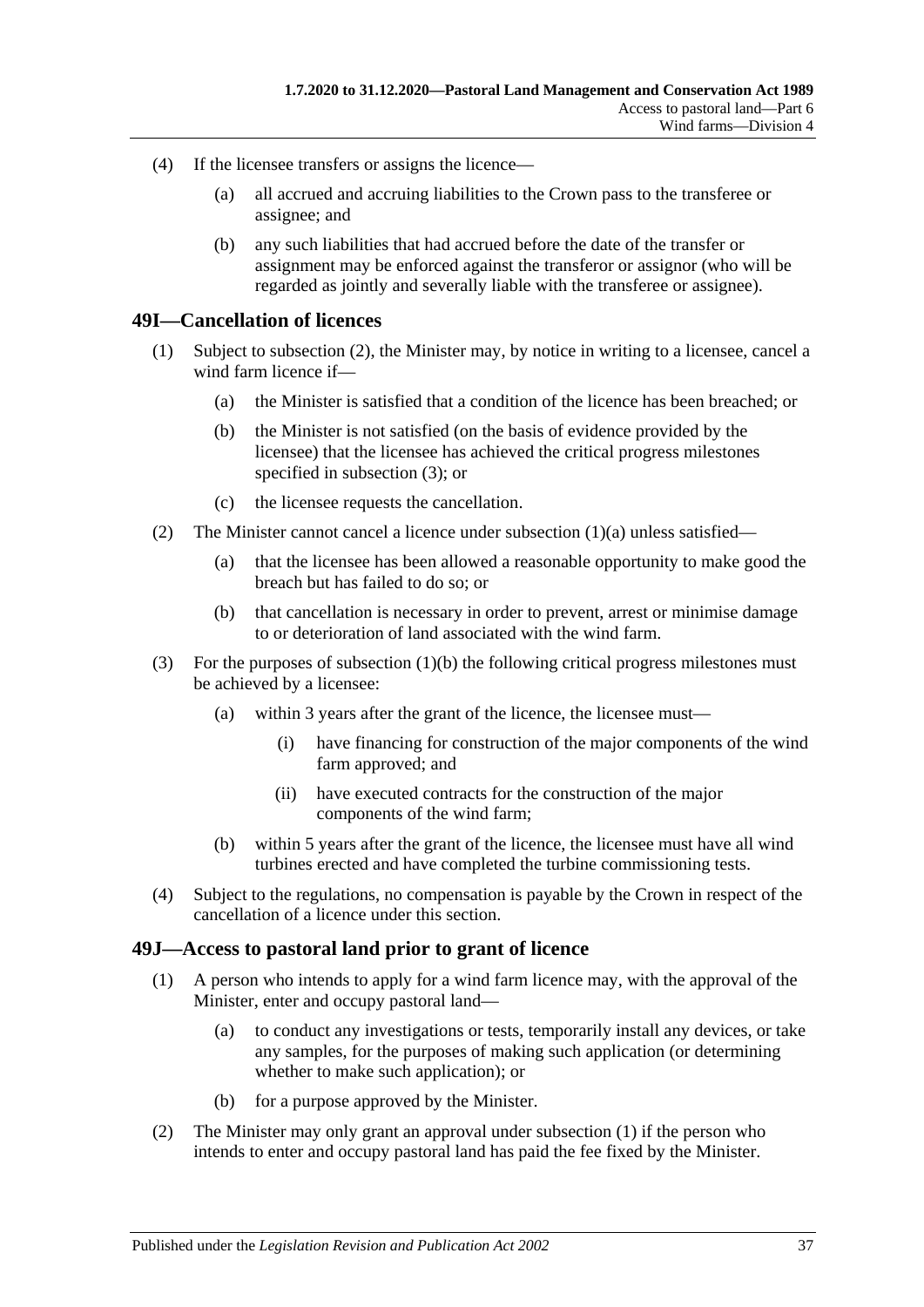- (4) If the licensee transfers or assigns the licence—
	- (a) all accrued and accruing liabilities to the Crown pass to the transferee or assignee; and
	- (b) any such liabilities that had accrued before the date of the transfer or assignment may be enforced against the transferor or assignor (who will be regarded as jointly and severally liable with the transferee or assignee).

#### <span id="page-36-0"></span>**49I—Cancellation of licences**

- <span id="page-36-5"></span><span id="page-36-4"></span>(1) Subject to [subsection](#page-36-2) (2), the Minister may, by notice in writing to a licensee, cancel a wind farm licence if—
	- (a) the Minister is satisfied that a condition of the licence has been breached; or
	- (b) the Minister is not satisfied (on the basis of evidence provided by the licensee) that the licensee has achieved the critical progress milestones specified in [subsection](#page-36-3) (3); or
	- (c) the licensee requests the cancellation.
- <span id="page-36-2"></span>(2) The Minister cannot cancel a licence under [subsection](#page-36-4)  $(1)(a)$  unless satisfied—
	- (a) that the licensee has been allowed a reasonable opportunity to make good the breach but has failed to do so; or
	- (b) that cancellation is necessary in order to prevent, arrest or minimise damage to or deterioration of land associated with the wind farm.
- <span id="page-36-3"></span>(3) For the purposes of [subsection](#page-36-5) (1)(b) the following critical progress milestones must be achieved by a licensee:
	- (a) within 3 years after the grant of the licence, the licensee must—
		- (i) have financing for construction of the major components of the wind farm approved; and
		- (ii) have executed contracts for the construction of the major components of the wind farm;
	- (b) within 5 years after the grant of the licence, the licensee must have all wind turbines erected and have completed the turbine commissioning tests.
- (4) Subject to the regulations, no compensation is payable by the Crown in respect of the cancellation of a licence under this section.

#### <span id="page-36-6"></span><span id="page-36-1"></span>**49J—Access to pastoral land prior to grant of licence**

- (1) A person who intends to apply for a wind farm licence may, with the approval of the Minister, enter and occupy pastoral land—
	- (a) to conduct any investigations or tests, temporarily install any devices, or take any samples, for the purposes of making such application (or determining whether to make such application); or
	- (b) for a purpose approved by the Minister.
- (2) The Minister may only grant an approval under [subsection](#page-36-6) (1) if the person who intends to enter and occupy pastoral land has paid the fee fixed by the Minister.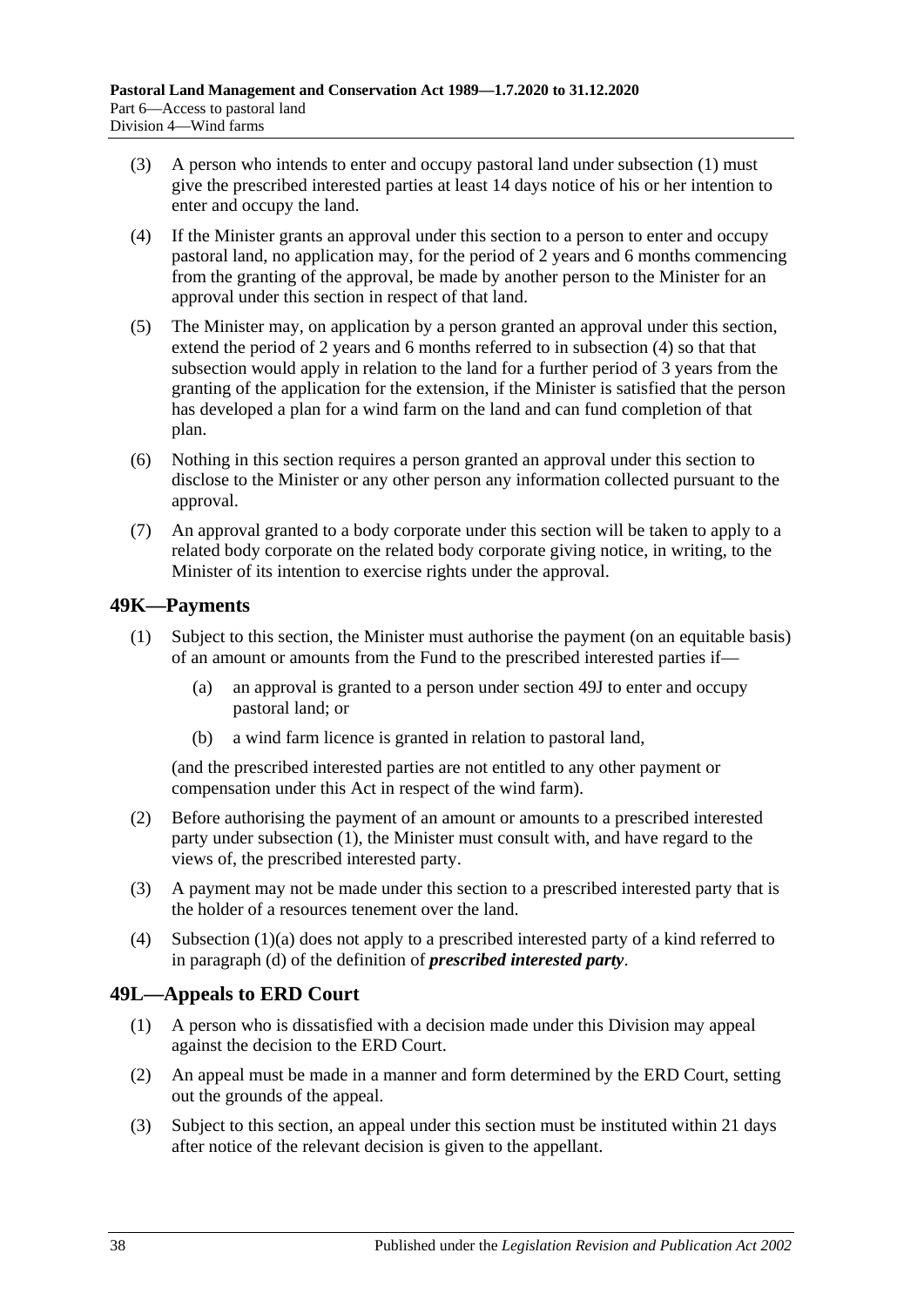- (3) A person who intends to enter and occupy pastoral land under [subsection](#page-36-6) (1) must give the prescribed interested parties at least 14 days notice of his or her intention to enter and occupy the land.
- <span id="page-37-2"></span>(4) If the Minister grants an approval under this section to a person to enter and occupy pastoral land, no application may, for the period of 2 years and 6 months commencing from the granting of the approval, be made by another person to the Minister for an approval under this section in respect of that land.
- (5) The Minister may, on application by a person granted an approval under this section, extend the period of 2 years and 6 months referred to in [subsection](#page-37-2) (4) so that that subsection would apply in relation to the land for a further period of 3 years from the granting of the application for the extension, if the Minister is satisfied that the person has developed a plan for a wind farm on the land and can fund completion of that plan.
- (6) Nothing in this section requires a person granted an approval under this section to disclose to the Minister or any other person any information collected pursuant to the approval.
- (7) An approval granted to a body corporate under this section will be taken to apply to a related body corporate on the related body corporate giving notice, in writing, to the Minister of its intention to exercise rights under the approval.

## <span id="page-37-3"></span><span id="page-37-0"></span>**49K—Payments**

- <span id="page-37-4"></span>(1) Subject to this section, the Minister must authorise the payment (on an equitable basis) of an amount or amounts from the Fund to the prescribed interested parties if—
	- (a) an approval is granted to a person under [section](#page-36-1) 49J to enter and occupy pastoral land; or
	- (b) a wind farm licence is granted in relation to pastoral land,

(and the prescribed interested parties are not entitled to any other payment or compensation under this Act in respect of the wind farm).

- (2) Before authorising the payment of an amount or amounts to a prescribed interested party under [subsection](#page-37-3) (1), the Minister must consult with, and have regard to the views of, the prescribed interested party.
- (3) A payment may not be made under this section to a prescribed interested party that is the holder of a resources tenement over the land.
- (4) [Subsection](#page-37-4) (1)(a) does not apply to a prescribed interested party of a kind referred to in [paragraph](#page-33-4) (d) of the definition of *prescribed interested party*.

### <span id="page-37-1"></span>**49L—Appeals to ERD Court**

- (1) A person who is dissatisfied with a decision made under this Division may appeal against the decision to the ERD Court.
- (2) An appeal must be made in a manner and form determined by the ERD Court, setting out the grounds of the appeal.
- <span id="page-37-5"></span>(3) Subject to this section, an appeal under this section must be instituted within 21 days after notice of the relevant decision is given to the appellant.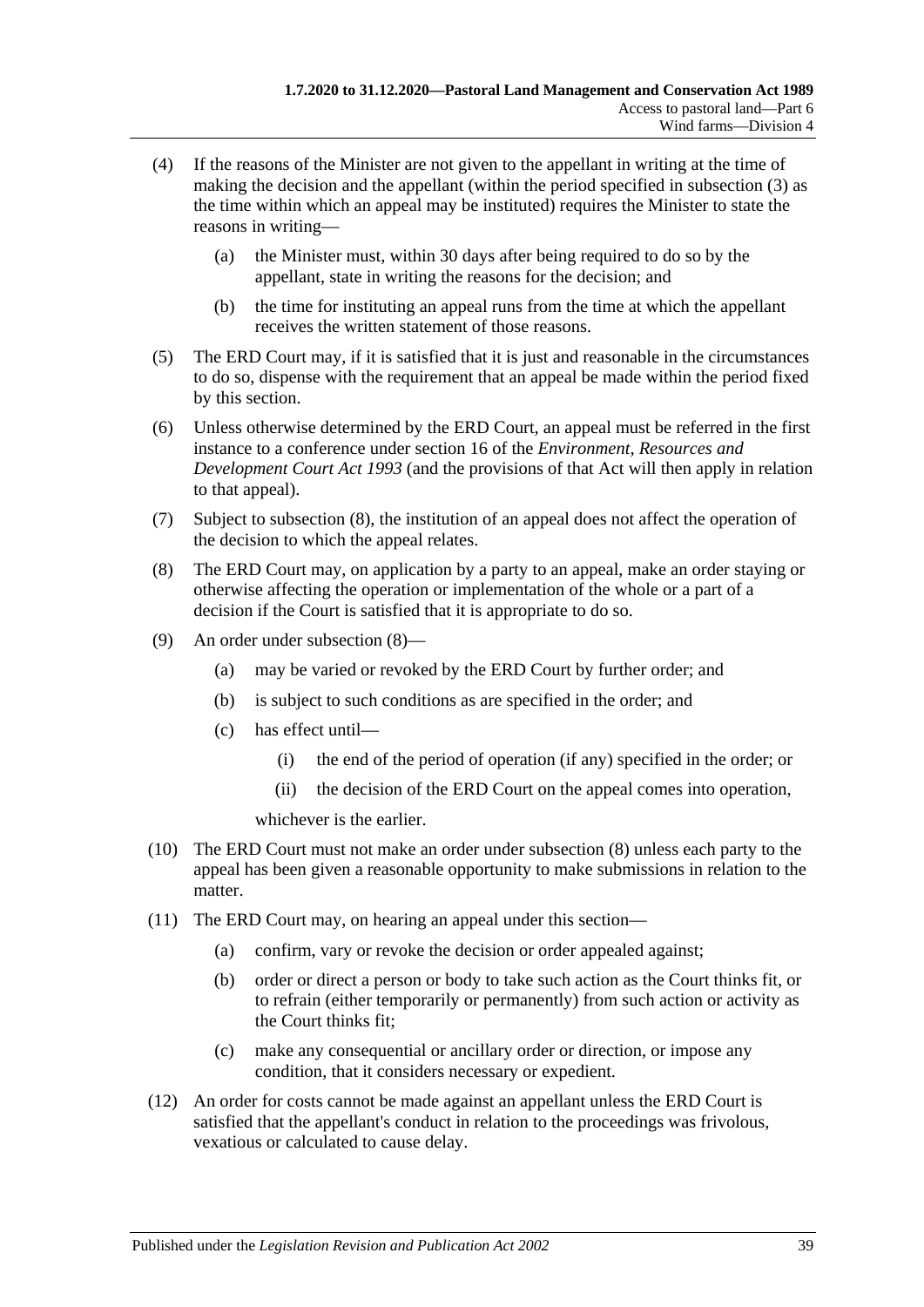- (4) If the reasons of the Minister are not given to the appellant in writing at the time of making the decision and the appellant (within the period specified in [subsection](#page-37-5) (3) as the time within which an appeal may be instituted) requires the Minister to state the reasons in writing—
	- (a) the Minister must, within 30 days after being required to do so by the appellant, state in writing the reasons for the decision; and
	- (b) the time for instituting an appeal runs from the time at which the appellant receives the written statement of those reasons.
- (5) The ERD Court may, if it is satisfied that it is just and reasonable in the circumstances to do so, dispense with the requirement that an appeal be made within the period fixed by this section.
- (6) Unless otherwise determined by the ERD Court, an appeal must be referred in the first instance to a conference under section 16 of the *[Environment, Resources and](http://www.legislation.sa.gov.au/index.aspx?action=legref&type=act&legtitle=Environment%20Resources%20and%20Development%20Court%20Act%201993)  [Development Court Act](http://www.legislation.sa.gov.au/index.aspx?action=legref&type=act&legtitle=Environment%20Resources%20and%20Development%20Court%20Act%201993) 1993* (and the provisions of that Act will then apply in relation to that appeal).
- (7) Subject to [subsection](#page-38-0) (8), the institution of an appeal does not affect the operation of the decision to which the appeal relates.
- <span id="page-38-0"></span>(8) The ERD Court may, on application by a party to an appeal, make an order staying or otherwise affecting the operation or implementation of the whole or a part of a decision if the Court is satisfied that it is appropriate to do so.
- (9) An order under [subsection](#page-38-0) (8)—
	- (a) may be varied or revoked by the ERD Court by further order; and
	- (b) is subject to such conditions as are specified in the order; and
	- (c) has effect until—
		- (i) the end of the period of operation (if any) specified in the order; or
		- (ii) the decision of the ERD Court on the appeal comes into operation,

whichever is the earlier.

- (10) The ERD Court must not make an order under [subsection](#page-38-0) (8) unless each party to the appeal has been given a reasonable opportunity to make submissions in relation to the matter.
- (11) The ERD Court may, on hearing an appeal under this section—
	- (a) confirm, vary or revoke the decision or order appealed against;
	- (b) order or direct a person or body to take such action as the Court thinks fit, or to refrain (either temporarily or permanently) from such action or activity as the Court thinks fit;
	- (c) make any consequential or ancillary order or direction, or impose any condition, that it considers necessary or expedient.
- (12) An order for costs cannot be made against an appellant unless the ERD Court is satisfied that the appellant's conduct in relation to the proceedings was frivolous, vexatious or calculated to cause delay.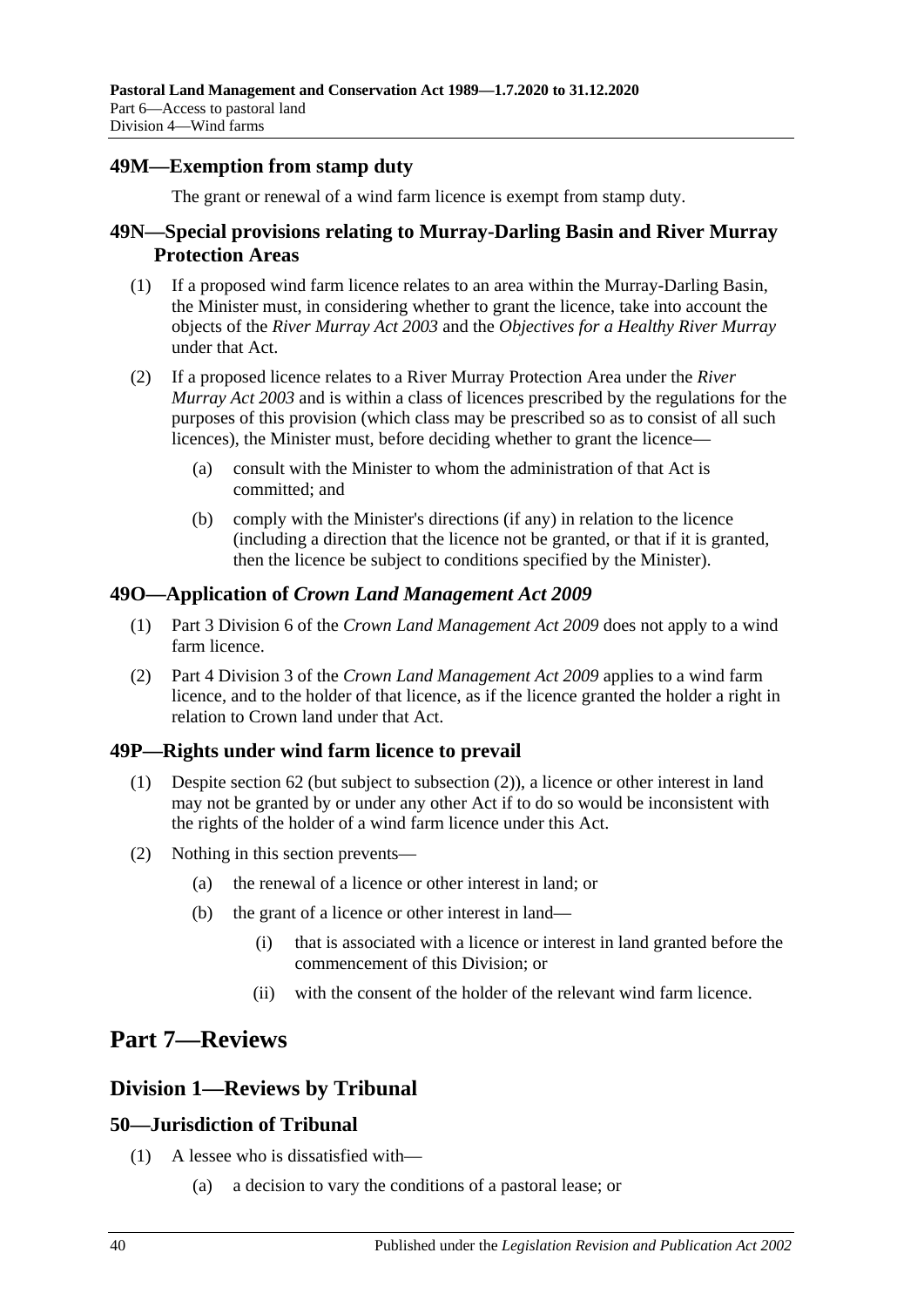## <span id="page-39-0"></span>**49M—Exemption from stamp duty**

The grant or renewal of a wind farm licence is exempt from stamp duty.

### <span id="page-39-1"></span>**49N—Special provisions relating to Murray-Darling Basin and River Murray Protection Areas**

- (1) If a proposed wind farm licence relates to an area within the Murray-Darling Basin, the Minister must, in considering whether to grant the licence, take into account the objects of the *[River Murray Act](http://www.legislation.sa.gov.au/index.aspx?action=legref&type=act&legtitle=River%20Murray%20Act%202003) 2003* and the *Objectives for a Healthy River Murray* under that Act.
- (2) If a proposed licence relates to a River Murray Protection Area under the *[River](http://www.legislation.sa.gov.au/index.aspx?action=legref&type=act&legtitle=River%20Murray%20Act%202003)  [Murray Act](http://www.legislation.sa.gov.au/index.aspx?action=legref&type=act&legtitle=River%20Murray%20Act%202003) 2003* and is within a class of licences prescribed by the regulations for the purposes of this provision (which class may be prescribed so as to consist of all such licences), the Minister must, before deciding whether to grant the licence—
	- (a) consult with the Minister to whom the administration of that Act is committed; and
	- (b) comply with the Minister's directions (if any) in relation to the licence (including a direction that the licence not be granted, or that if it is granted, then the licence be subject to conditions specified by the Minister).

### <span id="page-39-2"></span>**49O—Application of** *Crown Land Management Act 2009*

- (1) Part 3 Division 6 of the *[Crown Land Management Act](http://www.legislation.sa.gov.au/index.aspx?action=legref&type=act&legtitle=Crown%20Land%20Management%20Act%202009) 2009* does not apply to a wind farm licence.
- (2) Part 4 Division 3 of the *[Crown Land Management Act](http://www.legislation.sa.gov.au/index.aspx?action=legref&type=act&legtitle=Crown%20Land%20Management%20Act%202009) 2009* applies to a wind farm licence, and to the holder of that licence, as if the licence granted the holder a right in relation to Crown land under that Act.

# <span id="page-39-3"></span>**49P—Rights under wind farm licence to prevail**

- (1) Despite [section](#page-43-1) 62 (but subject to [subsection](#page-39-7) (2)), a licence or other interest in land may not be granted by or under any other Act if to do so would be inconsistent with the rights of the holder of a wind farm licence under this Act.
- <span id="page-39-7"></span>(2) Nothing in this section prevents—
	- (a) the renewal of a licence or other interest in land; or
	- (b) the grant of a licence or other interest in land—
		- (i) that is associated with a licence or interest in land granted before the commencement of this Division; or
		- (ii) with the consent of the holder of the relevant wind farm licence.

# <span id="page-39-4"></span>**Part 7—Reviews**

# <span id="page-39-5"></span>**Division 1—Reviews by Tribunal**

# <span id="page-39-6"></span>**50—Jurisdiction of Tribunal**

- (1) A lessee who is dissatisfied with—
	- (a) a decision to vary the conditions of a pastoral lease; or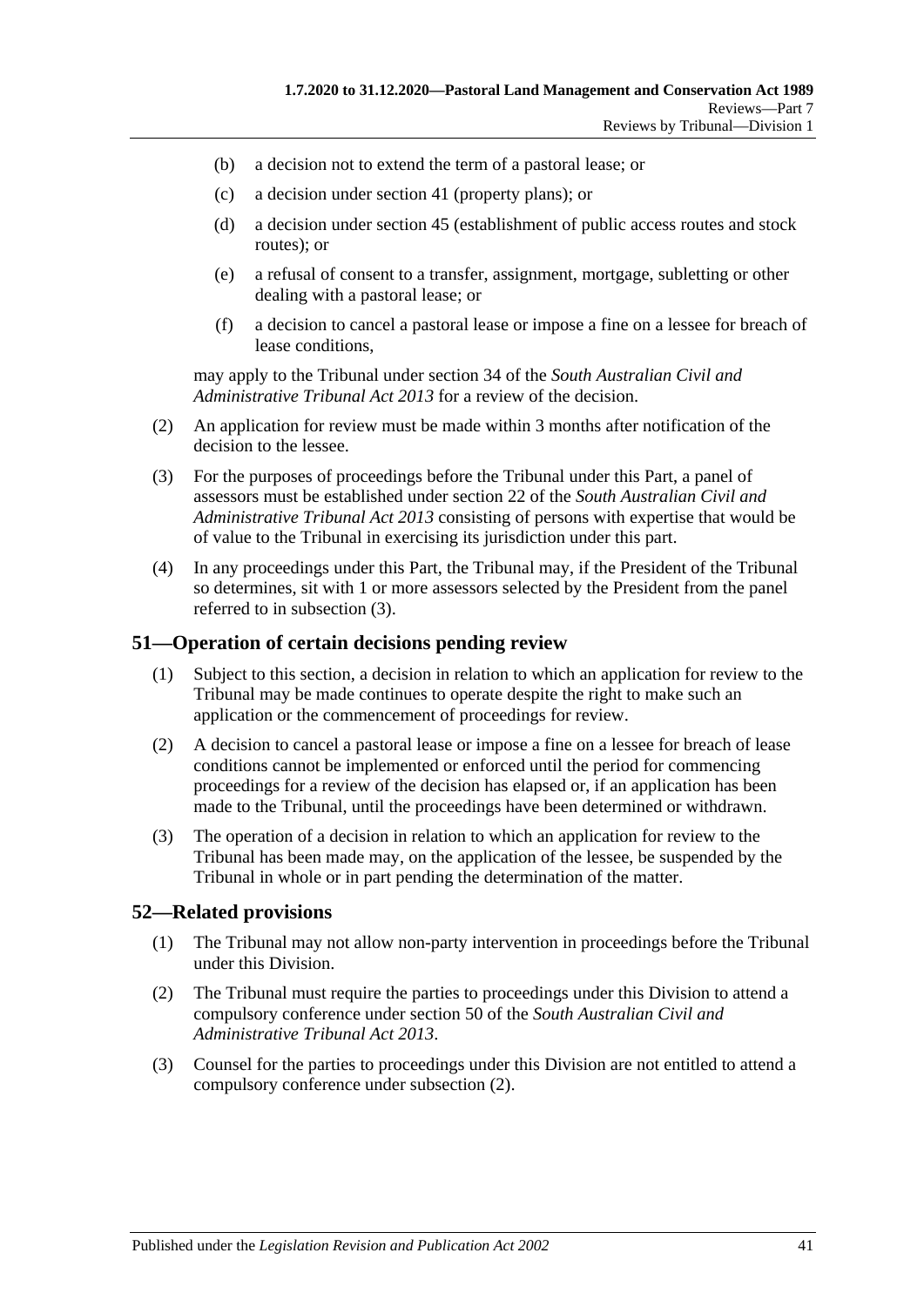- (b) a decision not to extend the term of a pastoral lease; or
- (c) a decision under section 41 (property plans); or
- (d) a decision under section 45 (establishment of public access routes and stock routes); or
- (e) a refusal of consent to a transfer, assignment, mortgage, subletting or other dealing with a pastoral lease; or
- (f) a decision to cancel a pastoral lease or impose a fine on a lessee for breach of lease conditions,

may apply to the Tribunal under section 34 of the *[South Australian Civil and](http://www.legislation.sa.gov.au/index.aspx?action=legref&type=act&legtitle=South%20Australian%20Civil%20and%20Administrative%20Tribunal%20Act%202013)  [Administrative Tribunal Act](http://www.legislation.sa.gov.au/index.aspx?action=legref&type=act&legtitle=South%20Australian%20Civil%20and%20Administrative%20Tribunal%20Act%202013) 2013* for a review of the decision.

- (2) An application for review must be made within 3 months after notification of the decision to the lessee.
- <span id="page-40-2"></span>(3) For the purposes of proceedings before the Tribunal under this Part, a panel of assessors must be established under section 22 of the *[South Australian Civil and](http://www.legislation.sa.gov.au/index.aspx?action=legref&type=act&legtitle=South%20Australian%20Civil%20and%20Administrative%20Tribunal%20Act%202013)  [Administrative Tribunal Act](http://www.legislation.sa.gov.au/index.aspx?action=legref&type=act&legtitle=South%20Australian%20Civil%20and%20Administrative%20Tribunal%20Act%202013) 2013* consisting of persons with expertise that would be of value to the Tribunal in exercising its jurisdiction under this part.
- (4) In any proceedings under this Part, the Tribunal may, if the President of the Tribunal so determines, sit with 1 or more assessors selected by the President from the panel referred to in [subsection](#page-40-2) (3).

#### <span id="page-40-0"></span>**51—Operation of certain decisions pending review**

- (1) Subject to this section, a decision in relation to which an application for review to the Tribunal may be made continues to operate despite the right to make such an application or the commencement of proceedings for review.
- (2) A decision to cancel a pastoral lease or impose a fine on a lessee for breach of lease conditions cannot be implemented or enforced until the period for commencing proceedings for a review of the decision has elapsed or, if an application has been made to the Tribunal, until the proceedings have been determined or withdrawn.
- (3) The operation of a decision in relation to which an application for review to the Tribunal has been made may, on the application of the lessee, be suspended by the Tribunal in whole or in part pending the determination of the matter.

### <span id="page-40-1"></span>**52—Related provisions**

- (1) The Tribunal may not allow non-party intervention in proceedings before the Tribunal under this Division.
- <span id="page-40-3"></span>(2) The Tribunal must require the parties to proceedings under this Division to attend a compulsory conference under section 50 of the *[South Australian Civil and](http://www.legislation.sa.gov.au/index.aspx?action=legref&type=act&legtitle=South%20Australian%20Civil%20and%20Administrative%20Tribunal%20Act%202013)  [Administrative Tribunal Act](http://www.legislation.sa.gov.au/index.aspx?action=legref&type=act&legtitle=South%20Australian%20Civil%20and%20Administrative%20Tribunal%20Act%202013) 2013*.
- (3) Counsel for the parties to proceedings under this Division are not entitled to attend a compulsory conference under [subsection](#page-40-3) (2).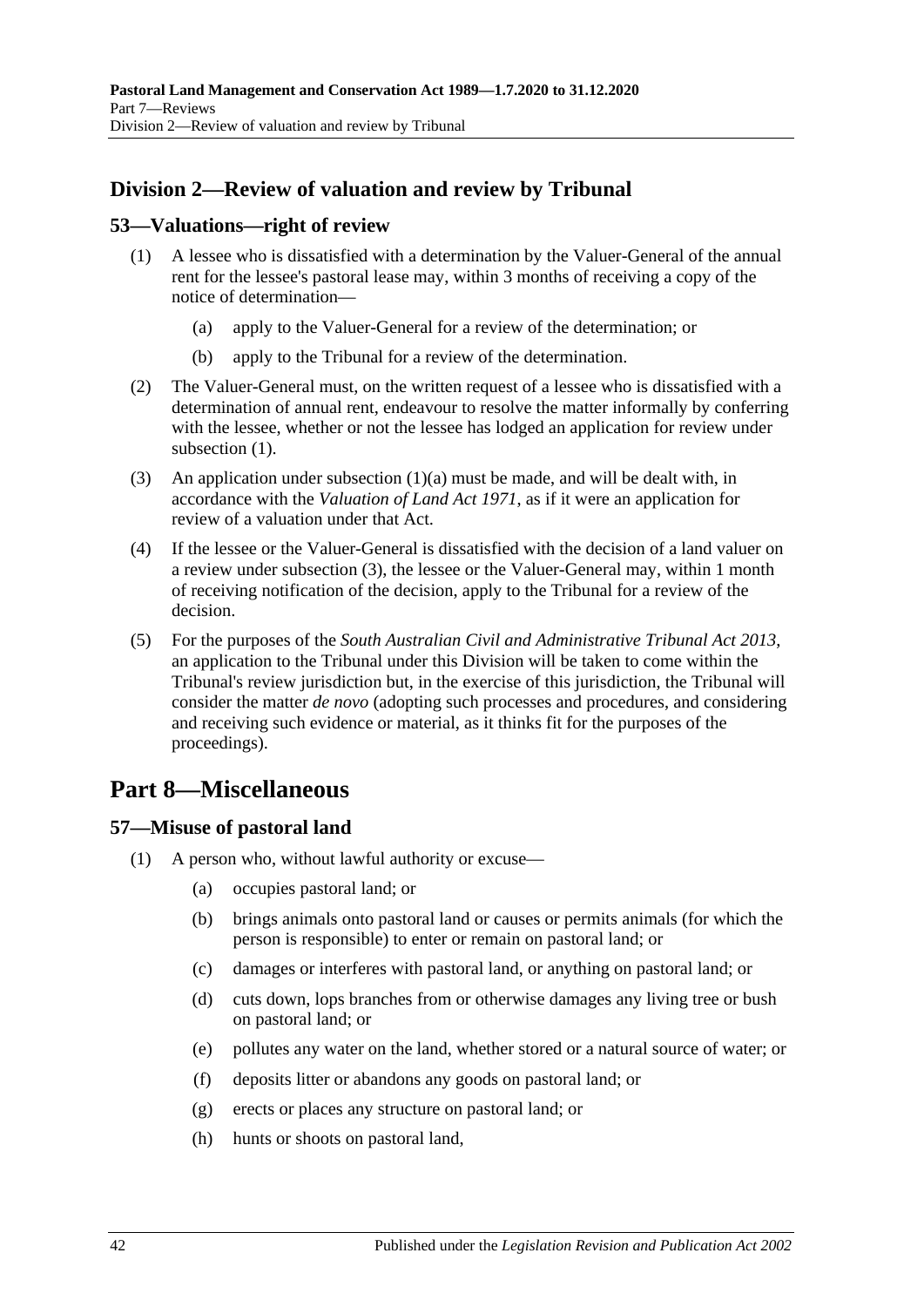# <span id="page-41-0"></span>**Division 2—Review of valuation and review by Tribunal**

### <span id="page-41-4"></span><span id="page-41-1"></span>**53—Valuations—right of review**

- <span id="page-41-5"></span>(1) A lessee who is dissatisfied with a determination by the Valuer-General of the annual rent for the lessee's pastoral lease may, within 3 months of receiving a copy of the notice of determination—
	- (a) apply to the Valuer-General for a review of the determination; or
	- (b) apply to the Tribunal for a review of the determination.
- (2) The Valuer-General must, on the written request of a lessee who is dissatisfied with a determination of annual rent, endeavour to resolve the matter informally by conferring with the lessee, whether or not the lessee has lodged an application for review under [subsection](#page-41-4)  $(1)$ .
- <span id="page-41-6"></span>(3) An application under [subsection](#page-41-5)  $(1)(a)$  must be made, and will be dealt with, in accordance with the *[Valuation of Land Act](http://www.legislation.sa.gov.au/index.aspx?action=legref&type=act&legtitle=Valuation%20of%20Land%20Act%201971) 1971*, as if it were an application for review of a valuation under that Act.
- (4) If the lessee or the Valuer-General is dissatisfied with the decision of a land valuer on a review under [subsection](#page-41-6) (3), the lessee or the Valuer-General may, within 1 month of receiving notification of the decision, apply to the Tribunal for a review of the decision.
- (5) For the purposes of the *[South Australian Civil and Administrative Tribunal Act](http://www.legislation.sa.gov.au/index.aspx?action=legref&type=act&legtitle=South%20Australian%20Civil%20and%20Administrative%20Tribunal%20Act%202013) 2013*, an application to the Tribunal under this Division will be taken to come within the Tribunal's review jurisdiction but, in the exercise of this jurisdiction, the Tribunal will consider the matter *de novo* (adopting such processes and procedures, and considering and receiving such evidence or material, as it thinks fit for the purposes of the proceedings).

# <span id="page-41-2"></span>**Part 8—Miscellaneous**

### <span id="page-41-7"></span><span id="page-41-3"></span>**57—Misuse of pastoral land**

- (1) A person who, without lawful authority or excuse—
	- (a) occupies pastoral land; or
	- (b) brings animals onto pastoral land or causes or permits animals (for which the person is responsible) to enter or remain on pastoral land; or
	- (c) damages or interferes with pastoral land, or anything on pastoral land; or
	- (d) cuts down, lops branches from or otherwise damages any living tree or bush on pastoral land; or
	- (e) pollutes any water on the land, whether stored or a natural source of water; or
	- (f) deposits litter or abandons any goods on pastoral land; or
	- (g) erects or places any structure on pastoral land; or
	- (h) hunts or shoots on pastoral land,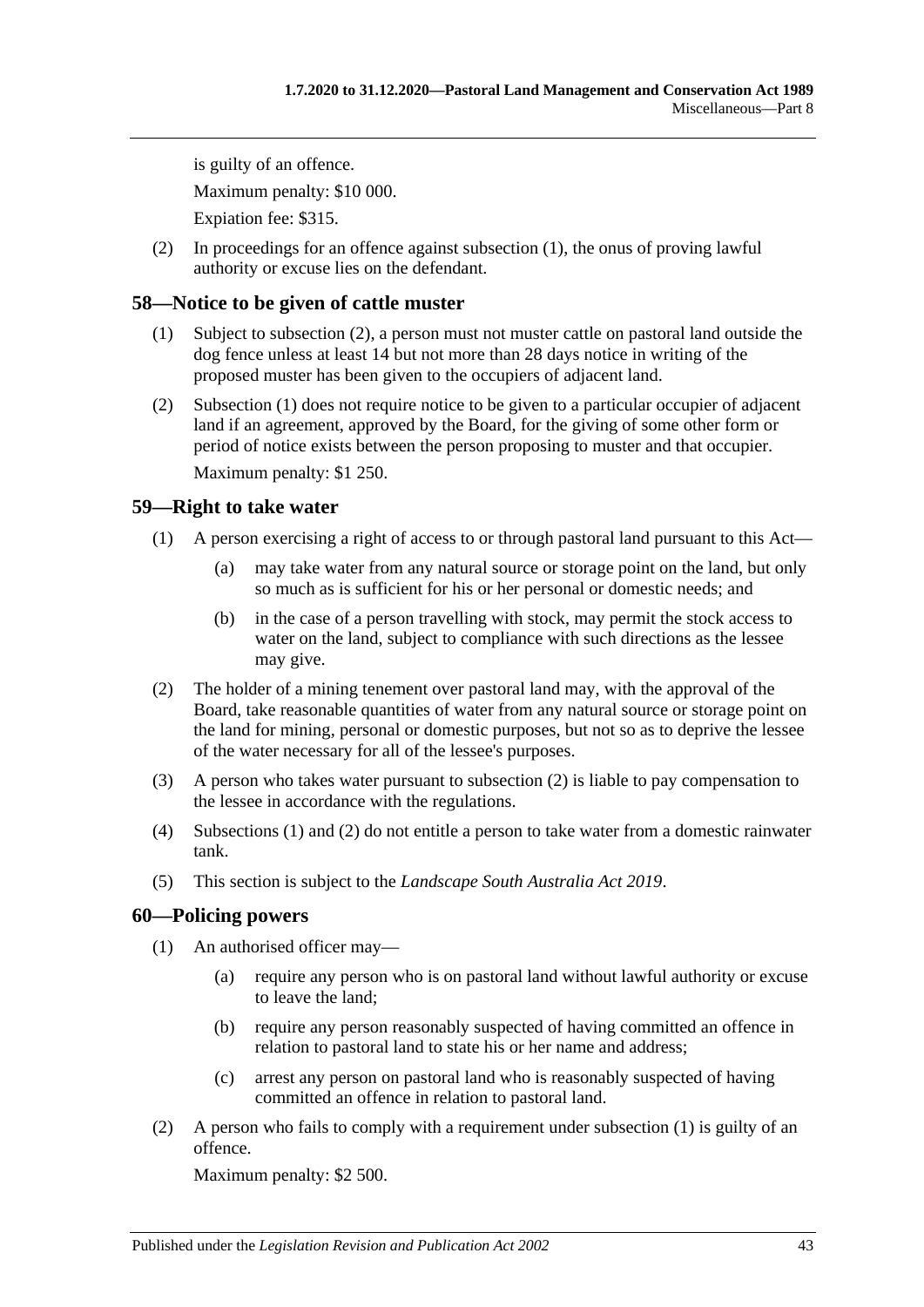is guilty of an offence. Maximum penalty: \$10 000. Expiation fee: \$315.

(2) In proceedings for an offence against [subsection](#page-41-7) (1), the onus of proving lawful authority or excuse lies on the defendant.

## <span id="page-42-4"></span><span id="page-42-0"></span>**58—Notice to be given of cattle muster**

- (1) Subject to [subsection](#page-42-3) (2), a person must not muster cattle on pastoral land outside the dog fence unless at least 14 but not more than 28 days notice in writing of the proposed muster has been given to the occupiers of adjacent land.
- <span id="page-42-3"></span>(2) [Subsection](#page-42-4) (1) does not require notice to be given to a particular occupier of adjacent land if an agreement, approved by the Board, for the giving of some other form or period of notice exists between the person proposing to muster and that occupier.

Maximum penalty: \$1 250.

## <span id="page-42-6"></span><span id="page-42-1"></span>**59—Right to take water**

- (1) A person exercising a right of access to or through pastoral land pursuant to this Act—
	- (a) may take water from any natural source or storage point on the land, but only so much as is sufficient for his or her personal or domestic needs; and
	- (b) in the case of a person travelling with stock, may permit the stock access to water on the land, subject to compliance with such directions as the lessee may give.
- <span id="page-42-5"></span>(2) The holder of a mining tenement over pastoral land may, with the approval of the Board, take reasonable quantities of water from any natural source or storage point on the land for mining, personal or domestic purposes, but not so as to deprive the lessee of the water necessary for all of the lessee's purposes.
- (3) A person who takes water pursuant to [subsection](#page-42-5) (2) is liable to pay compensation to the lessee in accordance with the regulations.
- (4) [Subsections](#page-42-6) (1) and [\(2\)](#page-42-5) do not entitle a person to take water from a domestic rainwater tank.
- (5) This section is subject to the *[Landscape South Australia Act](http://www.legislation.sa.gov.au/index.aspx?action=legref&type=act&legtitle=Landscape%20South%20Australia%20Act%202019) 2019*.

### <span id="page-42-7"></span><span id="page-42-2"></span>**60—Policing powers**

- (1) An authorised officer may—
	- (a) require any person who is on pastoral land without lawful authority or excuse to leave the land;
	- (b) require any person reasonably suspected of having committed an offence in relation to pastoral land to state his or her name and address;
	- (c) arrest any person on pastoral land who is reasonably suspected of having committed an offence in relation to pastoral land.
- (2) A person who fails to comply with a requirement under [subsection](#page-42-7) (1) is guilty of an offence.

Maximum penalty: \$2 500.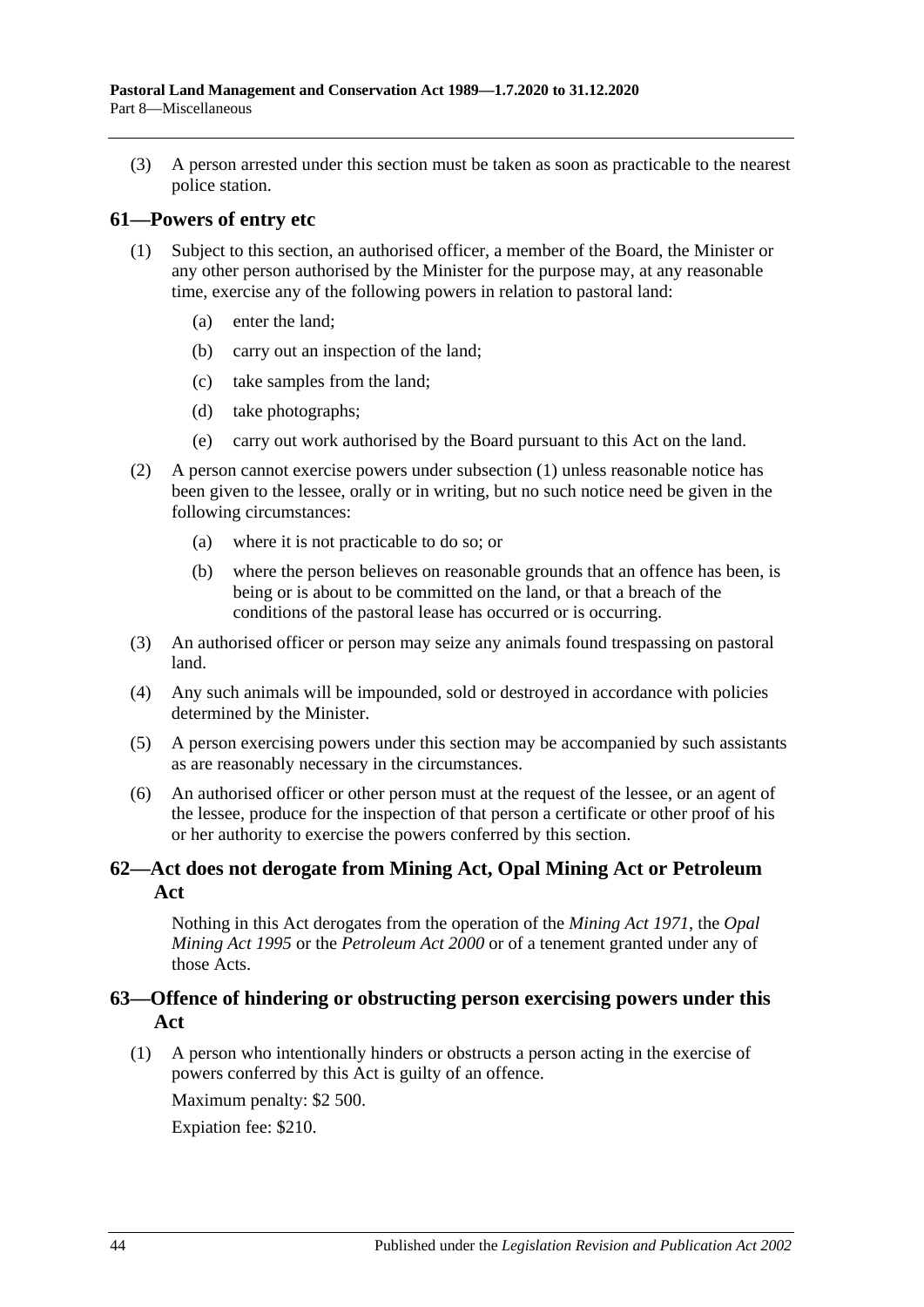(3) A person arrested under this section must be taken as soon as practicable to the nearest police station.

#### <span id="page-43-3"></span><span id="page-43-0"></span>**61—Powers of entry etc**

- (1) Subject to this section, an authorised officer, a member of the Board, the Minister or any other person authorised by the Minister for the purpose may, at any reasonable time, exercise any of the following powers in relation to pastoral land:
	- (a) enter the land;
	- (b) carry out an inspection of the land;
	- (c) take samples from the land;
	- (d) take photographs;
	- (e) carry out work authorised by the Board pursuant to this Act on the land.
- (2) A person cannot exercise powers under [subsection](#page-43-3) (1) unless reasonable notice has been given to the lessee, orally or in writing, but no such notice need be given in the following circumstances:
	- (a) where it is not practicable to do so; or
	- (b) where the person believes on reasonable grounds that an offence has been, is being or is about to be committed on the land, or that a breach of the conditions of the pastoral lease has occurred or is occurring.
- (3) An authorised officer or person may seize any animals found trespassing on pastoral land.
- (4) Any such animals will be impounded, sold or destroyed in accordance with policies determined by the Minister.
- (5) A person exercising powers under this section may be accompanied by such assistants as are reasonably necessary in the circumstances.
- (6) An authorised officer or other person must at the request of the lessee, or an agent of the lessee, produce for the inspection of that person a certificate or other proof of his or her authority to exercise the powers conferred by this section.

## <span id="page-43-1"></span>**62—Act does not derogate from Mining Act, Opal Mining Act or Petroleum Act**

Nothing in this Act derogates from the operation of the *[Mining Act](http://www.legislation.sa.gov.au/index.aspx?action=legref&type=act&legtitle=Mining%20Act%201971) 1971*, the *[Opal](http://www.legislation.sa.gov.au/index.aspx?action=legref&type=act&legtitle=Opal%20Mining%20Act%201995)  [Mining Act](http://www.legislation.sa.gov.au/index.aspx?action=legref&type=act&legtitle=Opal%20Mining%20Act%201995) 1995* or the *[Petroleum Act](http://www.legislation.sa.gov.au/index.aspx?action=legref&type=act&legtitle=Petroleum%20Act%202000) 2000* or of a tenement granted under any of those Acts.

### <span id="page-43-2"></span>**63—Offence of hindering or obstructing person exercising powers under this Act**

(1) A person who intentionally hinders or obstructs a person acting in the exercise of powers conferred by this Act is guilty of an offence.

Maximum penalty: \$2 500.

Expiation fee: \$210.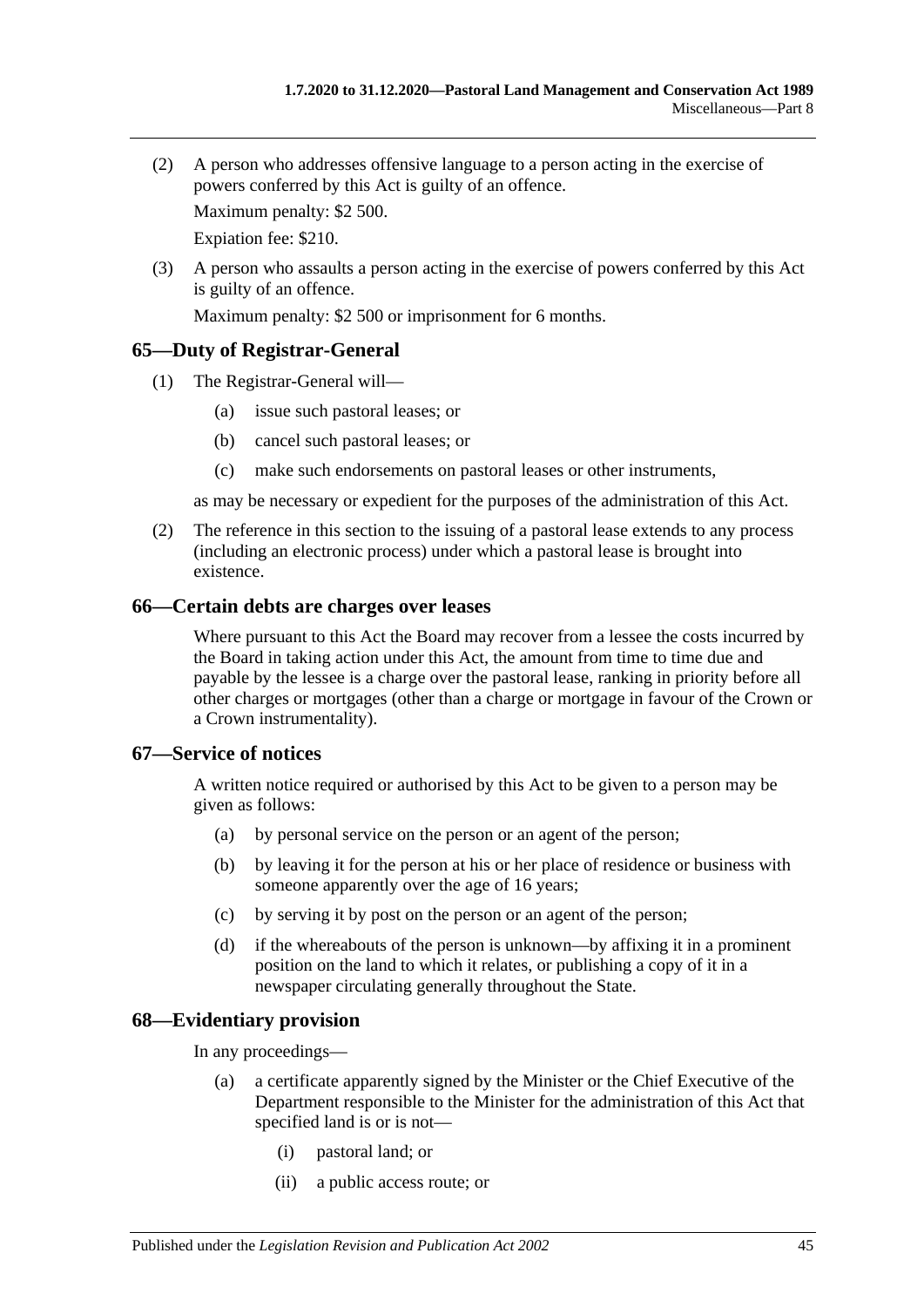(2) A person who addresses offensive language to a person acting in the exercise of powers conferred by this Act is guilty of an offence.

Maximum penalty: \$2 500.

Expiation fee: \$210.

(3) A person who assaults a person acting in the exercise of powers conferred by this Act is guilty of an offence.

Maximum penalty: \$2 500 or imprisonment for 6 months.

#### <span id="page-44-0"></span>**65—Duty of Registrar-General**

- (1) The Registrar-General will—
	- (a) issue such pastoral leases; or
	- (b) cancel such pastoral leases; or
	- (c) make such endorsements on pastoral leases or other instruments,

as may be necessary or expedient for the purposes of the administration of this Act.

(2) The reference in this section to the issuing of a pastoral lease extends to any process (including an electronic process) under which a pastoral lease is brought into existence.

#### <span id="page-44-1"></span>**66—Certain debts are charges over leases**

Where pursuant to this Act the Board may recover from a lessee the costs incurred by the Board in taking action under this Act, the amount from time to time due and payable by the lessee is a charge over the pastoral lease, ranking in priority before all other charges or mortgages (other than a charge or mortgage in favour of the Crown or a Crown instrumentality).

#### <span id="page-44-2"></span>**67—Service of notices**

A written notice required or authorised by this Act to be given to a person may be given as follows:

- (a) by personal service on the person or an agent of the person;
- (b) by leaving it for the person at his or her place of residence or business with someone apparently over the age of 16 years;
- (c) by serving it by post on the person or an agent of the person;
- (d) if the whereabouts of the person is unknown—by affixing it in a prominent position on the land to which it relates, or publishing a copy of it in a newspaper circulating generally throughout the State.

### <span id="page-44-3"></span>**68—Evidentiary provision**

In any proceedings—

- (a) a certificate apparently signed by the Minister or the Chief Executive of the Department responsible to the Minister for the administration of this Act that specified land is or is not—
	- (i) pastoral land; or
	- (ii) a public access route; or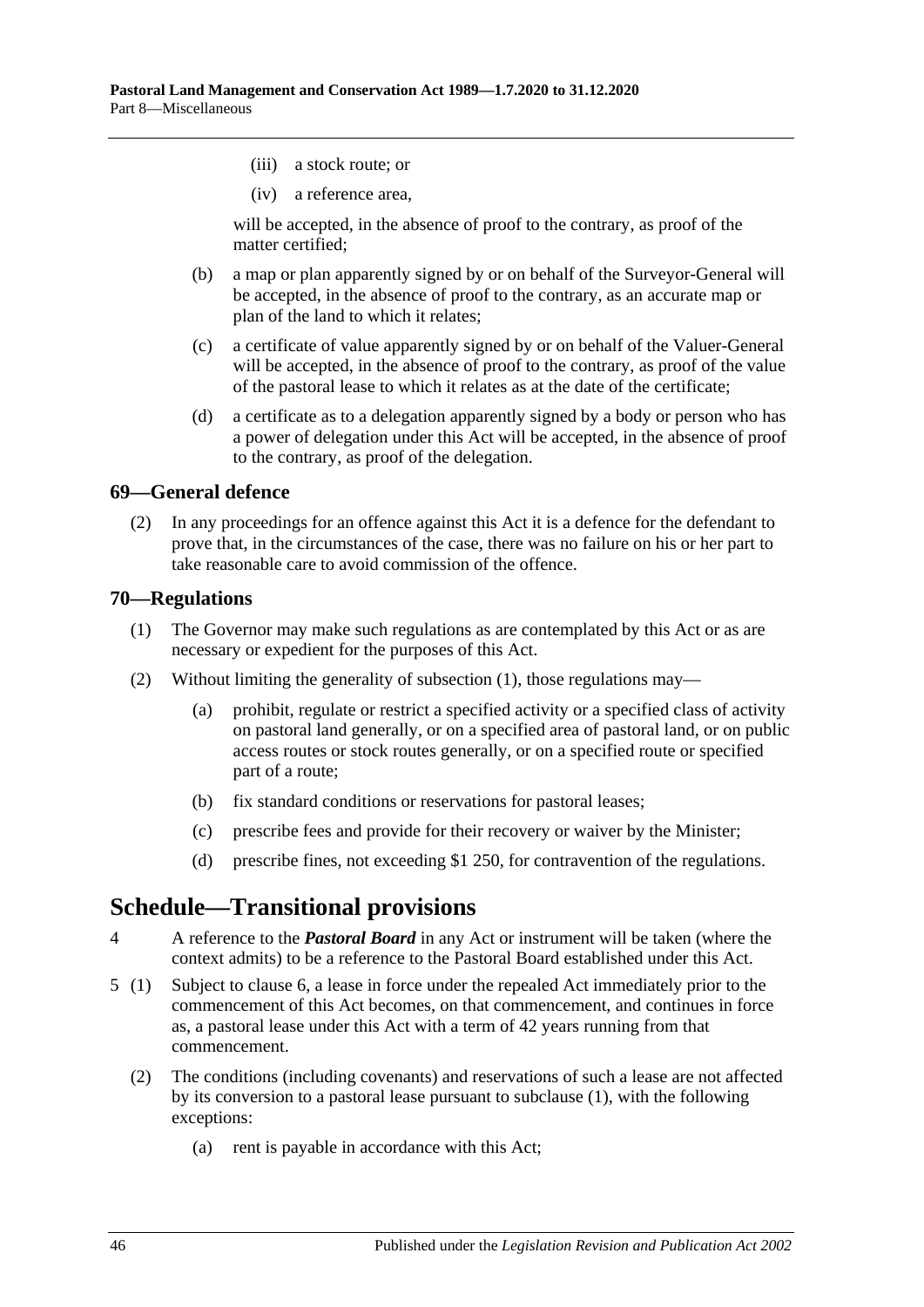- (iii) a stock route; or
- (iv) a reference area,

will be accepted, in the absence of proof to the contrary, as proof of the matter certified;

- (b) a map or plan apparently signed by or on behalf of the Surveyor-General will be accepted, in the absence of proof to the contrary, as an accurate map or plan of the land to which it relates;
- (c) a certificate of value apparently signed by or on behalf of the Valuer-General will be accepted, in the absence of proof to the contrary, as proof of the value of the pastoral lease to which it relates as at the date of the certificate;
- (d) a certificate as to a delegation apparently signed by a body or person who has a power of delegation under this Act will be accepted, in the absence of proof to the contrary, as proof of the delegation.

### <span id="page-45-0"></span>**69—General defence**

(2) In any proceedings for an offence against this Act it is a defence for the defendant to prove that, in the circumstances of the case, there was no failure on his or her part to take reasonable care to avoid commission of the offence.

#### <span id="page-45-3"></span><span id="page-45-1"></span>**70—Regulations**

- (1) The Governor may make such regulations as are contemplated by this Act or as are necessary or expedient for the purposes of this Act.
- (2) Without limiting the generality of [subsection](#page-45-3) (1), those regulations may—
	- (a) prohibit, regulate or restrict a specified activity or a specified class of activity on pastoral land generally, or on a specified area of pastoral land, or on public access routes or stock routes generally, or on a specified route or specified part of a route;
	- (b) fix standard conditions or reservations for pastoral leases;
	- (c) prescribe fees and provide for their recovery or waiver by the Minister;
	- (d) prescribe fines, not exceeding \$1 250, for contravention of the regulations.

# <span id="page-45-2"></span>**Schedule—Transitional provisions**

- 4 A reference to the *Pastoral Board* in any Act or instrument will be taken (where the context admits) to be a reference to the Pastoral Board established under this Act.
- <span id="page-45-4"></span>5 (1) Subject to [clause](#page-46-0) 6, a lease in force under the repealed Act immediately prior to the commencement of this Act becomes, on that commencement, and continues in force as, a pastoral lease under this Act with a term of 42 years running from that commencement.
	- (2) The conditions (including covenants) and reservations of such a lease are not affected by its conversion to a pastoral lease pursuant to subclause (1), with the following exceptions:
		- (a) rent is payable in accordance with this Act;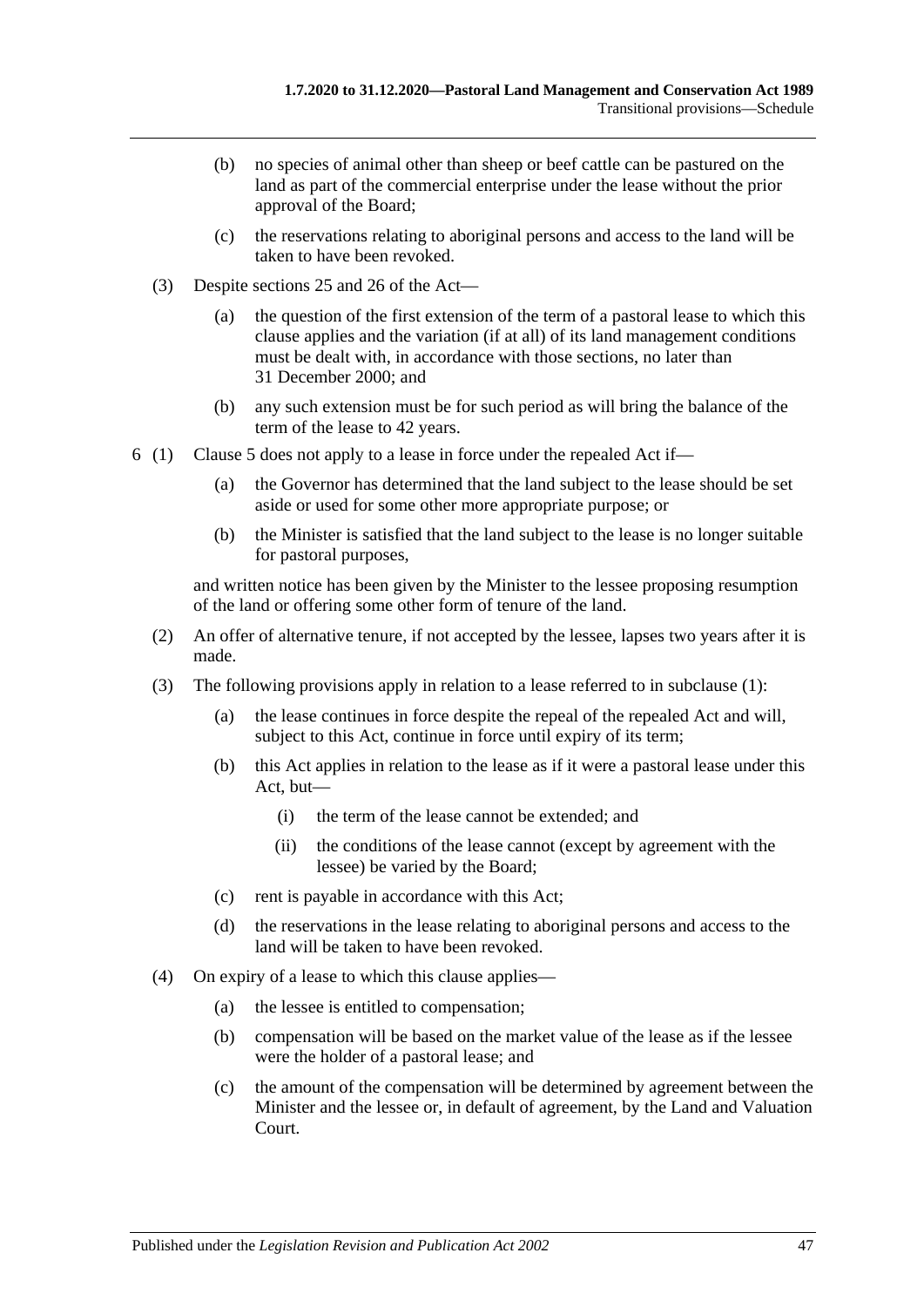- (b) no species of animal other than sheep or beef cattle can be pastured on the land as part of the commercial enterprise under the lease without the prior approval of the Board;
- (c) the reservations relating to aboriginal persons and access to the land will be taken to have been revoked.
- (3) Despite [sections](#page-15-0) 25 and [26](#page-17-0) of the Act—
	- (a) the question of the first extension of the term of a pastoral lease to which this clause applies and the variation (if at all) of its land management conditions must be dealt with, in accordance with those sections, no later than 31 December 2000; and
	- (b) any such extension must be for such period as will bring the balance of the term of the lease to 42 years.
- <span id="page-46-0"></span>6 (1) [Clause](#page-45-4) 5 does not apply to a lease in force under the repealed Act if—
	- (a) the Governor has determined that the land subject to the lease should be set aside or used for some other more appropriate purpose; or
	- (b) the Minister is satisfied that the land subject to the lease is no longer suitable for pastoral purposes,

and written notice has been given by the Minister to the lessee proposing resumption of the land or offering some other form of tenure of the land.

- (2) An offer of alternative tenure, if not accepted by the lessee, lapses two years after it is made.
- (3) The following provisions apply in relation to a lease referred to in subclause (1):
	- (a) the lease continues in force despite the repeal of the repealed Act and will, subject to this Act, continue in force until expiry of its term;
	- (b) this Act applies in relation to the lease as if it were a pastoral lease under this Act, but—
		- (i) the term of the lease cannot be extended; and
		- (ii) the conditions of the lease cannot (except by agreement with the lessee) be varied by the Board;
	- (c) rent is payable in accordance with this Act;
	- (d) the reservations in the lease relating to aboriginal persons and access to the land will be taken to have been revoked.
- (4) On expiry of a lease to which this clause applies—
	- (a) the lessee is entitled to compensation;
	- (b) compensation will be based on the market value of the lease as if the lessee were the holder of a pastoral lease; and
	- (c) the amount of the compensation will be determined by agreement between the Minister and the lessee or, in default of agreement, by the Land and Valuation Court.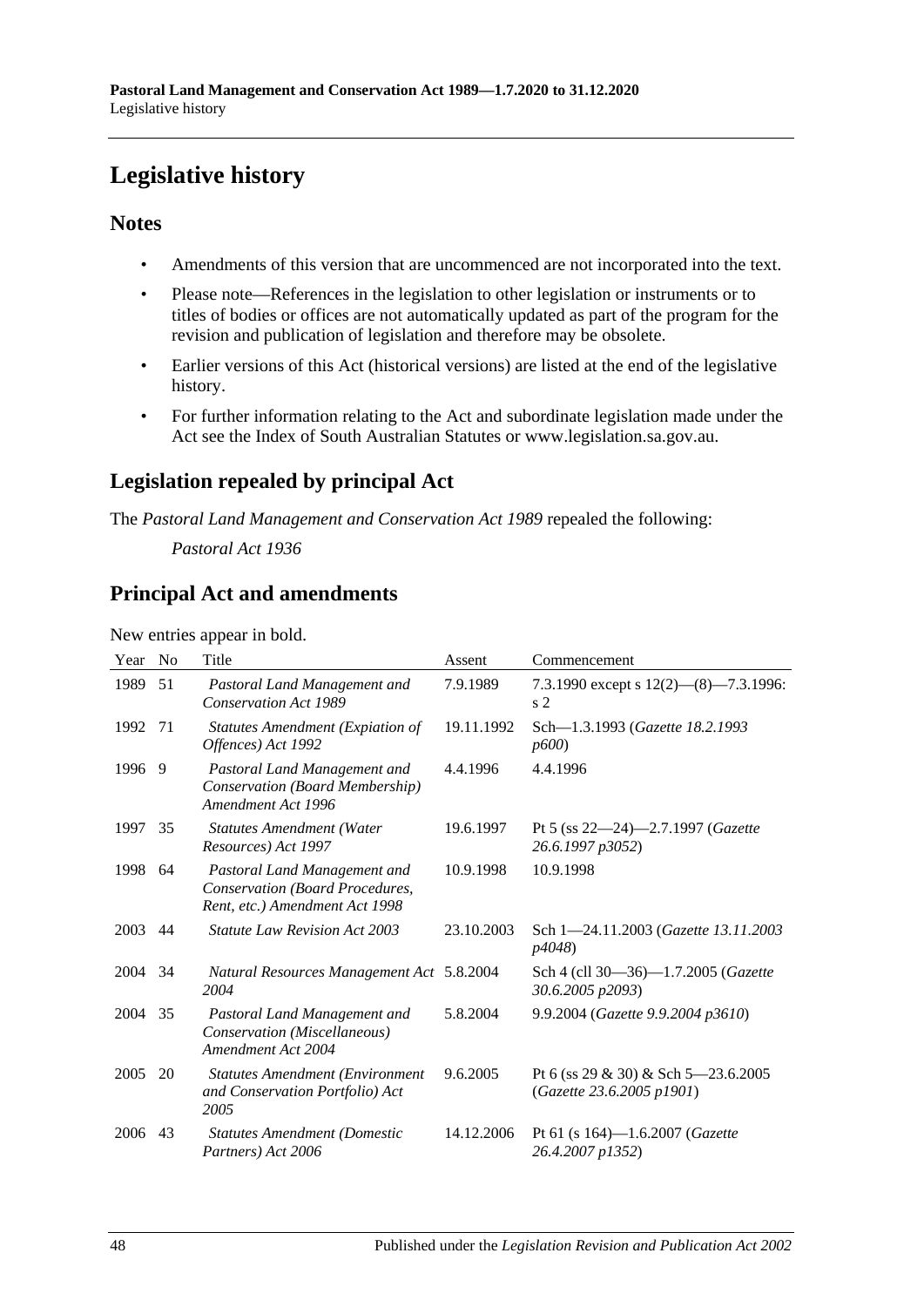# <span id="page-47-0"></span>**Legislative history**

## **Notes**

- Amendments of this version that are uncommenced are not incorporated into the text.
- Please note—References in the legislation to other legislation or instruments or to titles of bodies or offices are not automatically updated as part of the program for the revision and publication of legislation and therefore may be obsolete.
- Earlier versions of this Act (historical versions) are listed at the end of the legislative history.
- For further information relating to the Act and subordinate legislation made under the Act see the Index of South Australian Statutes or www.legislation.sa.gov.au.

# **Legislation repealed by principal Act**

The *Pastoral Land Management and Conservation Act 1989* repealed the following:

*Pastoral Act 1936*

# **Principal Act and amendments**

New entries appear in bold.

| Year | N <sub>0</sub> | Title                                                                                             | Assent     | Commencement                                                     |
|------|----------------|---------------------------------------------------------------------------------------------------|------------|------------------------------------------------------------------|
| 1989 | 51             | Pastoral Land Management and<br><b>Conservation Act 1989</b>                                      | 7.9.1989   | 7.3.1990 except s $12(2)$ — $(8)$ —7.3.1996:<br>s <sub>2</sub>   |
| 1992 | 71             | <b>Statutes Amendment (Expiation of</b><br>Offences) Act 1992                                     | 19.11.1992 | Sch-1.3.1993 (Gazette 18.2.1993<br>p600                          |
| 1996 | -9             | Pastoral Land Management and<br>Conservation (Board Membership)<br>Amendment Act 1996             | 4.4.1996   | 4.4.1996                                                         |
| 1997 | 35             | <b>Statutes Amendment (Water</b><br>Resources) Act 1997                                           | 19.6.1997  | Pt 5 (ss $22-24$ )-2.7.1997 ( <i>Gazette</i><br>26.6.1997 p3052) |
| 1998 | 64             | Pastoral Land Management and<br>Conservation (Board Procedures,<br>Rent, etc.) Amendment Act 1998 | 10.9.1998  | 10.9.1998                                                        |
| 2003 | 44             | <i>Statute Law Revision Act 2003</i>                                                              | 23.10.2003 | Sch 1-24.11.2003 (Gazette 13.11.2003)<br><i>p4048</i> )          |
| 2004 | 34             | Natural Resources Management Act 5.8.2004<br>2004                                                 |            | Sch 4 (cll 30-36)-1.7.2005 (Gazette<br>30.6.2005 p2093)          |
| 2004 | 35             | Pastoral Land Management and<br>Conservation (Miscellaneous)<br>Amendment Act 2004                | 5.8.2004   | 9.9.2004 (Gazette 9.9.2004 p3610)                                |
| 2005 | 20             | <b>Statutes Amendment (Environment</b><br>and Conservation Portfolio) Act<br>2005                 | 9.6.2005   | Pt 6 (ss 29 & 30) & Sch 5–23.6.2005<br>(Gazette 23.6.2005 p1901) |
| 2006 | 43             | <b>Statutes Amendment (Domestic</b><br>Partners) Act 2006                                         | 14.12.2006 | Pt 61 (s $164$ )-1.6.2007 ( <i>Gazette</i><br>26.4.2007 p1352)   |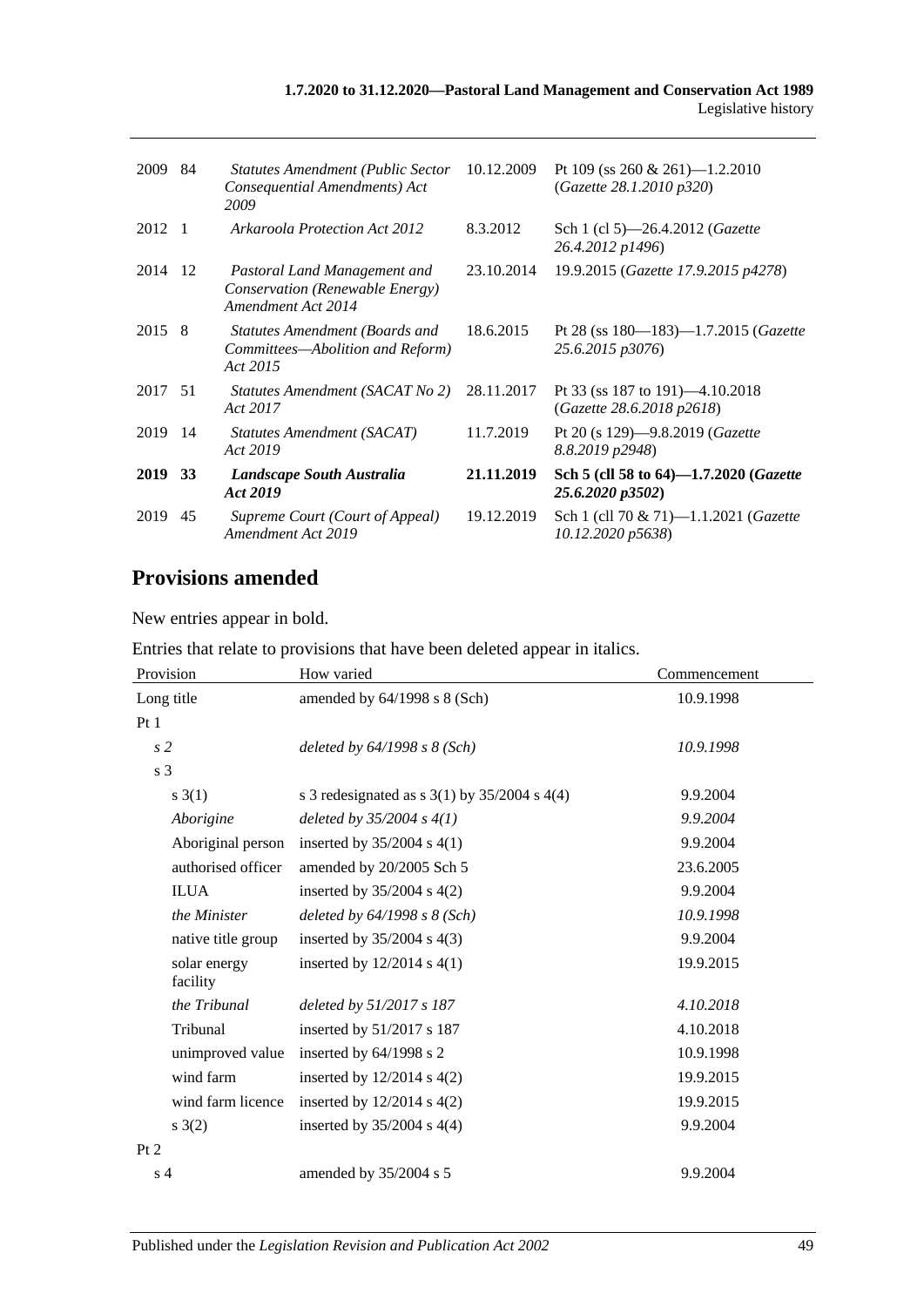#### **1.7.2020 to 31.12.2020—Pastoral Land Management and Conservation Act 1989** Legislative history

| 2009   | 84             | <b>Statutes Amendment (Public Sector</b><br>Consequential Amendments) Act<br>2009     | 10.12.2009 | Pt 109 (ss 260 & 261)—1.2.2010<br>(Gazette 28.1.2010 p320)               |
|--------|----------------|---------------------------------------------------------------------------------------|------------|--------------------------------------------------------------------------|
| 2012   | $\overline{1}$ | Arkaroola Protection Act 2012                                                         | 8.3.2012   | Sch 1 (cl 5)—26.4.2012 ( <i>Gazette</i><br>26.4.2012 p1496)              |
| 2014   | -12            | Pastoral Land Management and<br>Conservation (Renewable Energy)<br>Amendment Act 2014 | 23.10.2014 | 19.9.2015 (Gazette 17.9.2015 p4278)                                      |
| 2015 8 |                | Statutes Amendment (Boards and<br>Committees—Abolition and Reform)<br>Act 2015        | 18.6.2015  | Pt 28 (ss $180 - 183$ ) $-1.7.2015$ ( <i>Gazette</i><br>25.6.2015 p3076) |
| 2017   | - 51           | Statutes Amendment (SACAT No 2)<br>Act 2017                                           | 28.11.2017 | Pt 33 (ss 187 to 191)—4.10.2018<br>(Gazette 28.6.2018 p2618)             |
| 2019   | -14            | Statutes Amendment (SACAT)<br>Act 2019                                                | 11.7.2019  | Pt 20 (s 129)-9.8.2019 ( <i>Gazette</i><br>8.8.2019 p2948)               |
| 2019   | <b>33</b>      | Landscape South Australia<br>Act 2019                                                 | 21.11.2019 | Sch 5 (cll 58 to 64)-1.7.2020 ( <i>Gazette</i><br>25.6.2020 p3502)       |
| 2019   | 45             | Supreme Court (Court of Appeal)<br>Amendment Act 2019                                 | 19.12.2019 | Sch 1 (cll 70 & 71)-1.1.2021 (Gazette<br>10.12.2020 p5638)               |

# **Provisions amended**

New entries appear in bold.

Entries that relate to provisions that have been deleted appear in italics.

| Provision                | How varied                                         | Commencement |
|--------------------------|----------------------------------------------------|--------------|
| Long title               | amended by $64/1998$ s $8$ (Sch)                   | 10.9.1998    |
| Pt1                      |                                                    |              |
| s <sub>2</sub>           | deleted by 64/1998 s 8 (Sch)                       | 10.9.1998    |
| s 3                      |                                                    |              |
| s(3(1))                  | s 3 redesignated as s $3(1)$ by $35/2004$ s $4(4)$ | 9.9.2004     |
| Aborigine                | deleted by $35/2004 s 4(1)$                        | 9.9.2004     |
| Aboriginal person        | inserted by $35/2004$ s 4(1)                       | 9.9.2004     |
| authorised officer       | amended by 20/2005 Sch 5                           | 23.6.2005    |
| <b>ILUA</b>              | inserted by $35/2004$ s $4(2)$                     | 9.9.2004     |
| the Minister             | deleted by $64/1998$ s $8$ (Sch)                   | 10.9.1998    |
| native title group       | inserted by $35/2004$ s $4(3)$                     | 9.9.2004     |
| solar energy<br>facility | inserted by $12/2014$ s $4(1)$                     | 19.9.2015    |
| the Tribunal             | deleted by 51/2017 s 187                           | 4.10.2018    |
| Tribunal                 | inserted by 51/2017 s 187                          | 4.10.2018    |
| unimproved value         | inserted by $64/1998$ s 2                          | 10.9.1998    |
| wind farm                | inserted by $12/2014$ s $4(2)$                     | 19.9.2015    |
| wind farm licence        | inserted by $12/2014$ s $4(2)$                     | 19.9.2015    |
| s(2)                     | inserted by $35/2004$ s $4(4)$                     | 9.9.2004     |
| Pt 2                     |                                                    |              |
| s <sub>4</sub>           | amended by 35/2004 s 5                             | 9.9.2004     |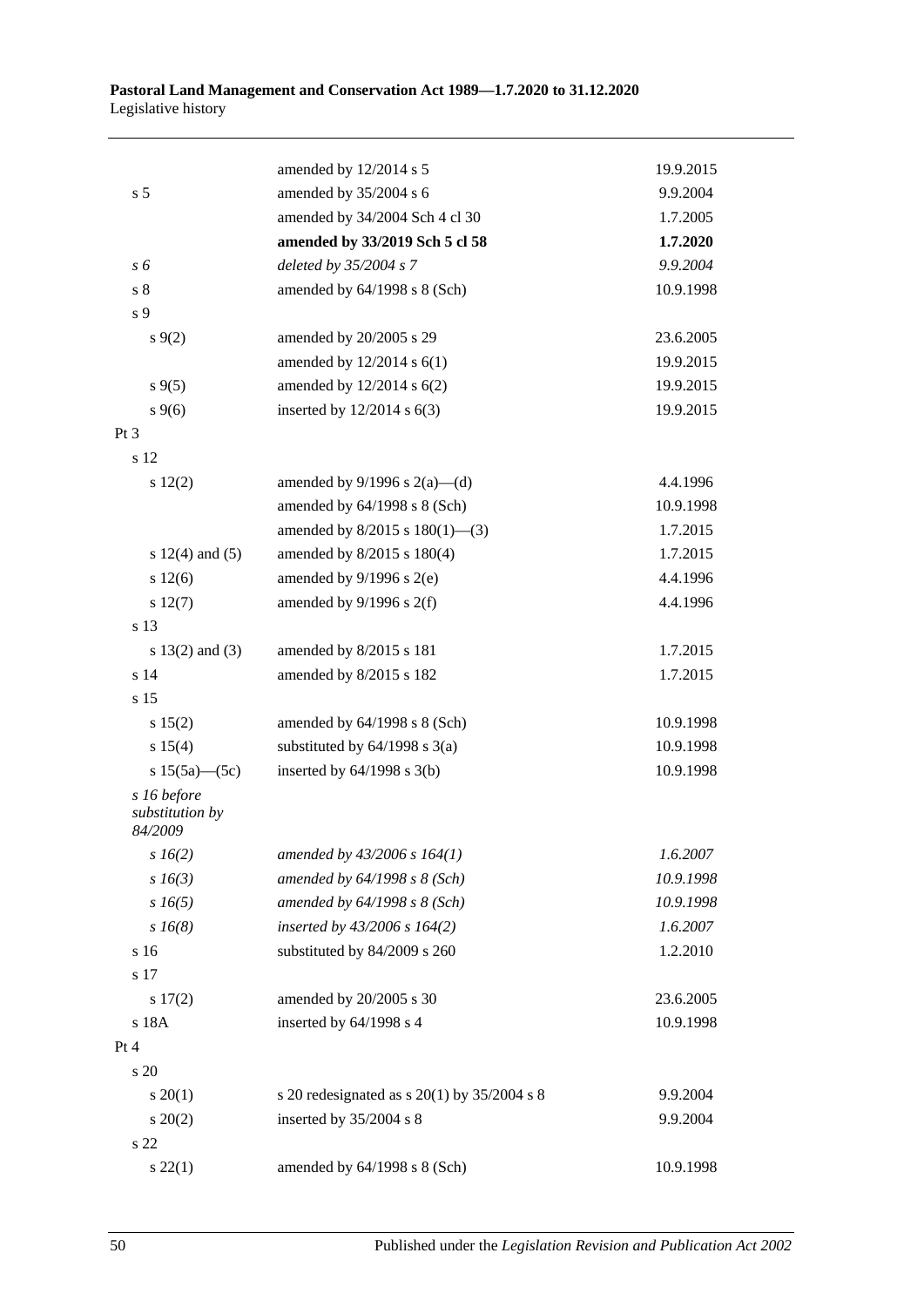|                                           | amended by 12/2014 s 5                      | 19.9.2015 |
|-------------------------------------------|---------------------------------------------|-----------|
| s <sub>5</sub>                            | amended by 35/2004 s 6                      | 9.9.2004  |
|                                           | amended by 34/2004 Sch 4 cl 30              | 1.7.2005  |
|                                           | amended by 33/2019 Sch 5 cl 58              | 1.7.2020  |
| s 6                                       | deleted by 35/2004 s 7                      | 9.9.2004  |
| s <sub>8</sub>                            | amended by $64/1998$ s $8$ (Sch)            | 10.9.1998 |
| s 9                                       |                                             |           |
| $s \, 9(2)$                               | amended by 20/2005 s 29                     | 23.6.2005 |
|                                           | amended by 12/2014 s 6(1)                   | 19.9.2015 |
| $s \, 9(5)$                               | amended by $12/2014$ s $6(2)$               | 19.9.2015 |
| $s \, 9(6)$                               | inserted by $12/2014$ s $6(3)$              | 19.9.2015 |
| $Pt\,3$                                   |                                             |           |
| s 12                                      |                                             |           |
| s 12(2)                                   | amended by $9/1996$ s $2(a)$ —(d)           | 4.4.1996  |
|                                           | amended by 64/1998 s 8 (Sch)                | 10.9.1998 |
|                                           | amended by $8/2015$ s $180(1)$ —(3)         | 1.7.2015  |
| s $12(4)$ and $(5)$                       | amended by 8/2015 s 180(4)                  | 1.7.2015  |
| s 12(6)                                   | amended by $9/1996$ s $2(e)$                | 4.4.1996  |
| s 12(7)                                   | amended by $9/1996$ s $2(f)$                | 4.4.1996  |
| s 13                                      |                                             |           |
| s $13(2)$ and $(3)$                       | amended by 8/2015 s 181                     | 1.7.2015  |
| s <sub>14</sub>                           | amended by 8/2015 s 182                     | 1.7.2015  |
| s 15                                      |                                             |           |
| s 15(2)                                   | amended by $64/1998$ s $8$ (Sch)            | 10.9.1998 |
| s 15(4)                                   | substituted by $64/1998$ s $3(a)$           | 10.9.1998 |
| s $15(5a)$ (5c)                           | inserted by $64/1998$ s $3(b)$              | 10.9.1998 |
| s 16 before<br>substitution by<br>84/2009 |                                             |           |
| $s\,16(2)$                                | amended by $43/2006$ s $164(1)$             | 1.6.2007  |
| $s\,16(3)$                                | amended by $64/1998 s 8$ (Sch)              | 10.9.1998 |
| $s\,16(5)$                                | amended by $64/1998 s 8$ (Sch)              | 10.9.1998 |
| $s\,16(8)$                                | inserted by $43/2006$ s $164(2)$            | 1.6.2007  |
| s 16                                      | substituted by 84/2009 s 260                | 1.2.2010  |
| s 17                                      |                                             |           |
| $s\ 17(2)$                                | amended by 20/2005 s 30                     | 23.6.2005 |
| s 18A                                     | inserted by 64/1998 s 4                     | 10.9.1998 |
| Pt 4                                      |                                             |           |
| s 20                                      |                                             |           |
| $s \ 20(1)$                               | s 20 redesignated as s 20(1) by 35/2004 s 8 | 9.9.2004  |
| $s \ 20(2)$                               | inserted by 35/2004 s 8                     | 9.9.2004  |
| s 22                                      |                                             |           |
| $s\ 22(1)$                                | amended by 64/1998 s 8 (Sch)                | 10.9.1998 |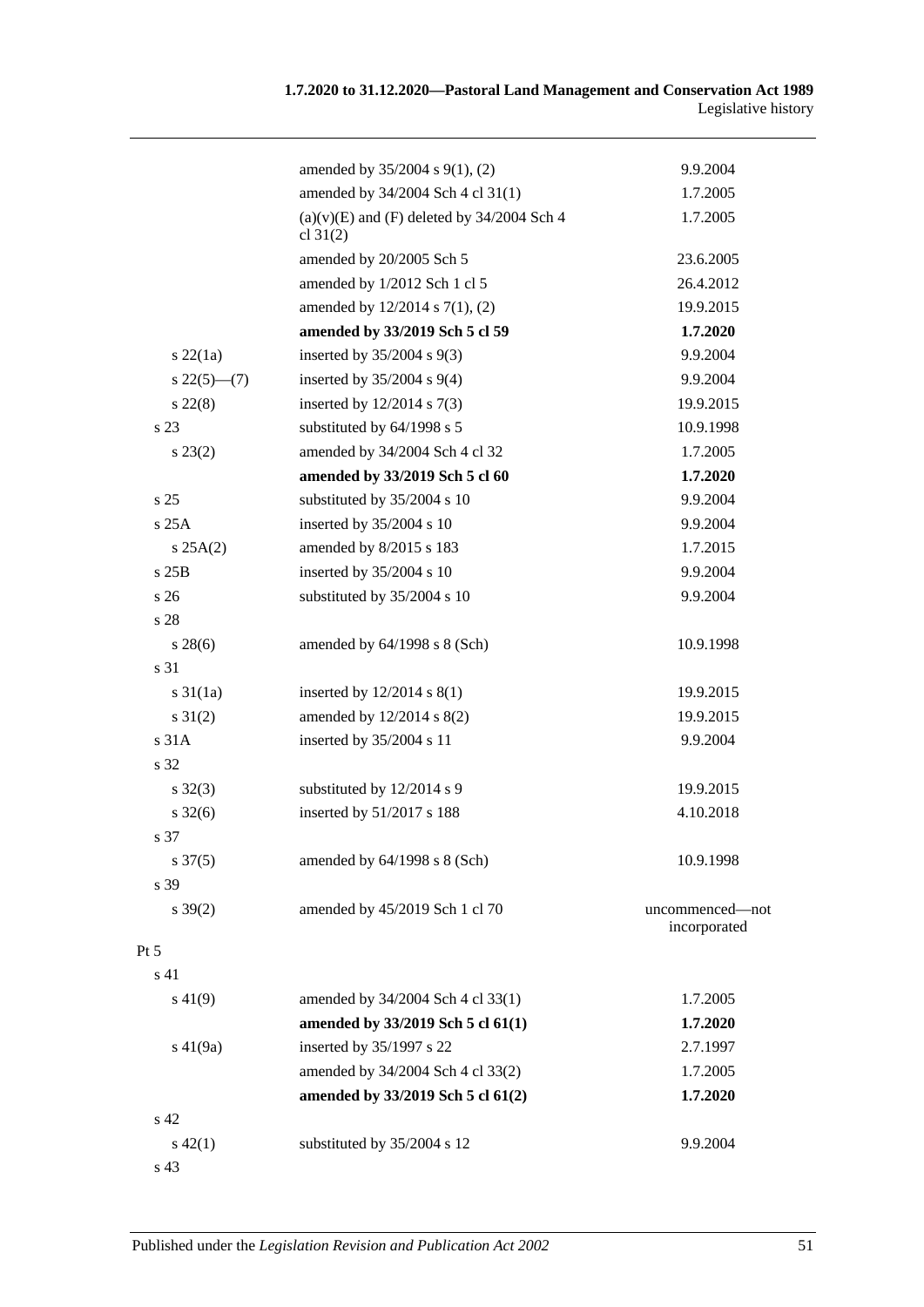|                     | amended by 35/2004 s 9(1), (2)                               | 9.9.2004                        |
|---------------------|--------------------------------------------------------------|---------------------------------|
|                     | amended by 34/2004 Sch 4 cl 31(1)                            | 1.7.2005                        |
|                     | $(a)(v)(E)$ and $(F)$ deleted by 34/2004 Sch 4<br>cl $31(2)$ | 1.7.2005                        |
|                     | amended by 20/2005 Sch 5                                     | 23.6.2005                       |
|                     | amended by 1/2012 Sch 1 cl 5                                 | 26.4.2012                       |
|                     | amended by $12/2014$ s $7(1)$ , (2)                          | 19.9.2015                       |
|                     | amended by 33/2019 Sch 5 cl 59                               | 1.7.2020                        |
| $s$ 22 $(1a)$       | inserted by 35/2004 s 9(3)                                   | 9.9.2004                        |
| $s\,22(5)$ —(7)     | inserted by $35/2004$ s $9(4)$                               | 9.9.2004                        |
| $s\,22(8)$          | inserted by $12/2014$ s $7(3)$                               | 19.9.2015                       |
| s 23                | substituted by 64/1998 s 5                                   | 10.9.1998                       |
| $s\,23(2)$          | amended by 34/2004 Sch 4 cl 32                               | 1.7.2005                        |
|                     | amended by 33/2019 Sch 5 cl 60                               | 1.7.2020                        |
| s <sub>25</sub>     | substituted by 35/2004 s 10                                  | 9.9.2004                        |
| s25A                | inserted by 35/2004 s 10                                     | 9.9.2004                        |
| s 25A(2)            | amended by 8/2015 s 183                                      | 1.7.2015                        |
| s25B                | inserted by 35/2004 s 10                                     | 9.9.2004                        |
| s <sub>26</sub>     | substituted by 35/2004 s 10                                  | 9.9.2004                        |
| s 28                |                                                              |                                 |
| $s\,28(6)$          | amended by $64/1998$ s $8$ (Sch)                             | 10.9.1998                       |
| s 31                |                                                              |                                 |
| $s \, 31(1a)$       | inserted by $12/2014$ s $8(1)$                               | 19.9.2015                       |
| $s \, 31(2)$        | amended by 12/2014 s 8(2)                                    | 19.9.2015                       |
| s 31A               | inserted by 35/2004 s 11                                     | 9.9.2004                        |
| s 32                |                                                              |                                 |
| $s \, 32(3)$        | substituted by 12/2014 s 9                                   | 19.9.2015                       |
| $s \, 32(6)$        | inserted by 51/2017 s 188                                    | 4.10.2018                       |
| s 37                |                                                              |                                 |
| $s \frac{37(5)}{2}$ | amended by 64/1998 s 8 (Sch)                                 | 10.9.1998                       |
| s 39                |                                                              |                                 |
| $s \, 39(2)$        | amended by 45/2019 Sch 1 cl 70                               | uncommenced-not<br>incorporated |
| Pt 5                |                                                              |                                 |
| s 41                |                                                              |                                 |
| $s\,41(9)$          | amended by 34/2004 Sch 4 cl 33(1)                            | 1.7.2005                        |
|                     | amended by 33/2019 Sch 5 cl 61(1)                            | 1.7.2020                        |
| $s\ 41(9a)$         | inserted by 35/1997 s 22                                     | 2.7.1997                        |
|                     | amended by 34/2004 Sch 4 cl 33(2)                            | 1.7.2005                        |
|                     | amended by 33/2019 Sch 5 cl 61(2)                            | 1.7.2020                        |
| s 42                |                                                              |                                 |
| $s\ 42(1)$          | substituted by 35/2004 s 12                                  | 9.9.2004                        |
|                     |                                                              |                                 |

s 43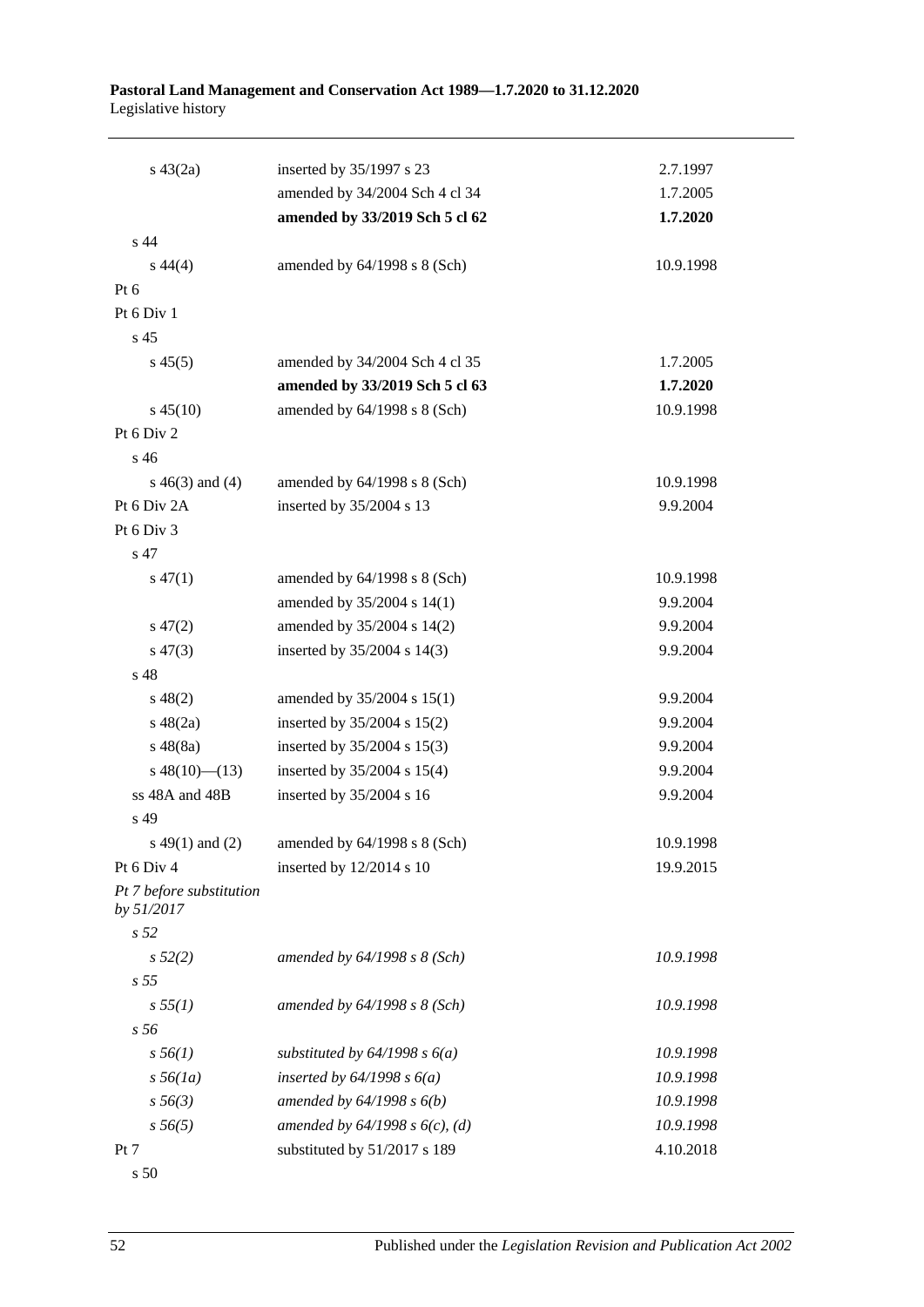#### **Pastoral Land Management and Conservation Act 1989—1.7.2020 to 31.12.2020** Legislative history

| $s\ 43(2a)$                            | inserted by 35/1997 s 23                         | 2.7.1997  |
|----------------------------------------|--------------------------------------------------|-----------|
|                                        | amended by 34/2004 Sch 4 cl 34                   | 1.7.2005  |
|                                        | amended by 33/2019 Sch 5 cl 62                   | 1.7.2020  |
| s <sub>44</sub>                        |                                                  |           |
| $s\,44(4)$                             | amended by $64/1998$ s $8$ (Sch)                 | 10.9.1998 |
| Pt $6$                                 |                                                  |           |
| Pt 6 Div 1                             |                                                  |           |
| s 45                                   |                                                  |           |
| $s\,45(5)$                             | amended by 34/2004 Sch 4 cl 35                   | 1.7.2005  |
|                                        | amended by 33/2019 Sch 5 cl 63                   | 1.7.2020  |
| $s\,45(10)$                            | amended by 64/1998 s 8 (Sch)                     | 10.9.1998 |
| Pt 6 Div 2                             |                                                  |           |
| s 46                                   |                                                  |           |
| $s\ 46(3)$ and (4)                     | amended by 64/1998 s 8 (Sch)                     | 10.9.1998 |
| Pt 6 Div 2A                            | inserted by 35/2004 s 13                         | 9.9.2004  |
| Pt 6 Div 3                             |                                                  |           |
| s 47                                   |                                                  |           |
| $s\,47(1)$                             | amended by 64/1998 s 8 (Sch)                     | 10.9.1998 |
|                                        | amended by 35/2004 s 14(1)                       | 9.9.2004  |
| $s\,47(2)$                             | amended by 35/2004 s 14(2)                       | 9.9.2004  |
| $s\,47(3)$                             | inserted by 35/2004 s 14(3)                      | 9.9.2004  |
| s 48                                   |                                                  |           |
| $s\,48(2)$                             | amended by 35/2004 s 15(1)                       | 9.9.2004  |
| $s\ 48(2a)$                            | inserted by 35/2004 s 15(2)                      | 9.9.2004  |
| s 48(8a)                               | inserted by 35/2004 s 15(3)                      | 9.9.2004  |
| $s\ 48(10)$ (13)                       | inserted by $35/2004$ s $15(4)$                  | 9.9.2004  |
| ss 48A and 48B                         | inserted by 35/2004 s 16                         | 9.9.2004  |
| s 49                                   |                                                  |           |
|                                        | s 49(1) and (2) amended by $64/1998$ s $8$ (Sch) | 10.9.1998 |
| Pt 6 Div 4                             | inserted by 12/2014 s 10                         | 19.9.2015 |
| Pt 7 before substitution<br>by 51/2017 |                                                  |           |
| s <sub>52</sub>                        |                                                  |           |
| s 52(2)<br>s <sub>55</sub>             | amended by $64/1998 s 8$ (Sch)                   | 10.9.1998 |
| s 55(1)                                | amended by $64/1998 s 8$ (Sch)                   | 10.9.1998 |
| s 56                                   |                                                  |           |
| $s\,56(1)$                             | substituted by $64/1998 s 6(a)$                  | 10.9.1998 |
| $s\,56(1a)$                            | inserted by $64/1998 s 6(a)$                     | 10.9.1998 |
| $s\,56(3)$                             | amended by $64/1998 s 6(b)$                      | 10.9.1998 |
| $s\,56(5)$                             | amended by $64/1998 s 6(c)$ , (d)                | 10.9.1998 |
| Pt 7                                   | substituted by 51/2017 s 189                     | 4.10.2018 |
| s 50                                   |                                                  |           |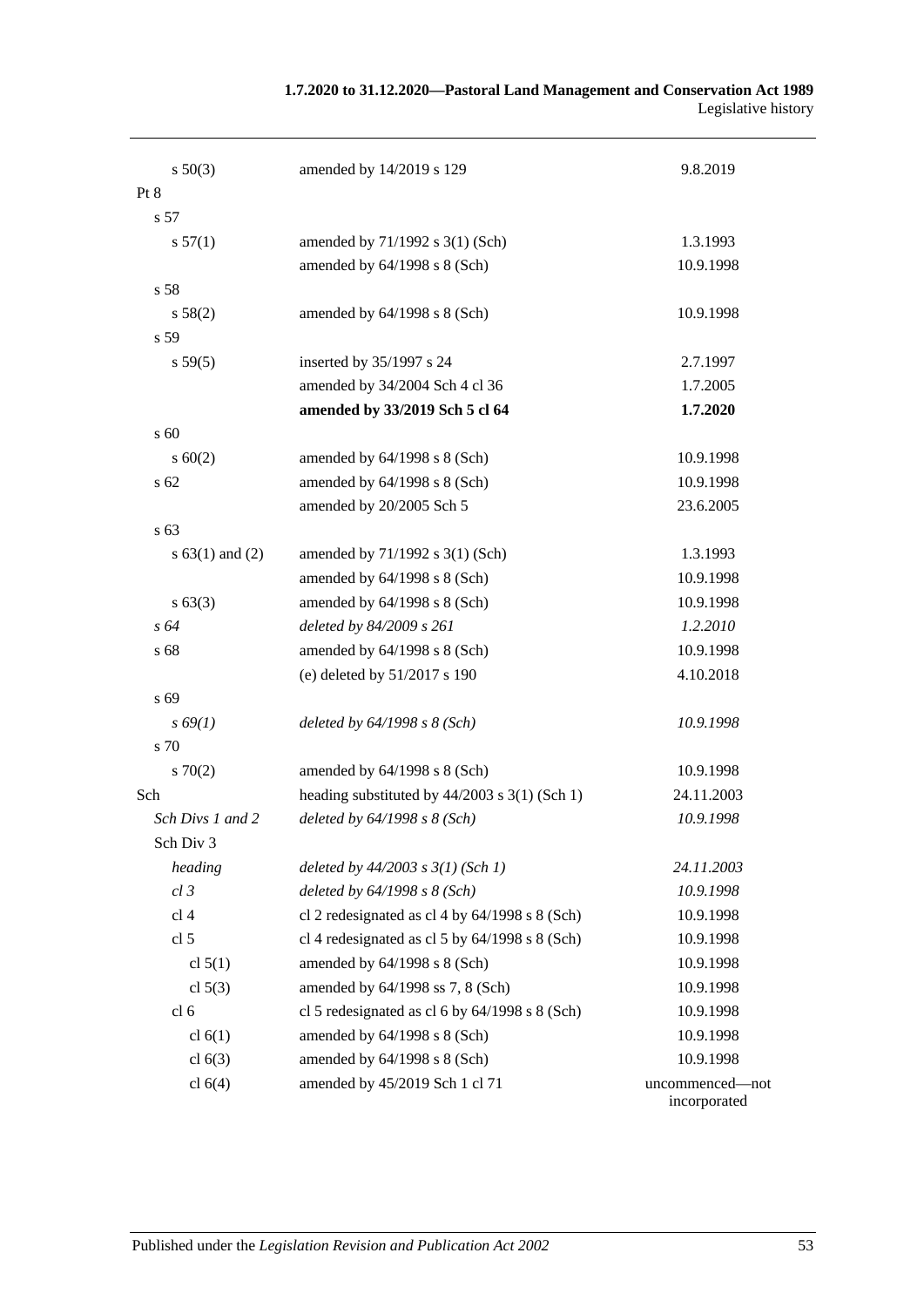| 1.7.2020 to 31.12.2020—Pastoral Land Management and Conservation Act 1989 |                     |
|---------------------------------------------------------------------------|---------------------|
|                                                                           | Legislative history |

| $s\ 50(3)$        | amended by 14/2019 s 129                          | 9.8.2019                        |
|-------------------|---------------------------------------------------|---------------------------------|
| Pt 8              |                                                   |                                 |
| s 57              |                                                   |                                 |
| s 57(1)           | amended by 71/1992 s 3(1) (Sch)                   | 1.3.1993                        |
|                   | amended by 64/1998 s 8 (Sch)                      | 10.9.1998                       |
| s 58              |                                                   |                                 |
| s 58(2)           | amended by 64/1998 s 8 (Sch)                      | 10.9.1998                       |
| s 59              |                                                   |                                 |
| s 59(5)           | inserted by 35/1997 s 24                          | 2.7.1997                        |
|                   | amended by 34/2004 Sch 4 cl 36                    | 1.7.2005                        |
|                   | amended by 33/2019 Sch 5 cl 64                    | 1.7.2020                        |
| s 60              |                                                   |                                 |
| s 60(2)           | amended by 64/1998 s 8 (Sch)                      | 10.9.1998                       |
| s 62              | amended by 64/1998 s 8 (Sch)                      | 10.9.1998                       |
|                   | amended by 20/2005 Sch 5                          | 23.6.2005                       |
| s 63              |                                                   |                                 |
| $s 63(1)$ and (2) | amended by 71/1992 s 3(1) (Sch)                   | 1.3.1993                        |
|                   | amended by 64/1998 s 8 (Sch)                      | 10.9.1998                       |
| s 63(3)           | amended by 64/1998 s 8 (Sch)                      | 10.9.1998                       |
| s 64              | deleted by 84/2009 s 261                          | 1.2.2010                        |
| s 68              | amended by 64/1998 s 8 (Sch)                      | 10.9.1998                       |
|                   | (e) deleted by 51/2017 s 190                      | 4.10.2018                       |
| s 69              |                                                   |                                 |
| $s\,69(1)$        | deleted by $64/1998 s 8 (Sch)$                    | 10.9.1998                       |
| s 70              |                                                   |                                 |
| 570(2)            | amended by 64/1998 s 8 (Sch)                      | 10.9.1998                       |
| Sch               | heading substituted by $44/2003$ s $3(1)$ (Sch 1) | 24.11.2003                      |
| Sch Divs 1 and 2  | deleted by $64/1998 s 8 (Sch)$                    | 10.9.1998                       |
| Sch Div 3         |                                                   |                                 |
| heading           | deleted by $44/2003$ s $3(1)$ (Sch 1)             | 24.11.2003                      |
| $cl$ 3            | deleted by $64/1998 s 8 (Sch)$                    | 10.9.1998                       |
| cl 4              | cl 2 redesignated as cl 4 by $64/1998$ s 8 (Sch)  | 10.9.1998                       |
| cl <sub>5</sub>   | cl 4 redesignated as cl 5 by $64/1998$ s 8 (Sch)  | 10.9.1998                       |
| cl $5(1)$         | amended by 64/1998 s 8 (Sch)                      | 10.9.1998                       |
| cl $5(3)$         | amended by 64/1998 ss 7, 8 (Sch)                  | 10.9.1998                       |
| cl <sub>6</sub>   | cl 5 redesignated as cl 6 by $64/1998$ s 8 (Sch)  | 10.9.1998                       |
| cl $6(1)$         | amended by $64/1998$ s $8$ (Sch)                  | 10.9.1998                       |
| cl $6(3)$         | amended by 64/1998 s 8 (Sch)                      | 10.9.1998                       |
| cl $6(4)$         | amended by 45/2019 Sch 1 cl 71                    | uncommenced-not<br>incorporated |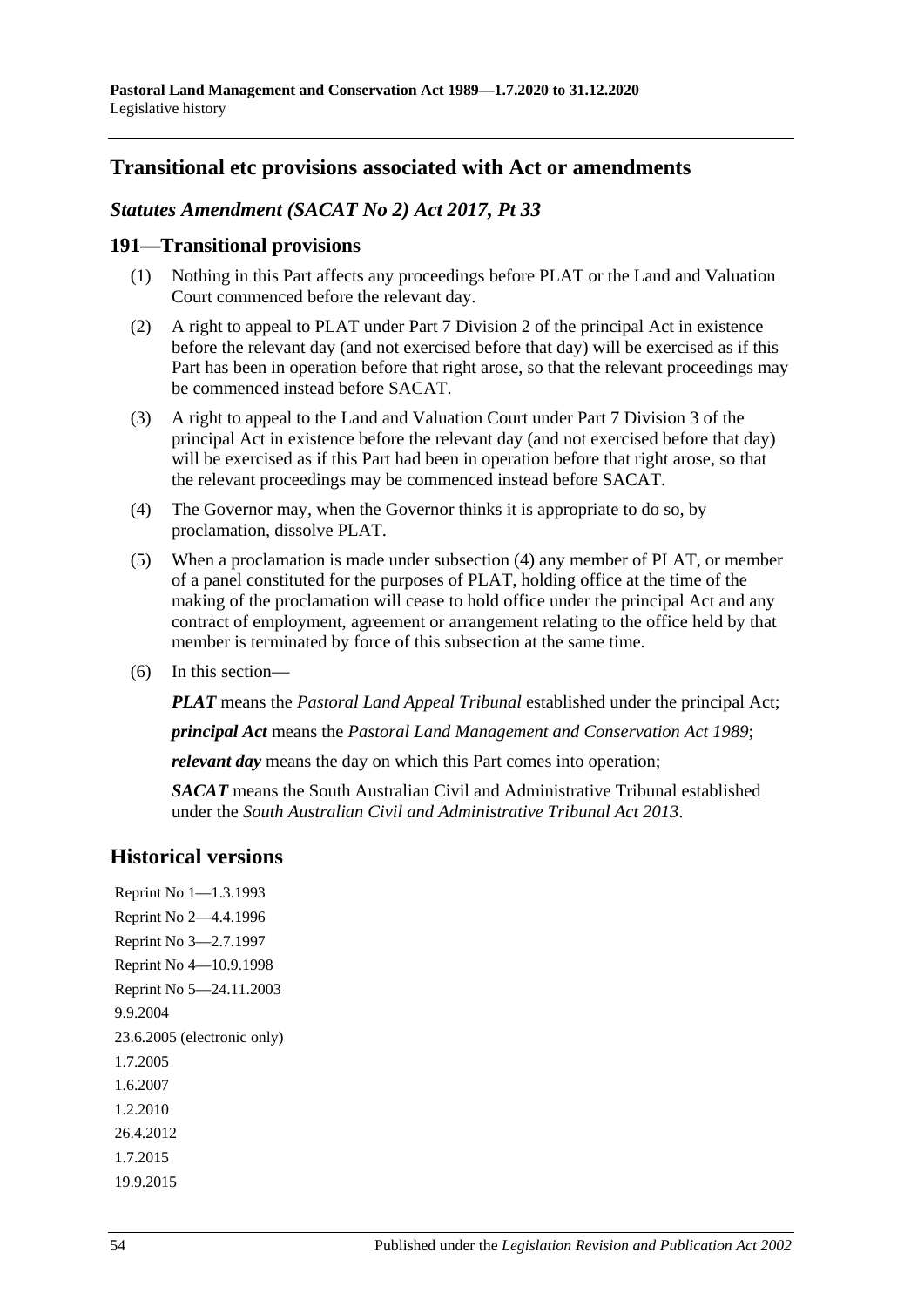# **Transitional etc provisions associated with Act or amendments**

## *Statutes Amendment (SACAT No 2) Act 2017, Pt 33*

#### **191—Transitional provisions**

- (1) Nothing in this Part affects any proceedings before PLAT or the Land and Valuation Court commenced before the relevant day.
- (2) A right to appeal to PLAT under Part 7 Division 2 of the principal Act in existence before the relevant day (and not exercised before that day) will be exercised as if this Part has been in operation before that right arose, so that the relevant proceedings may be commenced instead before SACAT.
- (3) A right to appeal to the Land and Valuation Court under Part 7 Division 3 of the principal Act in existence before the relevant day (and not exercised before that day) will be exercised as if this Part had been in operation before that right arose, so that the relevant proceedings may be commenced instead before SACAT.
- <span id="page-53-0"></span>(4) The Governor may, when the Governor thinks it is appropriate to do so, by proclamation, dissolve PLAT.
- (5) When a proclamation is made under [subsection](#page-53-0) (4) any member of PLAT, or member of a panel constituted for the purposes of PLAT, holding office at the time of the making of the proclamation will cease to hold office under the principal Act and any contract of employment, agreement or arrangement relating to the office held by that member is terminated by force of this subsection at the same time.
- (6) In this section—

*PLAT* means the *Pastoral Land Appeal Tribunal* established under the principal Act;

*principal Act* means the *[Pastoral Land Management and Conservation Act](http://www.legislation.sa.gov.au/index.aspx?action=legref&type=act&legtitle=Pastoral%20Land%20Management%20and%20Conservation%20Act%201989) 1989*;

*relevant day* means the day on which this Part comes into operation;

*SACAT* means the South Australian Civil and Administrative Tribunal established under the *[South Australian Civil and Administrative Tribunal Act](http://www.legislation.sa.gov.au/index.aspx?action=legref&type=act&legtitle=South%20Australian%20Civil%20and%20Administrative%20Tribunal%20Act%202013) 2013*.

# **Historical versions**

Reprint No 1—1.3.1993 Reprint No 2—4.4.1996 Reprint No 3—2.7.1997 Reprint No 4—10.9.1998 Reprint No 5—24.11.2003 9.9.2004 23.6.2005 (electronic only) 1.7.2005 1.6.2007 1.2.2010 26.4.2012 1.7.2015 19.9.2015